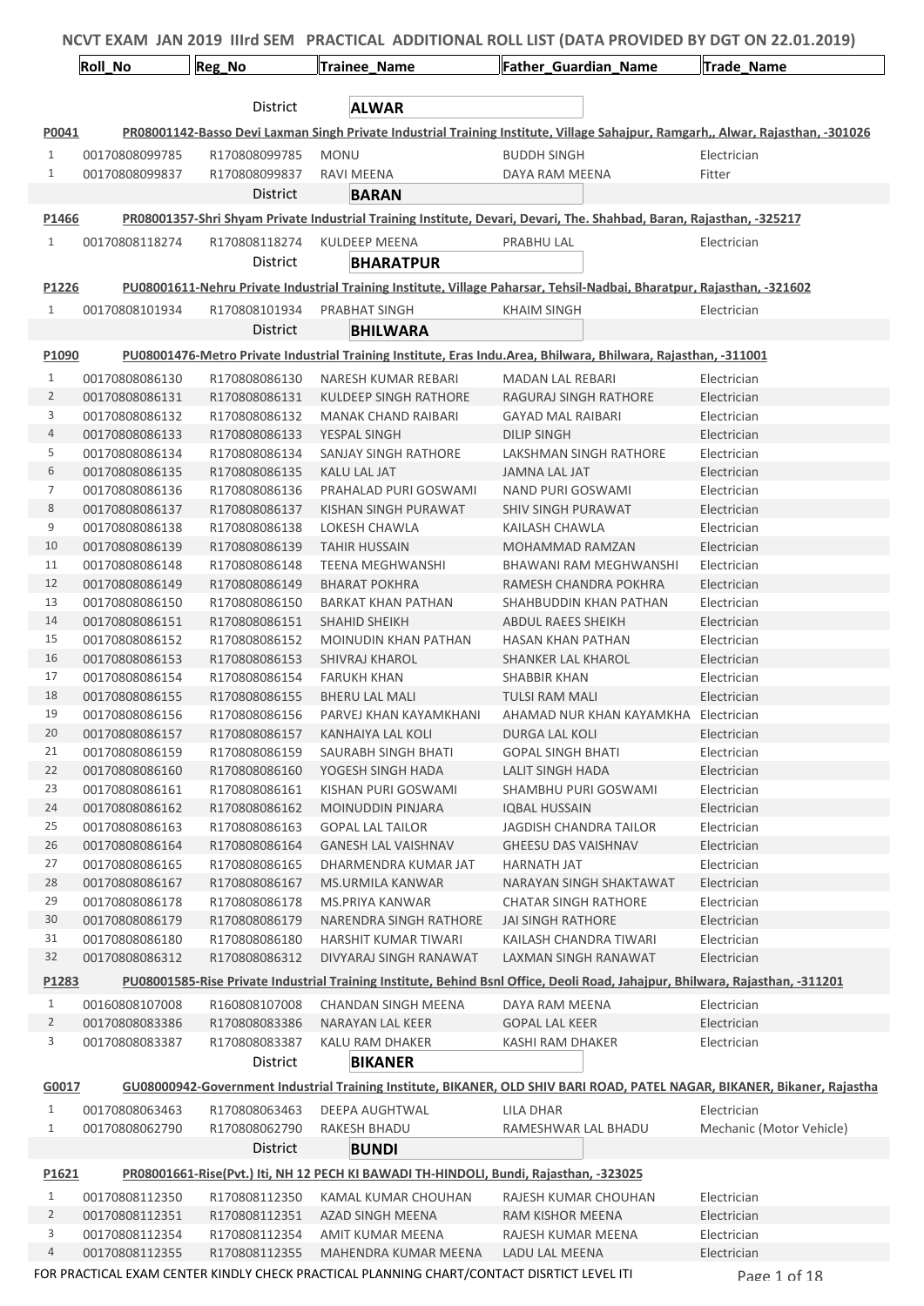|                |                                  |                                |                                                                                            | NCVT EXAM JAN 2019 IIIrd SEM PRACTICAL ADDITIONAL ROLL LIST (DATA PROVIDED BY DGT ON 22.01.2019)                                |                            |
|----------------|----------------------------------|--------------------------------|--------------------------------------------------------------------------------------------|---------------------------------------------------------------------------------------------------------------------------------|----------------------------|
|                | Roll_No                          | Reg_No                         | Trainee_Name                                                                               | Father Guardian Name                                                                                                            | Trade_Name                 |
|                |                                  | District                       | <b>ALWAR</b>                                                                               |                                                                                                                                 |                            |
| P0041          |                                  |                                |                                                                                            | PR08001142-Basso Devi Laxman Singh Private Industrial Training Institute, Village Sahajpur, Ramgarh,, Alwar, Rajasthan, -301026 |                            |
| $\mathbf{1}$   | 00170808099785                   | R170808099785                  | <b>MONU</b>                                                                                | <b>BUDDH SINGH</b>                                                                                                              | Electrician                |
| $\mathbf{1}$   | 00170808099837                   | R170808099837                  | RAVI MEENA                                                                                 | DAYA RAM MEENA                                                                                                                  | Fitter                     |
|                |                                  | District                       | <b>BARAN</b>                                                                               |                                                                                                                                 |                            |
| P1466          |                                  |                                |                                                                                            | PR08001357-Shri Shyam Private Industrial Training Institute, Devari, Devari, The. Shahbad, Baran, Rajasthan, -325217            |                            |
|                |                                  |                                |                                                                                            |                                                                                                                                 |                            |
| $\mathbf{1}$   | 00170808118274                   | R170808118274                  | <b>KULDEEP MEENA</b>                                                                       | PRABHU LAL                                                                                                                      | Electrician                |
|                |                                  | District                       | <b>BHARATPUR</b>                                                                           |                                                                                                                                 |                            |
| P1226          |                                  |                                |                                                                                            | PU08001611-Nehru Private Industrial Training Institute, Village Paharsar, Tehsil-Nadbai, Bharatpur, Rajasthan, -321602          |                            |
| $\mathbf{1}$   | 00170808101934                   | R170808101934                  | PRABHAT SINGH                                                                              | KHAIM SINGH                                                                                                                     | Electrician                |
|                |                                  | District                       | <b>BHILWARA</b>                                                                            |                                                                                                                                 |                            |
| P1090          |                                  |                                |                                                                                            | PU08001476-Metro Private Industrial Training Institute, Eras Indu. Area, Bhilwara, Bhilwara, Rajasthan, -311001                 |                            |
| $\mathbf{1}$   | 00170808086130                   | R170808086130                  | NARESH KUMAR REBARI                                                                        | <b>MADAN LAL REBARI</b>                                                                                                         | Electrician                |
| $\overline{2}$ | 00170808086131                   | R170808086131                  | KULDEEP SINGH RATHORE                                                                      | RAGURAJ SINGH RATHORE                                                                                                           | Electrician                |
| 3              | 00170808086132                   | R170808086132                  | MANAK CHAND RAIBARI                                                                        | <b>GAYAD MAL RAIBARI</b>                                                                                                        | Electrician                |
| $\overline{4}$ | 00170808086133                   | R170808086133                  | YESPAL SINGH                                                                               | <b>DILIP SINGH</b>                                                                                                              | Electrician                |
| 5              | 00170808086134                   | R170808086134                  | SANJAY SINGH RATHORE                                                                       | LAKSHMAN SINGH RATHORE                                                                                                          | Electrician                |
| 6              | 00170808086135                   | R170808086135                  | KALU LAL JAT                                                                               | <b>JAMNA LAL JAT</b>                                                                                                            | Electrician                |
| $\overline{7}$ | 00170808086136                   | R170808086136                  | PRAHALAD PURI GOSWAMI                                                                      | NAND PURI GOSWAMI                                                                                                               | Electrician                |
| 8              | 00170808086137                   | R170808086137                  | KISHAN SINGH PURAWAT                                                                       | SHIV SINGH PURAWAT                                                                                                              | Electrician                |
| 9              | 00170808086138                   | R170808086138                  | LOKESH CHAWLA                                                                              | KAILASH CHAWLA                                                                                                                  | Electrician                |
| 10             | 00170808086139                   | R170808086139                  | <b>TAHIR HUSSAIN</b>                                                                       | MOHAMMAD RAMZAN                                                                                                                 | Electrician                |
| 11             | 00170808086148                   | R170808086148                  | <b>TEENA MEGHWANSHI</b>                                                                    | BHAWANI RAM MEGHWANSHI                                                                                                          | Electrician                |
| 12<br>13       | 00170808086149<br>00170808086150 | R170808086149<br>R170808086150 | <b>BHARAT POKHRA</b><br><b>BARKAT KHAN PATHAN</b>                                          | RAMESH CHANDRA POKHRA<br>SHAHBUDDIN KHAN PATHAN                                                                                 | Electrician<br>Electrician |
| 14             | 00170808086151                   | R170808086151                  | <b>SHAHID SHEIKH</b>                                                                       | <b>ABDUL RAEES SHEIKH</b>                                                                                                       | Electrician                |
| 15             | 00170808086152                   | R170808086152                  | <b>MOINUDIN KHAN PATHAN</b>                                                                | <b>HASAN KHAN PATHAN</b>                                                                                                        | Electrician                |
| 16             | 00170808086153                   | R170808086153                  | <b>SHIVRAJ KHAROL</b>                                                                      | <b>SHANKER LAL KHAROL</b>                                                                                                       | Electrician                |
| 17             | 00170808086154                   | R170808086154                  | <b>FARUKH KHAN</b>                                                                         | SHABBIR KHAN                                                                                                                    | Electrician                |
| 18             | 00170808086155                   | R170808086155                  | <b>BHERU LAL MALI</b>                                                                      | <b>TULSI RAM MALI</b>                                                                                                           | Electrician                |
| 19             | 00170808086156                   | R170808086156                  | PARVEJ KHAN KAYAMKHANI                                                                     | AHAMAD NUR KHAN KAYAMKHA Electrician                                                                                            |                            |
| 20             | 00170808086157                   | R170808086157                  | KANHAIYA LAL KOLI                                                                          | DURGA LAL KOLI                                                                                                                  | Electrician                |
| 21             | 00170808086159                   | R170808086159                  | SAURABH SINGH BHATI                                                                        | <b>GOPAL SINGH BHATI</b>                                                                                                        | Electrician                |
| 22             | 00170808086160                   | R170808086160                  | YOGESH SINGH HADA                                                                          | <b>LALIT SINGH HADA</b>                                                                                                         | Electrician                |
| 23             | 00170808086161                   | R170808086161                  | KISHAN PURI GOSWAMI                                                                        | SHAMBHU PURI GOSWAMI                                                                                                            | Electrician                |
| 24             | 00170808086162                   | R170808086162                  | <b>MOINUDDIN PINJARA</b>                                                                   | <b>IQBAL HUSSAIN</b>                                                                                                            | Electrician                |
| 25             | 00170808086163                   | R170808086163                  | <b>GOPAL LAL TAILOR</b>                                                                    | <b>JAGDISH CHANDRA TAILOR</b>                                                                                                   | Electrician                |
| 26             | 00170808086164                   | R170808086164                  | <b>GANESH LAL VAISHNAV</b>                                                                 | <b>GHEESU DAS VAISHNAV</b>                                                                                                      | Electrician                |
| 27<br>28       | 00170808086165<br>00170808086167 | R170808086165<br>R170808086167 | DHARMENDRA KUMAR JAT<br>MS.URMILA KANWAR                                                   | HARNATH JAT<br>NARAYAN SINGH SHAKTAWAT                                                                                          | Electrician<br>Electrician |
| 29             | 00170808086178                   | R170808086178                  | MS.PRIYA KANWAR                                                                            | <b>CHATAR SINGH RATHORE</b>                                                                                                     | Electrician                |
| 30             | 00170808086179                   | R170808086179                  | NARENDRA SINGH RATHORE                                                                     | JAI SINGH RATHORE                                                                                                               | Electrician                |
| 31             | 00170808086180                   | R170808086180                  | HARSHIT KUMAR TIWARI                                                                       | KAILASH CHANDRA TIWARI                                                                                                          | Electrician                |
| 32             | 00170808086312                   | R170808086312                  | DIVYARAJ SINGH RANAWAT                                                                     | LAXMAN SINGH RANAWAT                                                                                                            | Electrician                |
| P1283          |                                  |                                |                                                                                            | PU08001585-Rise Private Industrial Training Institute, Behind Bsnl Office, Deoli Road, Jahajpur, Bhilwara, Rajasthan, -311201   |                            |
| $\mathbf{1}$   |                                  |                                |                                                                                            |                                                                                                                                 |                            |
| $\overline{2}$ | 00160808107008<br>00170808083386 | R160808107008<br>R170808083386 | CHANDAN SINGH MEENA<br>NARAYAN LAL KEER                                                    | DAYA RAM MEENA<br><b>GOPAL LAL KEER</b>                                                                                         | Electrician<br>Electrician |
| 3              | 00170808083387                   | R170808083387                  | KALU RAM DHAKER                                                                            | KASHI RAM DHAKER                                                                                                                | Electrician                |
|                |                                  | District                       | <b>BIKANER</b>                                                                             |                                                                                                                                 |                            |
|                |                                  |                                |                                                                                            |                                                                                                                                 |                            |
| G0017          |                                  |                                |                                                                                            | GU08000942-Government Industrial Training Institute, BIKANER, OLD SHIV BARI ROAD, PATEL NAGAR, BIKANER, Bikaner, Rajastha       |                            |
| $\mathbf{1}$   | 00170808063463                   | R170808063463                  | DEEPA AUGHTWAL                                                                             | LILA DHAR                                                                                                                       | Electrician                |
| $1\,$          | 00170808062790                   | R170808062790                  | RAKESH BHADU                                                                               | RAMESHWAR LAL BHADU                                                                                                             | Mechanic (Motor Vehicle)   |
|                |                                  | <b>District</b>                | <b>BUNDI</b>                                                                               |                                                                                                                                 |                            |
| P1621          |                                  |                                | PR08001661-Rise(Pvt.) Iti, NH 12 PECH KI BAWADI TH-HINDOLI, Bundi, Rajasthan, -323025      |                                                                                                                                 |                            |
| $\mathbf{1}$   | 00170808112350                   | R170808112350                  | KAMAL KUMAR CHOUHAN                                                                        | RAJESH KUMAR CHOUHAN                                                                                                            | Electrician                |
| $\overline{2}$ | 00170808112351                   | R170808112351                  | AZAD SINGH MEENA                                                                           | RAM KISHOR MEENA                                                                                                                | Electrician                |
| 3              | 00170808112354                   | R170808112354                  | AMIT KUMAR MEENA                                                                           | RAJESH KUMAR MEENA                                                                                                              | Electrician                |
| $\overline{4}$ | 00170808112355                   | R170808112355                  | MAHENDRA KUMAR MEENA                                                                       | LADU LAL MEENA                                                                                                                  | Electrician                |
|                |                                  |                                | FOR PRACTICAL EXAM CENTER KINDLY CHECK PRACTICAL PLANNING CHART/CONTACT DISRTICT LEVEL ITI |                                                                                                                                 | Page 1 of 18               |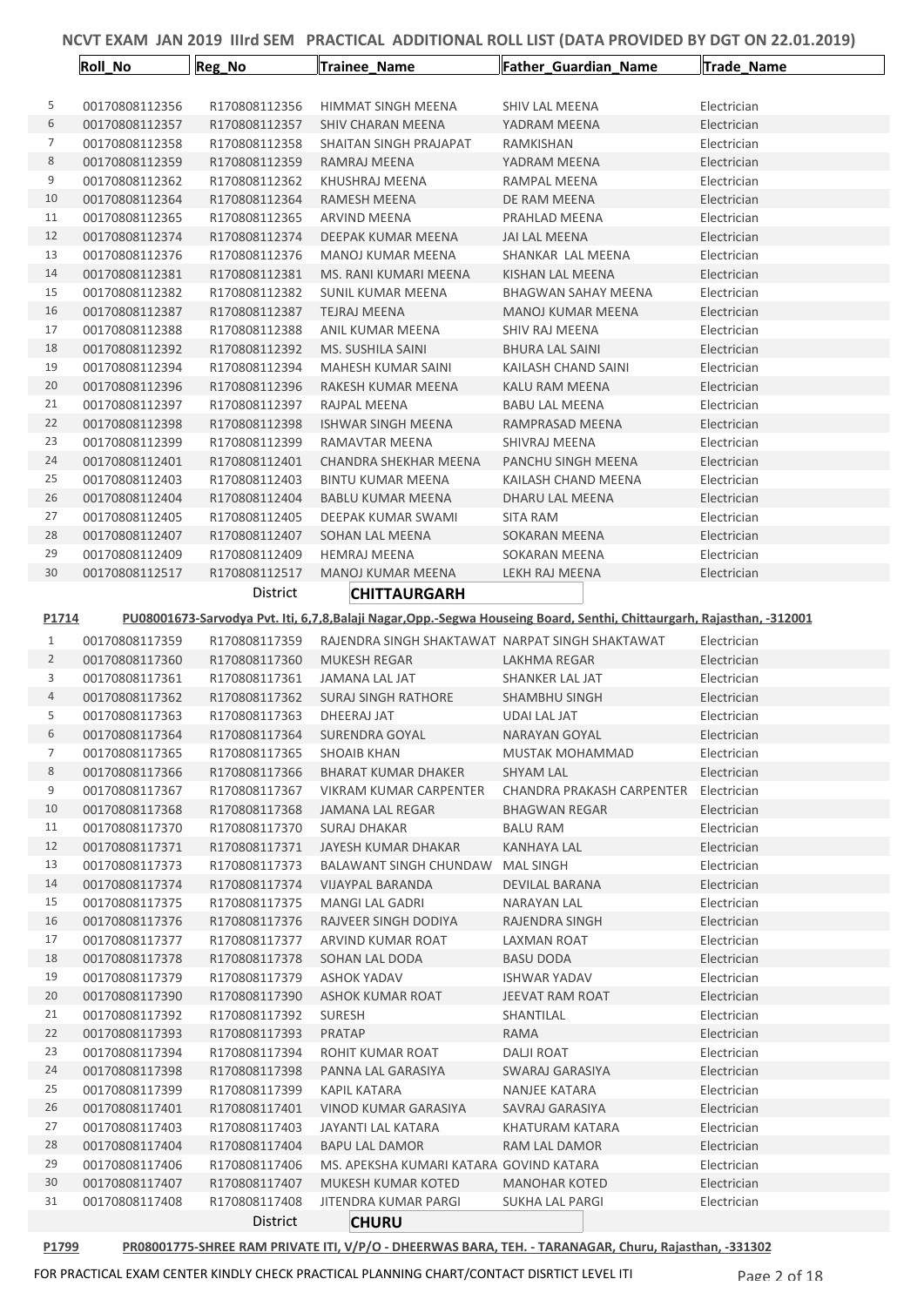|                | <b>Roll_No</b>                   | Reg_No                         | Trainee Name                                                  | Father_Guardian_Name                                                                                                 | Trade_Name                 |
|----------------|----------------------------------|--------------------------------|---------------------------------------------------------------|----------------------------------------------------------------------------------------------------------------------|----------------------------|
|                |                                  |                                |                                                               |                                                                                                                      |                            |
| 5              | 00170808112356                   | R170808112356                  | HIMMAT SINGH MEENA                                            | SHIV LAL MEENA                                                                                                       | Electrician                |
| 6              | 00170808112357                   | R170808112357                  | SHIV CHARAN MEENA                                             | YADRAM MEENA                                                                                                         | Electrician                |
| 7              | 00170808112358                   | R170808112358                  | SHAITAN SINGH PRAJAPAT                                        | RAMKISHAN                                                                                                            | Electrician                |
| 8              | 00170808112359                   | R170808112359                  | RAMRAJ MEENA                                                  | YADRAM MEENA                                                                                                         | Electrician                |
| 9              | 00170808112362                   | R170808112362                  | KHUSHRAJ MEENA                                                | RAMPAL MEENA                                                                                                         | Electrician                |
| 10             | 00170808112364                   | R170808112364                  | RAMESH MEENA                                                  | DE RAM MEENA                                                                                                         | Electrician                |
| 11             | 00170808112365                   | R170808112365                  | <b>ARVIND MEENA</b>                                           | PRAHLAD MEENA                                                                                                        | Electrician                |
| 12             | 00170808112374                   | R170808112374                  | DEEPAK KUMAR MEENA                                            | JAI LAL MEENA                                                                                                        | Electrician                |
| 13             | 00170808112376                   | R170808112376                  | MANOJ KUMAR MEENA                                             | SHANKAR LAL MEENA                                                                                                    | Electrician                |
| 14             | 00170808112381                   | R170808112381                  | MS. RANI KUMARI MEENA                                         | KISHAN LAL MEENA                                                                                                     | Electrician                |
| 15             | 00170808112382                   | R170808112382                  | SUNIL KUMAR MEENA                                             | <b>BHAGWAN SAHAY MEENA</b>                                                                                           | Electrician                |
| 16             | 00170808112387                   | R170808112387                  | <b>TEJRAJ MEENA</b>                                           | <b>MANOJ KUMAR MEENA</b>                                                                                             | Electrician                |
| 17             | 00170808112388                   | R170808112388                  | ANIL KUMAR MEENA                                              | SHIV RAJ MEENA                                                                                                       | Electrician                |
| 18             | 00170808112392                   | R170808112392                  | MS. SUSHILA SAINI                                             | <b>BHURA LAL SAINI</b>                                                                                               | Electrician                |
| 19             | 00170808112394                   | R170808112394                  | MAHESH KUMAR SAINI                                            | KAILASH CHAND SAINI                                                                                                  | Electrician                |
| 20             | 00170808112396                   | R170808112396                  | RAKESH KUMAR MEENA                                            | KALU RAM MEENA                                                                                                       | Electrician                |
| 21             | 00170808112397                   | R170808112397                  | RAJPAL MEENA                                                  | <b>BABU LAL MEENA</b>                                                                                                | Electrician                |
| 22             | 00170808112398                   | R170808112398                  | <b>ISHWAR SINGH MEENA</b>                                     | RAMPRASAD MEENA                                                                                                      | Electrician                |
| 23             | 00170808112399                   | R170808112399                  | RAMAVTAR MEENA                                                | SHIVRAJ MEENA                                                                                                        | Electrician                |
| 24             | 00170808112401                   | R170808112401                  | CHANDRA SHEKHAR MEENA                                         | PANCHU SINGH MEENA                                                                                                   | Electrician                |
| 25             | 00170808112403                   | R170808112403                  | <b>BINTU KUMAR MEENA</b>                                      | KAILASH CHAND MEENA                                                                                                  | Electrician                |
| 26             | 00170808112404                   | R170808112404                  | <b>BABLU KUMAR MEENA</b>                                      | DHARU LAL MEENA                                                                                                      | Electrician                |
| 27             | 00170808112405                   | R170808112405                  | DEEPAK KUMAR SWAMI                                            | <b>SITA RAM</b>                                                                                                      | Electrician                |
| 28             | 00170808112407                   | R170808112407                  | SOHAN LAL MEENA                                               | SOKARAN MEENA                                                                                                        | Electrician                |
| 29             | 00170808112409                   | R170808112409                  | <b>HEMRAJ MEENA</b>                                           | SOKARAN MEENA                                                                                                        | Electrician                |
| 30             | 00170808112517                   | R170808112517                  | <b>MANOJ KUMAR MEENA</b>                                      | LEKH RAJ MEENA                                                                                                       | Electrician                |
|                |                                  | District                       | <b>CHITTAURGARH</b>                                           |                                                                                                                      |                            |
| P1714          |                                  |                                |                                                               | PU08001673-Sarvodya Pvt. Iti, 6,7,8,Balaji Nagar,Opp.-Segwa Houseing Board, Senthi, Chittaurgarh, Rajasthan, -312001 |                            |
| $\mathbf{1}$   | 00170808117359                   | R170808117359                  | RAJENDRA SINGH SHAKTAWAT NARPAT SINGH SHAKTAWAT               |                                                                                                                      | Electrician                |
| $\overline{2}$ | 00170808117360                   | R170808117360                  | <b>MUKESH REGAR</b>                                           | LAKHMA REGAR                                                                                                         | Electrician                |
| 3              | 00170808117361                   | R170808117361                  | JAMANA LAL JAT                                                | SHANKER LAL JAT                                                                                                      | Electrician                |
| 4              | 00170808117362                   | R170808117362                  | SURAJ SINGH RATHORE                                           | <b>SHAMBHU SINGH</b>                                                                                                 | Electrician                |
| 5              | 00170808117363                   | R170808117363                  | DHEERAJ JAT                                                   | <b>UDAI LAL JAT</b>                                                                                                  | Electrician                |
| 6              | 00170808117364                   | R170808117364                  | SURENDRA GOYAL                                                | NARAYAN GOYAL                                                                                                        | Electrician                |
| 7              | 00170808117365                   | R170808117365                  | SHOAIB KHAN                                                   | MUSTAK MOHAMMAD                                                                                                      | Electrician                |
| 8              | 00170808117366                   | R170808117366                  | BHARAT KUMAR DHAKER                                           | SHYAM LAL                                                                                                            | Electrician                |
| 9              | 00170808117367                   | R170808117367                  | VIKRAM KUMAR CARPENTER                                        | CHANDRA PRAKASH CARPENTER                                                                                            | Electrician                |
| 10             | 00170808117368                   | R170808117368                  | <b>JAMANA LAL REGAR</b>                                       | <b>BHAGWAN REGAR</b>                                                                                                 | Electrician                |
| 11             | 00170808117370                   | R170808117370                  | SURAJ DHAKAR                                                  | <b>BALU RAM</b>                                                                                                      | Electrician                |
| 12             | 00170808117371                   | R170808117371                  | JAYESH KUMAR DHAKAR                                           | KANHAYA LAL                                                                                                          | Electrician                |
| 13             | 00170808117373                   | R170808117373                  | BALAWANT SINGH CHUNDAW                                        | MAL SINGH                                                                                                            | Electrician                |
| 14             | 00170808117374                   | R170808117374                  | <b>VIJAYPAL BARANDA</b>                                       | DEVILAL BARANA                                                                                                       | Electrician                |
| 15             | 00170808117375                   | R170808117375                  | MANGI LAL GADRI                                               | NARAYAN LAL                                                                                                          | Electrician                |
| 16             | 00170808117376                   | R170808117376                  | RAJVEER SINGH DODIYA                                          | RAJENDRA SINGH                                                                                                       | Electrician                |
| 17             | 00170808117377                   | R170808117377                  | ARVIND KUMAR ROAT                                             | LAXMAN ROAT                                                                                                          | Electrician                |
| 18             | 00170808117378                   | R170808117378                  | SOHAN LAL DODA                                                | <b>BASU DODA</b>                                                                                                     | Electrician                |
| 19             | 00170808117379                   | R170808117379                  | ASHOK YADAV                                                   | <b>ISHWAR YADAV</b>                                                                                                  | Electrician                |
| 20<br>21       | 00170808117390<br>00170808117392 | R170808117390<br>R170808117392 | ASHOK KUMAR ROAT                                              | JEEVAT RAM ROAT                                                                                                      | Electrician                |
|                |                                  |                                | <b>SURESH</b>                                                 | SHANTILAL                                                                                                            | Electrician                |
| 22<br>23       | 00170808117393<br>00170808117394 | R170808117393<br>R170808117394 | PRATAP<br>ROHIT KUMAR ROAT                                    | RAMA<br><b>DALJI ROAT</b>                                                                                            | Electrician<br>Electrician |
| 24             | 00170808117398                   | R170808117398                  | PANNA LAL GARASIYA                                            | SWARAJ GARASIYA                                                                                                      | Electrician                |
| 25             | 00170808117399                   | R170808117399                  | KAPIL KATARA                                                  | NANJEE KATARA                                                                                                        | Electrician                |
| 26             | 00170808117401                   | R170808117401                  | VINOD KUMAR GARASIYA                                          | SAVRAJ GARASIYA                                                                                                      | Electrician                |
|                |                                  |                                |                                                               | KHATURAM KATARA                                                                                                      | Electrician                |
|                |                                  |                                |                                                               |                                                                                                                      |                            |
| 27             | 00170808117403                   | R170808117403                  | JAYANTI LAL KATARA                                            |                                                                                                                      |                            |
| 28             | 00170808117404                   | R170808117404                  | BAPU LAL DAMOR                                                | RAM LAL DAMOR                                                                                                        | Electrician                |
| 29<br>30       | 00170808117406<br>00170808117407 | R170808117406<br>R170808117407 | MS. APEKSHA KUMARI KATARA GOVIND KATARA<br>MUKESH KUMAR KOTED | <b>MANOHAR KOTED</b>                                                                                                 | Electrician<br>Electrician |
| 31             | 00170808117408                   | R170808117408                  | JITENDRA KUMAR PARGI                                          | SUKHA LAL PARGI                                                                                                      | Electrician                |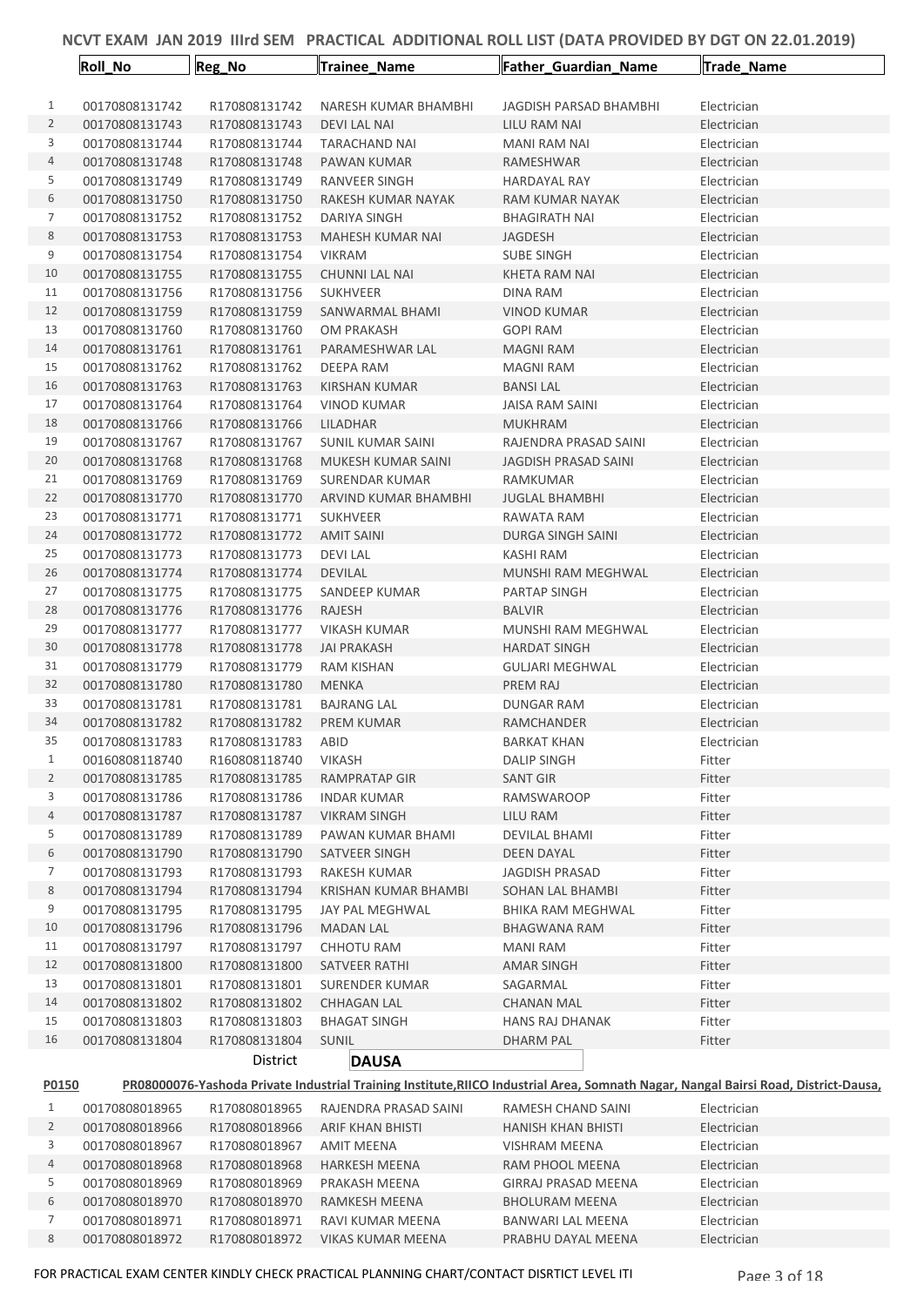|                     | <b>Roll No</b>                   | Reg_No                         | Trainee_Name                          | Father_Guardian_Name                    | <b>Trade Name</b>                                                                                                                   |
|---------------------|----------------------------------|--------------------------------|---------------------------------------|-----------------------------------------|-------------------------------------------------------------------------------------------------------------------------------------|
|                     |                                  |                                |                                       |                                         | Electrician                                                                                                                         |
| $\mathbf{1}$        | 00170808131742                   | R170808131742                  | NARESH KUMAR BHAMBHI                  | JAGDISH PARSAD BHAMBHI                  |                                                                                                                                     |
| $\overline{2}$<br>3 | 00170808131743                   | R170808131743<br>R170808131744 | <b>DEVILAL NAI</b>                    | LILU RAM NAI                            | Electrician                                                                                                                         |
| 4                   | 00170808131744<br>00170808131748 | R170808131748                  | <b>TARACHAND NAI</b>                  | <b>MANI RAM NAI</b><br><b>RAMESHWAR</b> | Electrician                                                                                                                         |
| 5                   | 00170808131749                   | R170808131749                  | PAWAN KUMAR                           |                                         | Electrician                                                                                                                         |
| 6                   |                                  |                                | RANVEER SINGH                         | <b>HARDAYAL RAY</b>                     | Electrician                                                                                                                         |
| 7                   | 00170808131750<br>00170808131752 | R170808131750<br>R170808131752 | RAKESH KUMAR NAYAK                    | RAM KUMAR NAYAK<br><b>BHAGIRATH NAI</b> | Electrician                                                                                                                         |
| 8                   | 00170808131753                   | R170808131753                  | DARIYA SINGH<br>MAHESH KUMAR NAI      | JAGDESH                                 | Electrician<br>Electrician                                                                                                          |
| 9                   | 00170808131754                   | R170808131754                  | <b>VIKRAM</b>                         | <b>SUBE SINGH</b>                       | Electrician                                                                                                                         |
| 10                  | 00170808131755                   | R170808131755                  | <b>CHUNNI LAL NAI</b>                 | KHETA RAM NAI                           | Electrician                                                                                                                         |
| 11                  | 00170808131756                   | R170808131756                  | <b>SUKHVEER</b>                       | <b>DINA RAM</b>                         | Electrician                                                                                                                         |
| 12                  | 00170808131759                   | R170808131759                  | SANWARMAL BHAMI                       | <b>VINOD KUMAR</b>                      | Electrician                                                                                                                         |
| 13                  | 00170808131760                   | R170808131760                  | OM PRAKASH                            | <b>GOPI RAM</b>                         | Electrician                                                                                                                         |
| 14                  | 00170808131761                   | R170808131761                  | PARAMESHWAR LAL                       | <b>MAGNI RAM</b>                        | Electrician                                                                                                                         |
| 15                  | 00170808131762                   | R170808131762                  | DEEPA RAM                             | MAGNI RAM                               | Electrician                                                                                                                         |
| 16                  | 00170808131763                   | R170808131763                  | <b>KIRSHAN KUMAR</b>                  | <b>BANSILAL</b>                         | Electrician                                                                                                                         |
| 17                  | 00170808131764                   | R170808131764                  | VINOD KUMAR                           | <b>JAISA RAM SAINI</b>                  | Electrician                                                                                                                         |
| 18                  | 00170808131766                   | R170808131766                  | LILADHAR                              | <b>MUKHRAM</b>                          | Electrician                                                                                                                         |
| 19                  | 00170808131767                   | R170808131767                  | <b>SUNIL KUMAR SAINI</b>              | RAJENDRA PRASAD SAINI                   | Electrician                                                                                                                         |
| 20                  | 00170808131768                   | R170808131768                  | MUKESH KUMAR SAINI                    | <b>JAGDISH PRASAD SAINI</b>             | Electrician                                                                                                                         |
| 21                  | 00170808131769                   | R170808131769                  | SURENDAR KUMAR                        | RAMKUMAR                                | Electrician                                                                                                                         |
| 22                  | 00170808131770                   | R170808131770                  | ARVIND KUMAR BHAMBHI                  | <b>JUGLAL BHAMBHI</b>                   | Electrician                                                                                                                         |
| 23                  | 00170808131771                   | R170808131771                  | <b>SUKHVEER</b>                       | RAWATA RAM                              | Electrician                                                                                                                         |
| 24                  | 00170808131772                   | R170808131772                  | <b>AMIT SAINI</b>                     | DURGA SINGH SAINI                       | Electrician                                                                                                                         |
| 25                  | 00170808131773                   | R170808131773                  | <b>DEVILAL</b>                        | KASHI RAM                               | Electrician                                                                                                                         |
| 26                  | 00170808131774                   | R170808131774                  | <b>DEVILAL</b>                        | MUNSHI RAM MEGHWAL                      | Electrician                                                                                                                         |
| 27                  | 00170808131775                   | R170808131775                  | SANDEEP KUMAR                         | PARTAP SINGH                            | Electrician                                                                                                                         |
| 28                  | 00170808131776                   | R170808131776                  | RAJESH                                | <b>BALVIR</b>                           | Electrician                                                                                                                         |
| 29                  | 00170808131777                   | R170808131777                  | <b>VIKASH KUMAR</b>                   | MUNSHI RAM MEGHWAL                      | Electrician                                                                                                                         |
| 30                  | 00170808131778                   | R170808131778                  | <b>JAI PRAKASH</b>                    | <b>HARDAT SINGH</b>                     | Electrician                                                                                                                         |
| 31                  | 00170808131779                   | R170808131779                  | <b>RAM KISHAN</b>                     | <b>GULJARI MEGHWAL</b>                  | Electrician                                                                                                                         |
| 32                  | 00170808131780                   | R170808131780                  | MENKA                                 | PREM RAJ                                | Electrician                                                                                                                         |
| 33                  | 00170808131781                   | R170808131781                  | <b>BAJRANG LAL</b>                    | <b>DUNGAR RAM</b>                       | Electrician                                                                                                                         |
| 34                  | 00170808131782                   | R170808131782                  | <b>PREM KUMAR</b>                     | RAMCHANDER                              | Electrician                                                                                                                         |
| 35                  | 00170808131783                   | R170808131783                  | ABID                                  | <b>BARKAT KHAN</b>                      | Electrician                                                                                                                         |
| $\mathbf{1}$        | 00160808118740                   | R160808118740                  | <b>VIKASH</b>                         | <b>DALIP SINGH</b>                      | Fitter                                                                                                                              |
| $\overline{2}$      | 00170808131785                   | R170808131785                  | RAMPRATAP GIR                         | <b>SANT GIR</b>                         | Fitter                                                                                                                              |
| 3                   | 00170808131786                   | R170808131786                  | <b>INDAR KUMAR</b>                    | <b>RAMSWAROOP</b>                       | Fitter                                                                                                                              |
| 4                   | 00170808131787                   | R170808131787                  | <b>VIKRAM SINGH</b>                   | LILU RAM                                | Fitter                                                                                                                              |
| 5                   | 00170808131789                   | R170808131789                  | PAWAN KUMAR BHAMI                     | <b>DEVILAL BHAMI</b>                    | Fitter                                                                                                                              |
| 6                   | 00170808131790                   | R170808131790                  | SATVEER SINGH                         | DEEN DAYAL                              | Fitter                                                                                                                              |
| 7                   | 00170808131793                   | R170808131793                  | RAKESH KUMAR                          | <b>JAGDISH PRASAD</b>                   | Fitter                                                                                                                              |
| 8                   | 00170808131794                   | R170808131794                  | KRISHAN KUMAR BHAMBI                  | SOHAN LAL BHAMBI                        | Fitter                                                                                                                              |
| 9                   | 00170808131795                   | R170808131795                  | JAY PAL MEGHWAL                       | <b>BHIKA RAM MEGHWAL</b>                | Fitter                                                                                                                              |
| 10                  | 00170808131796                   | R170808131796                  | <b>MADAN LAL</b>                      | <b>BHAGWANA RAM</b>                     | Fitter                                                                                                                              |
| 11                  | 00170808131797                   | R170808131797                  | CHHOTU RAM                            | MANI RAM                                | Fitter                                                                                                                              |
| 12                  | 00170808131800                   | R170808131800                  | SATVEER RATHI                         | AMAR SINGH                              | Fitter                                                                                                                              |
| 13                  | 00170808131801                   | R170808131801                  | SURENDER KUMAR                        | SAGARMAL                                | Fitter                                                                                                                              |
| 14                  | 00170808131802                   | R170808131802                  | CHHAGAN LAL                           | <b>CHANAN MAL</b>                       | Fitter                                                                                                                              |
| 15<br>16            | 00170808131803<br>00170808131804 | R170808131803<br>R170808131804 | <b>BHAGAT SINGH</b><br><b>SUNIL</b>   | <b>HANS RAJ DHANAK</b><br>DHARM PAL     | Fitter<br>Fitter                                                                                                                    |
|                     |                                  | District                       |                                       |                                         |                                                                                                                                     |
|                     |                                  |                                | <b>DAUSA</b>                          |                                         |                                                                                                                                     |
| P0150               |                                  |                                |                                       |                                         | PR08000076-Yashoda Private Industrial Training Institute, RIICO Industrial Area, Somnath Nagar, Nangal Bairsi Road, District-Dausa, |
| $\mathbf{1}$        | 00170808018965                   | R170808018965                  | RAJENDRA PRASAD SAINI                 | RAMESH CHAND SAINI                      | Electrician                                                                                                                         |
| $\overline{2}$      | 00170808018966                   | R170808018966                  | ARIF KHAN BHISTI                      | <b>HANISH KHAN BHISTI</b>               | Electrician                                                                                                                         |
| 3<br>4              | 00170808018967                   | R170808018967                  | <b>AMIT MEENA</b>                     | <b>VISHRAM MEENA</b>                    | Electrician                                                                                                                         |
| 5                   | 00170808018968<br>00170808018969 | R170808018968<br>R170808018969 | <b>HARKESH MEENA</b><br>PRAKASH MEENA | RAM PHOOL MEENA<br>GIRRAJ PRASAD MEENA  | Electrician<br>Electrician                                                                                                          |
| 6                   | 00170808018970                   | R170808018970                  | RAMKESH MEENA                         | <b>BHOLURAM MEENA</b>                   | Electrician                                                                                                                         |
|                     |                                  |                                |                                       |                                         |                                                                                                                                     |

 00170808018971 R170808018971 RAVI KUMAR MEENA BANWARI LAL MEENA Electrician 00170808018972 R170808018972 VIKAS KUMAR MEENA PRABHU DAYAL MEENA Electrician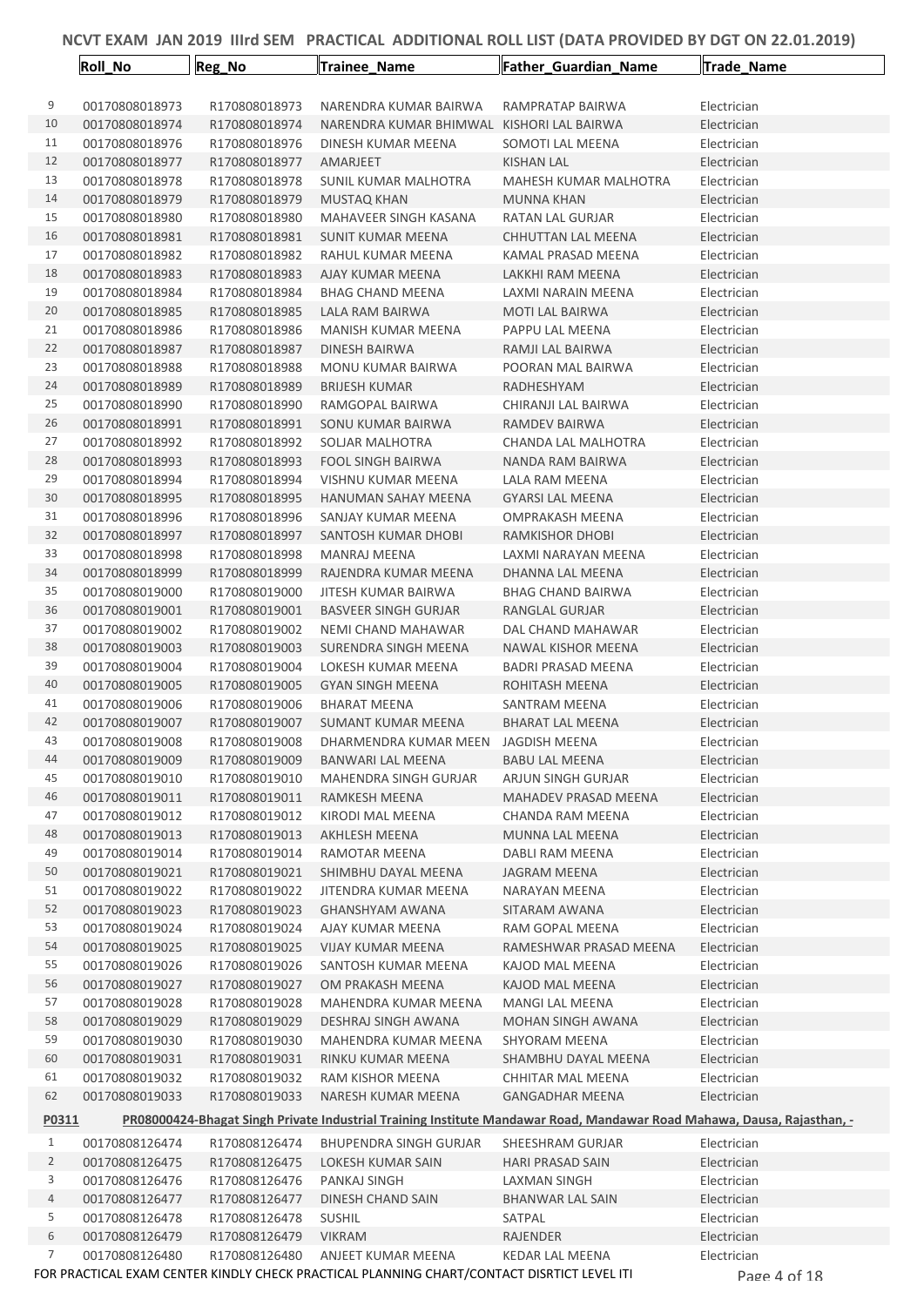|                | Roll_No        | Reg_No        | Trainee_Name                                                                               | Father_Guardian_Name                                                                                                   | Trade_Name   |  |
|----------------|----------------|---------------|--------------------------------------------------------------------------------------------|------------------------------------------------------------------------------------------------------------------------|--------------|--|
| 9              | 00170808018973 | R170808018973 | NARENDRA KUMAR BAIRWA                                                                      | RAMPRATAP BAIRWA                                                                                                       | Electrician  |  |
| 10             | 00170808018974 | R170808018974 | NARENDRA KUMAR BHIMWAL KISHORI LAL BAIRWA                                                  |                                                                                                                        | Electrician  |  |
| 11             | 00170808018976 | R170808018976 | DINESH KUMAR MEENA                                                                         | SOMOTI LAL MEENA                                                                                                       | Electrician  |  |
| 12             | 00170808018977 | R170808018977 | AMARJEET                                                                                   | <b>KISHAN LAL</b>                                                                                                      | Electrician  |  |
| 13             | 00170808018978 | R170808018978 | <b>SUNIL KUMAR MALHOTRA</b>                                                                | MAHESH KUMAR MALHOTRA                                                                                                  | Electrician  |  |
| 14             | 00170808018979 | R170808018979 | MUSTAQ KHAN                                                                                | <b>MUNNA KHAN</b>                                                                                                      | Electrician  |  |
| 15             | 00170808018980 | R170808018980 | MAHAVEER SINGH KASANA                                                                      | RATAN LAL GURJAR                                                                                                       | Electrician  |  |
| 16             | 00170808018981 | R170808018981 | SUNIT KUMAR MEENA                                                                          | CHHUTTAN LAL MEENA                                                                                                     | Electrician  |  |
| 17             | 00170808018982 | R170808018982 | RAHUL KUMAR MEENA                                                                          | KAMAL PRASAD MEENA                                                                                                     | Electrician  |  |
| 18             | 00170808018983 | R170808018983 | AJAY KUMAR MEENA                                                                           | LAKKHI RAM MEENA                                                                                                       | Electrician  |  |
| 19             | 00170808018984 | R170808018984 | <b>BHAG CHAND MEENA</b>                                                                    | LAXMI NARAIN MEENA                                                                                                     | Electrician  |  |
| 20             | 00170808018985 | R170808018985 | LALA RAM BAIRWA                                                                            | MOTI LAL BAIRWA                                                                                                        | Electrician  |  |
| 21             | 00170808018986 | R170808018986 | MANISH KUMAR MEENA                                                                         | PAPPU LAL MEENA                                                                                                        | Electrician  |  |
| 22             | 00170808018987 | R170808018987 | DINESH BAIRWA                                                                              | RAMJI LAL BAIRWA                                                                                                       | Electrician  |  |
| 23             | 00170808018988 | R170808018988 | MONU KUMAR BAIRWA                                                                          | POORAN MAL BAIRWA                                                                                                      | Electrician  |  |
| 24             | 00170808018989 | R170808018989 | <b>BRIJESH KUMAR</b>                                                                       | RADHESHYAM                                                                                                             | Electrician  |  |
| 25             | 00170808018990 | R170808018990 | RAMGOPAL BAIRWA                                                                            | CHIRANJI LAL BAIRWA                                                                                                    | Electrician  |  |
| 26             | 00170808018991 | R170808018991 | SONU KUMAR BAIRWA                                                                          | RAMDEV BAIRWA                                                                                                          | Electrician  |  |
| 27             | 00170808018992 | R170808018992 | SOLJAR MALHOTRA                                                                            | CHANDA LAL MALHOTRA                                                                                                    | Electrician  |  |
| 28             | 00170808018993 | R170808018993 | <b>FOOL SINGH BAIRWA</b>                                                                   | NANDA RAM BAIRWA                                                                                                       | Electrician  |  |
| 29             | 00170808018994 | R170808018994 | <b>VISHNU KUMAR MEENA</b>                                                                  | LALA RAM MEENA                                                                                                         | Electrician  |  |
| 30             | 00170808018995 | R170808018995 | HANUMAN SAHAY MEENA                                                                        | <b>GYARSI LAL MEENA</b>                                                                                                | Electrician  |  |
| 31             | 00170808018996 | R170808018996 | SANJAY KUMAR MEENA                                                                         | OMPRAKASH MEENA                                                                                                        | Electrician  |  |
| 32             | 00170808018997 | R170808018997 | SANTOSH KUMAR DHOBI                                                                        | RAMKISHOR DHOBI                                                                                                        | Electrician  |  |
| 33             | 00170808018998 | R170808018998 | MANRAJ MEENA                                                                               | LAXMI NARAYAN MEENA                                                                                                    | Electrician  |  |
| 34             | 00170808018999 | R170808018999 | RAJENDRA KUMAR MEENA                                                                       | DHANNA LAL MEENA                                                                                                       | Electrician  |  |
| 35             | 00170808019000 | R170808019000 | JITESH KUMAR BAIRWA                                                                        | <b>BHAG CHAND BAIRWA</b>                                                                                               | Electrician  |  |
| 36             | 00170808019001 | R170808019001 | <b>BASVEER SINGH GURJAR</b>                                                                | RANGLAL GURJAR                                                                                                         | Electrician  |  |
| 37             | 00170808019002 | R170808019002 | NEMI CHAND MAHAWAR                                                                         | DAL CHAND MAHAWAR                                                                                                      | Electrician  |  |
| 38             | 00170808019003 | R170808019003 | <b>SURENDRA SINGH MEENA</b>                                                                | <b>NAWAL KISHOR MEENA</b>                                                                                              | Electrician  |  |
| 39             | 00170808019004 | R170808019004 | LOKESH KUMAR MEENA                                                                         | <b>BADRI PRASAD MEENA</b>                                                                                              | Electrician  |  |
| 40             | 00170808019005 | R170808019005 | <b>GYAN SINGH MEENA</b>                                                                    | ROHITASH MEENA                                                                                                         | Electrician  |  |
| 41             | 00170808019006 | R170808019006 | <b>BHARAT MEENA</b>                                                                        | SANTRAM MEENA                                                                                                          | Electrician  |  |
| 42             | 00170808019007 | R170808019007 | SUMANT KUMAR MEENA                                                                         | <b>BHARAT LAL MEENA</b>                                                                                                | Electrician  |  |
| 43             | 00170808019008 | R170808019008 | DHARMENDRA KUMAR MEEN                                                                      | <b>JAGDISH MEENA</b>                                                                                                   | Electrician  |  |
| 44             | 00170808019009 | R170808019009 | BANWARI LAL MEENA                                                                          | <b>BABU LAL MEENA</b>                                                                                                  | Electrician  |  |
| 45             | 00170808019010 | R170808019010 | MAHENDRA SINGH GURJAR                                                                      | ARJUN SINGH GURJAR                                                                                                     | Electrician  |  |
| 46             | 00170808019011 | R170808019011 | RAMKESH MEENA                                                                              | MAHADEV PRASAD MEENA                                                                                                   | Electrician  |  |
| 47             | 00170808019012 | R170808019012 | KIRODI MAL MEENA                                                                           | CHANDA RAM MEENA                                                                                                       | Electrician  |  |
| 48             | 00170808019013 | R170808019013 | AKHLESH MEENA                                                                              | MUNNA LAL MEENA                                                                                                        | Electrician  |  |
| 49             | 00170808019014 | R170808019014 | RAMOTAR MEENA                                                                              | DABLI RAM MEENA                                                                                                        | Electrician  |  |
| 50             | 00170808019021 | R170808019021 | SHIMBHU DAYAL MEENA                                                                        | JAGRAM MEENA                                                                                                           | Electrician  |  |
| 51             | 00170808019022 | R170808019022 | JITENDRA KUMAR MEENA                                                                       | NARAYAN MEENA                                                                                                          | Electrician  |  |
| 52             | 00170808019023 | R170808019023 | <b>GHANSHYAM AWANA</b>                                                                     | SITARAM AWANA                                                                                                          | Electrician  |  |
| 53             | 00170808019024 | R170808019024 | AJAY KUMAR MEENA                                                                           | RAM GOPAL MEENA                                                                                                        | Electrician  |  |
| 54             | 00170808019025 | R170808019025 | <b>VIJAY KUMAR MEENA</b>                                                                   | RAMESHWAR PRASAD MEENA                                                                                                 | Electrician  |  |
| 55             | 00170808019026 | R170808019026 | SANTOSH KUMAR MEENA                                                                        | KAJOD MAL MEENA                                                                                                        | Electrician  |  |
| 56             | 00170808019027 | R170808019027 | OM PRAKASH MEENA                                                                           | KAJOD MAL MEENA                                                                                                        | Electrician  |  |
| 57             | 00170808019028 | R170808019028 | MAHENDRA KUMAR MEENA                                                                       | MANGI LAL MEENA                                                                                                        | Electrician  |  |
| 58             | 00170808019029 | R170808019029 | DESHRAJ SINGH AWANA                                                                        | <b>MOHAN SINGH AWANA</b>                                                                                               | Electrician  |  |
| 59             | 00170808019030 | R170808019030 | MAHENDRA KUMAR MEENA                                                                       | SHYORAM MEENA                                                                                                          | Electrician  |  |
| 60             | 00170808019031 | R170808019031 | RINKU KUMAR MEENA                                                                          | SHAMBHU DAYAL MEENA                                                                                                    | Electrician  |  |
| 61             | 00170808019032 | R170808019032 | RAM KISHOR MEENA                                                                           | CHHITAR MAL MEENA                                                                                                      | Electrician  |  |
| 62             | 00170808019033 | R170808019033 | NARESH KUMAR MEENA                                                                         | <b>GANGADHAR MEENA</b>                                                                                                 | Electrician  |  |
| P0311          |                |               |                                                                                            | PR08000424-Bhagat Singh Private Industrial Training Institute Mandawar Road, Mandawar Road Mahawa, Dausa, Rajasthan, - |              |  |
| $\mathbf{1}$   | 00170808126474 | R170808126474 | <b>BHUPENDRA SINGH GURJAR</b>                                                              | SHEESHRAM GURJAR                                                                                                       | Electrician  |  |
| $\overline{2}$ | 00170808126475 | R170808126475 | LOKESH KUMAR SAIN                                                                          | <b>HARI PRASAD SAIN</b>                                                                                                | Electrician  |  |
| 3              | 00170808126476 | R170808126476 | PANKAJ SINGH                                                                               | <b>LAXMAN SINGH</b>                                                                                                    | Electrician  |  |
| 4              | 00170808126477 | R170808126477 | DINESH CHAND SAIN                                                                          | <b>BHANWAR LAL SAIN</b>                                                                                                | Electrician  |  |
| 5              | 00170808126478 | R170808126478 | <b>SUSHIL</b>                                                                              | SATPAL                                                                                                                 | Electrician  |  |
| 6              | 00170808126479 | R170808126479 | <b>VIKRAM</b>                                                                              | RAJENDER                                                                                                               | Electrician  |  |
| 7              | 00170808126480 | R170808126480 | ANJEET KUMAR MEENA                                                                         | KEDAR LAL MEENA                                                                                                        | Electrician  |  |
|                |                |               | FOR PRACTICAL EXAM CENTER KINDLY CHECK PRACTICAL PLANNING CHART/CONTACT DISRTICT LEVEL ITI |                                                                                                                        | Page 4 of 18 |  |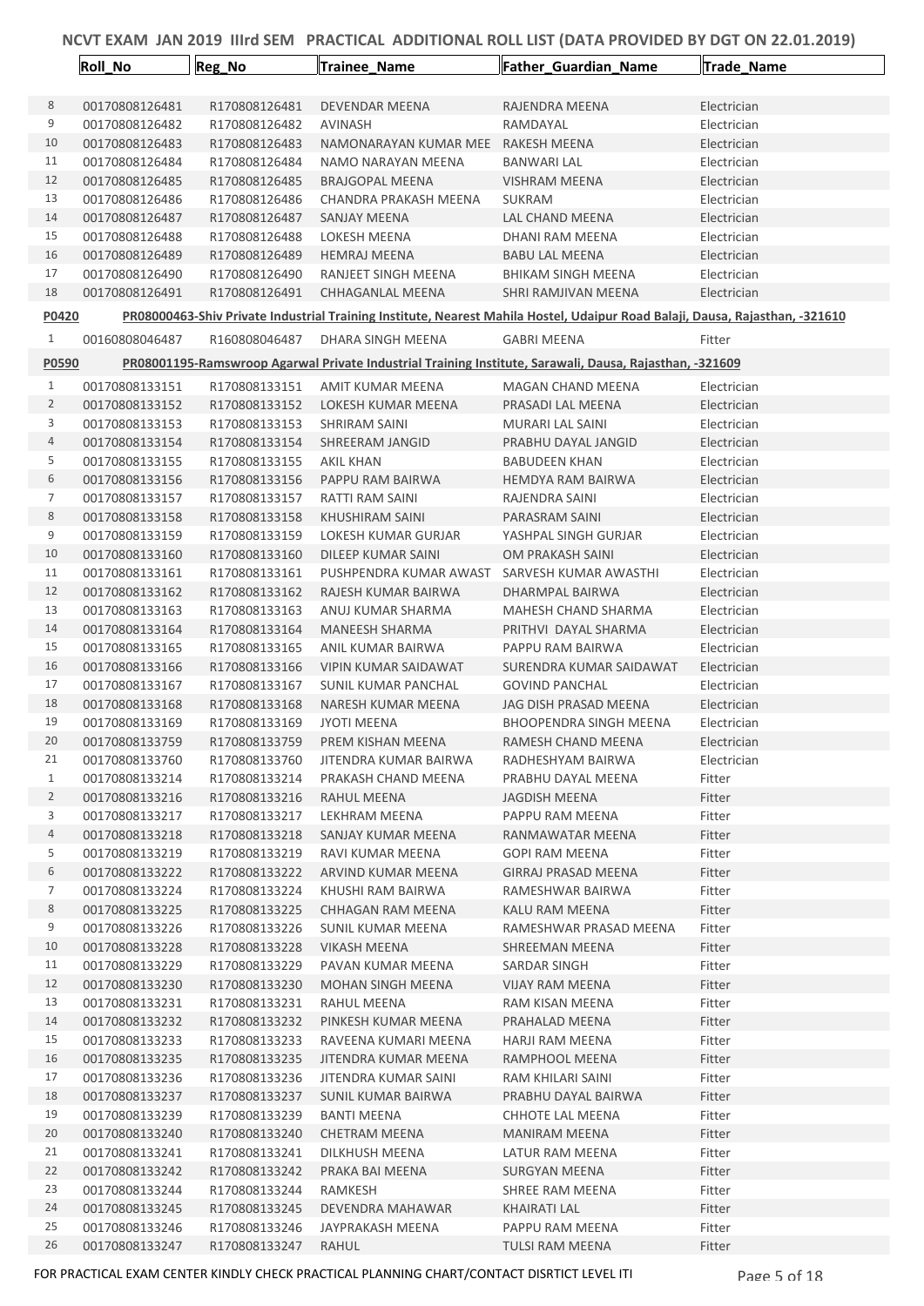|                | Roll_No        | Reg_No        | <b>Trainee Name</b>         | <b>Father Guardian Name</b>                                                                                                  | Trade_Name  |
|----------------|----------------|---------------|-----------------------------|------------------------------------------------------------------------------------------------------------------------------|-------------|
|                |                |               |                             |                                                                                                                              |             |
| 8              | 00170808126481 | R170808126481 | <b>DEVENDAR MEENA</b>       | RAJENDRA MEENA                                                                                                               | Electrician |
| 9              | 00170808126482 | R170808126482 | AVINASH                     | RAMDAYAL                                                                                                                     | Electrician |
| 10             | 00170808126483 | R170808126483 | NAMONARAYAN KUMAR MEE       | RAKESH MEENA                                                                                                                 | Electrician |
| 11             | 00170808126484 | R170808126484 | NAMO NARAYAN MEENA          | <b>BANWARI LAL</b>                                                                                                           | Electrician |
| 12             | 00170808126485 | R170808126485 | <b>BRAJGOPAL MEENA</b>      | <b>VISHRAM MEENA</b>                                                                                                         | Electrician |
| 13             | 00170808126486 | R170808126486 | CHANDRA PRAKASH MEENA       | <b>SUKRAM</b>                                                                                                                | Electrician |
| 14             | 00170808126487 | R170808126487 | <b>SANJAY MEENA</b>         | <b>LAL CHAND MEENA</b>                                                                                                       | Electrician |
| 15             | 00170808126488 | R170808126488 | LOKESH MEENA                | DHANI RAM MEENA                                                                                                              | Electrician |
| 16             | 00170808126489 | R170808126489 | <b>HEMRAJ MEENA</b>         | BABU LAL MEENA                                                                                                               | Electrician |
| 17             | 00170808126490 | R170808126490 | RANJEET SINGH MEENA         | <b>BHIKAM SINGH MEENA</b>                                                                                                    | Electrician |
| 18             | 00170808126491 | R170808126491 | CHHAGANLAL MEENA            | SHRI RAMJIVAN MEENA                                                                                                          | Electrician |
| P0420          |                |               |                             | PR08000463-Shiv Private Industrial Training Institute, Nearest Mahila Hostel, Udaipur Road Balaji, Dausa, Rajasthan, -321610 |             |
| 1              | 00160808046487 | R160808046487 | DHARA SINGH MEENA           | <b>GABRI MEENA</b>                                                                                                           | Fitter      |
| P0590          |                |               |                             | PR08001195-Ramswroop Agarwal Private Industrial Training Institute, Sarawali, Dausa, Rajasthan, -321609                      |             |
| 1              | 00170808133151 | R170808133151 | AMIT KUMAR MEENA            | <b>MAGAN CHAND MEENA</b>                                                                                                     | Electrician |
| 2              | 00170808133152 | R170808133152 | LOKESH KUMAR MEENA          | PRASADI LAL MEENA                                                                                                            | Electrician |
| 3              | 00170808133153 | R170808133153 | <b>SHRIRAM SAINI</b>        | <b>MURARI LAL SAINI</b>                                                                                                      | Electrician |
| 4              | 00170808133154 | R170808133154 | SHREERAM JANGID             | PRABHU DAYAL JANGID                                                                                                          | Electrician |
| 5              | 00170808133155 | R170808133155 | AKIL KHAN                   | <b>BABUDEEN KHAN</b>                                                                                                         | Electrician |
| 6              | 00170808133156 | R170808133156 | PAPPU RAM BAIRWA            | <b>HEMDYA RAM BAIRWA</b>                                                                                                     | Electrician |
| 7              | 00170808133157 | R170808133157 | <b>RATTI RAM SAINI</b>      | RAJENDRA SAINI                                                                                                               | Electrician |
| 8              | 00170808133158 | R170808133158 | KHUSHIRAM SAINI             | PARASRAM SAINI                                                                                                               | Electrician |
| 9              | 00170808133159 | R170808133159 | LOKESH KUMAR GURJAR         | YASHPAL SINGH GURJAR                                                                                                         | Electrician |
| 10             | 00170808133160 | R170808133160 | DILEEP KUMAR SAINI          | OM PRAKASH SAINI                                                                                                             | Electrician |
| 11             | 00170808133161 | R170808133161 | PUSHPENDRA KUMAR AWAST      | SARVESH KUMAR AWASTHI                                                                                                        | Electrician |
| 12             | 00170808133162 | R170808133162 | RAJESH KUMAR BAIRWA         | DHARMPAL BAIRWA                                                                                                              | Electrician |
| 13             | 00170808133163 | R170808133163 | ANUJ KUMAR SHARMA           | MAHESH CHAND SHARMA                                                                                                          | Electrician |
| 14             | 00170808133164 | R170808133164 | <b>MANEESH SHARMA</b>       | PRITHVI DAYAL SHARMA                                                                                                         | Electrician |
| 15             | 00170808133165 | R170808133165 | ANIL KUMAR BAIRWA           | PAPPU RAM BAIRWA                                                                                                             | Electrician |
| 16             | 00170808133166 | R170808133166 | <b>VIPIN KUMAR SAIDAWAT</b> | SURENDRA KUMAR SAIDAWAT                                                                                                      | Electrician |
| 17             | 00170808133167 | R170808133167 | SUNIL KUMAR PANCHAL         | <b>GOVIND PANCHAL</b>                                                                                                        | Electrician |
| 18             | 00170808133168 | R170808133168 | NARESH KUMAR MEENA          | JAG DISH PRASAD MEENA                                                                                                        | Electrician |
| 19             | 00170808133169 | R170808133169 | JYOTI MEENA                 | <b>BHOOPENDRA SINGH MEENA</b>                                                                                                | Electrician |
| 20             | 00170808133759 | R170808133759 | PREM KISHAN MEENA           | RAMESH CHAND MEENA                                                                                                           | Electrician |
| 21             | 00170808133760 | R170808133760 | JITENDRA KUMAR BAIRWA       | RADHESHYAM BAIRWA                                                                                                            | Electrician |
| $\mathbf{1}$   | 00170808133214 | R170808133214 | PRAKASH CHAND MEENA         | PRABHU DAYAL MEENA                                                                                                           | Fitter      |
| $\overline{2}$ | 00170808133216 | R170808133216 | RAHUL MEENA                 | <b>JAGDISH MEENA</b>                                                                                                         | Fitter      |
| 3              | 00170808133217 | R170808133217 | LEKHRAM MEENA               | PAPPU RAM MEENA                                                                                                              | Fitter      |
| 4              | 00170808133218 | R170808133218 | SANJAY KUMAR MEENA          | RANMAWATAR MEENA                                                                                                             | Fitter      |
| 5              | 00170808133219 | R170808133219 | RAVI KUMAR MEENA            | <b>GOPI RAM MEENA</b>                                                                                                        | Fitter      |
| 6              | 00170808133222 | R170808133222 | ARVIND KUMAR MEENA          | <b>GIRRAJ PRASAD MEENA</b>                                                                                                   | Fitter      |
| 7              | 00170808133224 | R170808133224 | KHUSHI RAM BAIRWA           | RAMESHWAR BAIRWA                                                                                                             | Fitter      |
| 8              | 00170808133225 | R170808133225 | CHHAGAN RAM MEENA           | KALU RAM MEENA                                                                                                               | Fitter      |
| 9              | 00170808133226 | R170808133226 | <b>SUNIL KUMAR MEENA</b>    | RAMESHWAR PRASAD MEENA                                                                                                       | Fitter      |
| 10             | 00170808133228 | R170808133228 | <b>VIKASH MEENA</b>         | SHREEMAN MEENA                                                                                                               | Fitter      |
| 11             | 00170808133229 | R170808133229 | PAVAN KUMAR MEENA           | SARDAR SINGH                                                                                                                 | Fitter      |
| 12             | 00170808133230 | R170808133230 | MOHAN SINGH MEENA           | <b>VIJAY RAM MEENA</b>                                                                                                       | Fitter      |
| 13             | 00170808133231 | R170808133231 | RAHUL MEENA                 | RAM KISAN MEENA                                                                                                              | Fitter      |
| 14             | 00170808133232 | R170808133232 | PINKESH KUMAR MEENA         | PRAHALAD MEENA                                                                                                               | Fitter      |
| 15             | 00170808133233 | R170808133233 | RAVEENA KUMARI MEENA        | <b>HARJI RAM MEENA</b>                                                                                                       | Fitter      |
| 16             | 00170808133235 | R170808133235 | JITENDRA KUMAR MEENA        | RAMPHOOL MEENA                                                                                                               | Fitter      |
| 17             | 00170808133236 | R170808133236 | JITENDRA KUMAR SAINI        | RAM KHILARI SAINI                                                                                                            | Fitter      |
| 18             | 00170808133237 | R170808133237 | SUNIL KUMAR BAIRWA          | PRABHU DAYAL BAIRWA                                                                                                          | Fitter      |
| 19             | 00170808133239 | R170808133239 | <b>BANTI MEENA</b>          | CHHOTE LAL MEENA                                                                                                             | Fitter      |
| 20             | 00170808133240 | R170808133240 | <b>CHETRAM MEENA</b>        | <b>MANIRAM MEENA</b>                                                                                                         | Fitter      |
| 21             | 00170808133241 | R170808133241 | DILKHUSH MEENA              | LATUR RAM MEENA                                                                                                              | Fitter      |
| 22             | 00170808133242 | R170808133242 | PRAKA BAI MEENA             | <b>SURGYAN MEENA</b>                                                                                                         | Fitter      |
| 23             | 00170808133244 | R170808133244 | RAMKESH                     | SHREE RAM MEENA                                                                                                              | Fitter      |
| 24             | 00170808133245 | R170808133245 | DEVENDRA MAHAWAR            | KHAIRATI LAL                                                                                                                 | Fitter      |
| 25             | 00170808133246 | R170808133246 | JAYPRAKASH MEENA            | PAPPU RAM MEENA                                                                                                              | Fitter      |
| 26             | 00170808133247 | R170808133247 | RAHUL                       | TULSI RAM MEENA                                                                                                              | Fitter      |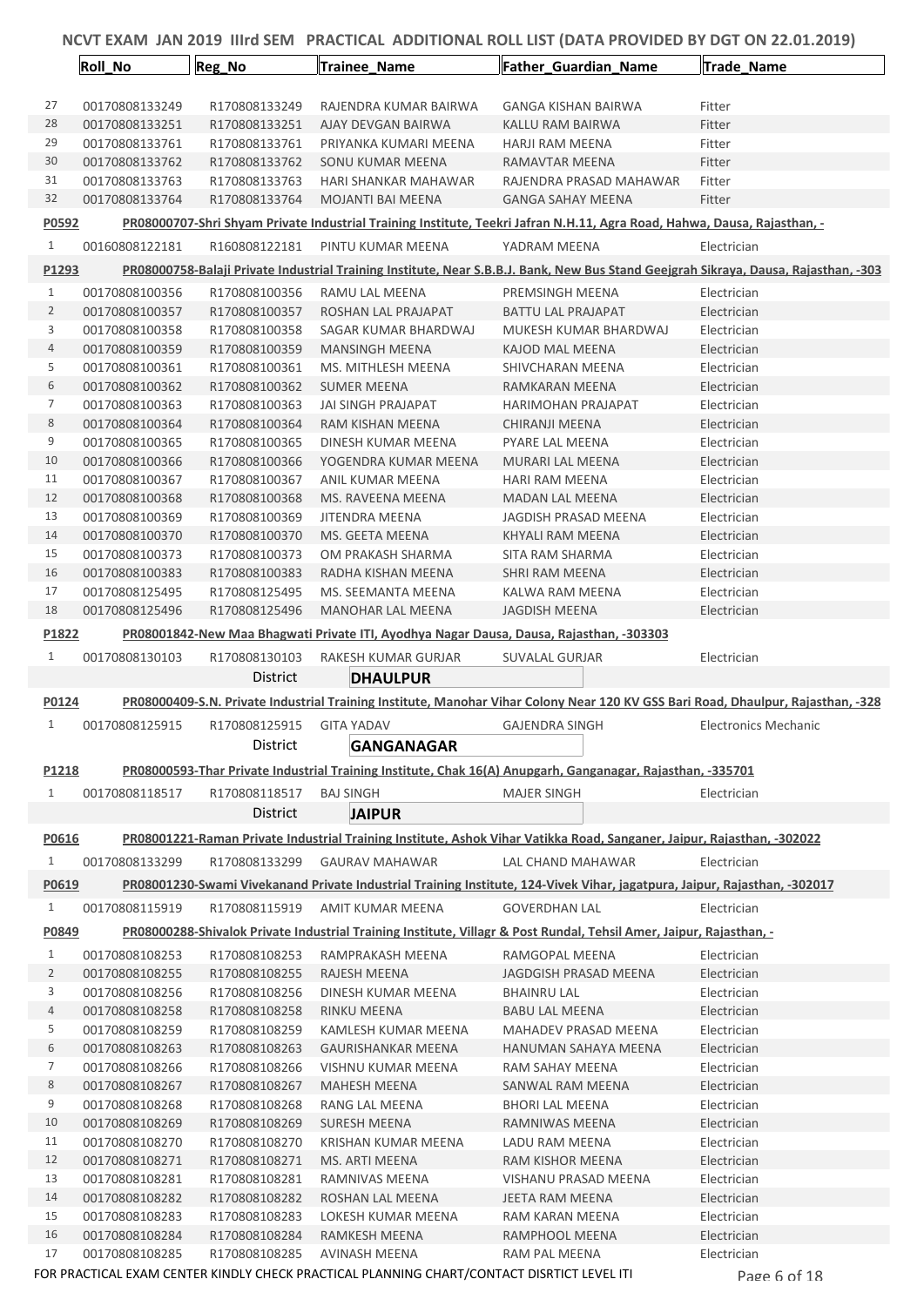|                | <b>Roll No</b> | Reg_No        | Trainee_Name                                                                                                | Father_Guardian_Name                                                                                                                | Trade_Name                  |  |
|----------------|----------------|---------------|-------------------------------------------------------------------------------------------------------------|-------------------------------------------------------------------------------------------------------------------------------------|-----------------------------|--|
| 27             | 00170808133249 |               |                                                                                                             |                                                                                                                                     |                             |  |
| 28             |                | R170808133249 | RAJENDRA KUMAR BAIRWA                                                                                       | GANGA KISHAN BAIRWA                                                                                                                 | Fitter                      |  |
| 29             | 00170808133251 | R170808133251 | AJAY DEVGAN BAIRWA                                                                                          | KALLU RAM BAIRWA                                                                                                                    | Fitter                      |  |
| 30             | 00170808133761 | R170808133761 | PRIYANKA KUMARI MEENA                                                                                       | <b>HARJI RAM MEENA</b>                                                                                                              | Fitter                      |  |
| 31             | 00170808133762 | R170808133762 | SONU KUMAR MEENA                                                                                            | RAMAVTAR MEENA                                                                                                                      | Fitter                      |  |
| 32             | 00170808133763 | R170808133763 | HARI SHANKAR MAHAWAR                                                                                        | RAJENDRA PRASAD MAHAWAR                                                                                                             | Fitter                      |  |
|                | 00170808133764 | R170808133764 | <b>MOJANTI BAI MEENA</b>                                                                                    | <b>GANGA SAHAY MEENA</b>                                                                                                            | Fitter                      |  |
| P0592          |                |               |                                                                                                             | PR08000707-Shri Shyam Private Industrial Training Institute, Teekri Jafran N.H.11, Agra Road, Hahwa, Dausa, Rajasthan, -            |                             |  |
| $\mathbf{1}$   | 00160808122181 | R160808122181 | PINTU KUMAR MEENA                                                                                           | YADRAM MEENA                                                                                                                        | Electrician                 |  |
| P1293          |                |               |                                                                                                             | PR08000758-Balaji Private Industrial Training Institute, Near S.B.B.J. Bank, New Bus Stand Geejgrah Sikraya, Dausa, Rajasthan, -303 |                             |  |
| $\mathbf{1}$   | 00170808100356 | R170808100356 | RAMU LAL MEENA                                                                                              | PREMSINGH MEENA                                                                                                                     | Electrician                 |  |
| $\overline{2}$ | 00170808100357 | R170808100357 | ROSHAN LAL PRAJAPAT                                                                                         | <b>BATTU LAL PRAJAPAT</b>                                                                                                           | Electrician                 |  |
| 3              | 00170808100358 | R170808100358 | SAGAR KUMAR BHARDWAJ                                                                                        | MUKESH KUMAR BHARDWAJ                                                                                                               | Electrician                 |  |
| 4              | 00170808100359 | R170808100359 | <b>MANSINGH MEENA</b>                                                                                       | KAJOD MAL MEENA                                                                                                                     | Electrician                 |  |
| 5              | 00170808100361 | R170808100361 | MS. MITHLESH MEENA                                                                                          | SHIVCHARAN MEENA                                                                                                                    | Electrician                 |  |
| 6              | 00170808100362 | R170808100362 | <b>SUMER MEENA</b>                                                                                          | RAMKARAN MEENA                                                                                                                      | Electrician                 |  |
| 7              | 00170808100363 | R170808100363 | JAI SINGH PRAJAPAT                                                                                          | <b>HARIMOHAN PRAJAPAT</b>                                                                                                           | Electrician                 |  |
| $\,8\,$        | 00170808100364 | R170808100364 | RAM KISHAN MEENA                                                                                            | CHIRANJI MEENA                                                                                                                      | Electrician                 |  |
| 9              | 00170808100365 | R170808100365 | DINESH KUMAR MEENA                                                                                          | <b>PYARE LAL MEENA</b>                                                                                                              | Electrician                 |  |
| 10             | 00170808100366 | R170808100366 | YOGENDRA KUMAR MEENA                                                                                        | MURARI LAL MEENA                                                                                                                    | Electrician                 |  |
| 11             | 00170808100367 | R170808100367 | ANIL KUMAR MEENA                                                                                            | <b>HARI RAM MEENA</b>                                                                                                               | Electrician                 |  |
| 12             | 00170808100368 | R170808100368 | MS. RAVEENA MEENA                                                                                           | <b>MADAN LAL MEENA</b>                                                                                                              | Electrician                 |  |
| 13             | 00170808100369 | R170808100369 | JITENDRA MEENA                                                                                              | JAGDISH PRASAD MEENA                                                                                                                | Electrician                 |  |
| 14             | 00170808100370 | R170808100370 | MS. GEETA MEENA                                                                                             | KHYALI RAM MEENA                                                                                                                    | Electrician                 |  |
| 15             | 00170808100373 | R170808100373 | OM PRAKASH SHARMA                                                                                           | SITA RAM SHARMA                                                                                                                     | Electrician                 |  |
| 16             | 00170808100383 | R170808100383 | RADHA KISHAN MEENA                                                                                          | SHRI RAM MEENA                                                                                                                      | Electrician                 |  |
| 17             | 00170808125495 | R170808125495 | MS. SEEMANTA MEENA                                                                                          | KALWA RAM MEENA                                                                                                                     | Electrician                 |  |
| 18             | 00170808125496 | R170808125496 | <b>MANOHAR LAL MEENA</b>                                                                                    | JAGDISH MEENA                                                                                                                       | Electrician                 |  |
| P1822          |                |               |                                                                                                             | PR08001842-New Maa Bhagwati Private ITI, Ayodhya Nagar Dausa, Dausa, Rajasthan, -303303                                             |                             |  |
| $1\,$          | 00170808130103 | R170808130103 | RAKESH KUMAR GURJAR                                                                                         | <b>SUVALAL GURJAR</b>                                                                                                               | Electrician                 |  |
|                |                | District      | <b>DHAULPUR</b>                                                                                             |                                                                                                                                     |                             |  |
| P0124          |                |               |                                                                                                             | PR08000409-S.N. Private Industrial Training Institute, Manohar Vihar Colony Near 120 KV GSS Bari Road, Dhaulpur, Rajasthan, -328    |                             |  |
| $\mathbf{1}$   | 00170808125915 | R170808125915 | <b>GITA YADAV</b>                                                                                           | <b>GAJENDRA SINGH</b>                                                                                                               | <b>Electronics Mechanic</b> |  |
|                |                | District      | <b>GANGANAGAR</b>                                                                                           |                                                                                                                                     |                             |  |
| P1218          |                |               |                                                                                                             | PR08000593-Thar Private Industrial Training Institute, Chak 16(A) Anupgarh, Ganganagar, Rajasthan, -335701                          |                             |  |
|                |                |               |                                                                                                             |                                                                                                                                     |                             |  |
| $\mathbf{1}$   | 00170808118517 | R170808118517 | <b>BAJ SINGH</b>                                                                                            | <b>MAJER SINGH</b>                                                                                                                  | Electrician                 |  |
|                |                | District      | <b>JAIPUR</b>                                                                                               |                                                                                                                                     |                             |  |
| P0616          |                |               |                                                                                                             | PR08001221-Raman Private Industrial Training Institute, Ashok Vihar Vatikka Road, Sanganer, Jaipur, Rajasthan, -302022              |                             |  |
| $\mathbf{1}$   | 00170808133299 | R170808133299 | <b>GAURAV MAHAWAR</b>                                                                                       | LAL CHAND MAHAWAR                                                                                                                   | Electrician                 |  |
| P0619          |                |               |                                                                                                             | PR08001230-Swami Vivekanand Private Industrial Training Institute, 124-Vivek Vihar, jagatpura, Jaipur, Rajasthan, -302017           |                             |  |
| $\mathbf{1}$   | 00170808115919 | R170808115919 | AMIT KUMAR MEENA                                                                                            | <b>GOVERDHAN LAL</b>                                                                                                                | Electrician                 |  |
| P0849          |                |               |                                                                                                             | PR08000288-Shivalok Private Industrial Training Institute, Villagr & Post Rundal, Tehsil Amer, Jaipur, Rajasthan, -                 |                             |  |
| $\mathbf{1}$   | 00170808108253 | R170808108253 | RAMPRAKASH MEENA                                                                                            | RAMGOPAL MEENA                                                                                                                      | Electrician                 |  |
| $\overline{2}$ | 00170808108255 | R170808108255 | RAJESH MEENA                                                                                                | JAGDGISH PRASAD MEENA                                                                                                               | Electrician                 |  |
| 3              | 00170808108256 | R170808108256 | DINESH KUMAR MEENA                                                                                          | <b>BHAINRU LAL</b>                                                                                                                  | Electrician                 |  |
| 4              | 00170808108258 | R170808108258 | RINKU MEENA                                                                                                 | <b>BABU LAL MEENA</b>                                                                                                               | Electrician                 |  |
| 5              | 00170808108259 | R170808108259 | KAMLESH KUMAR MEENA                                                                                         | MAHADEV PRASAD MEENA                                                                                                                | Electrician                 |  |
| 6              | 00170808108263 | R170808108263 | <b>GAURISHANKAR MEENA</b>                                                                                   | HANUMAN SAHAYA MEENA                                                                                                                | Electrician                 |  |
| 7              | 00170808108266 | R170808108266 | VISHNU KUMAR MEENA                                                                                          | RAM SAHAY MEENA                                                                                                                     | Electrician                 |  |
| 8              | 00170808108267 | R170808108267 | MAHESH MEENA                                                                                                | SANWAL RAM MEENA                                                                                                                    | Electrician                 |  |
| 9              | 00170808108268 | R170808108268 | RANG LAL MEENA                                                                                              | <b>BHORI LAL MEENA</b>                                                                                                              | Electrician                 |  |
| 10             | 00170808108269 | R170808108269 | SURESH MEENA                                                                                                | RAMNIWAS MEENA                                                                                                                      | Electrician                 |  |
| 11             | 00170808108270 | R170808108270 | KRISHAN KUMAR MEENA                                                                                         | LADU RAM MEENA                                                                                                                      | Electrician                 |  |
| 12             | 00170808108271 | R170808108271 | MS. ARTI MEENA                                                                                              | RAM KISHOR MEENA                                                                                                                    | Electrician                 |  |
| 13             | 00170808108281 | R170808108281 | RAMNIVAS MEENA                                                                                              | VISHANU PRASAD MEENA                                                                                                                | Electrician                 |  |
| 14             | 00170808108282 | R170808108282 | ROSHAN LAL MEENA                                                                                            | JEETA RAM MEENA                                                                                                                     | Electrician                 |  |
| 15             | 00170808108283 | R170808108283 | LOKESH KUMAR MEENA                                                                                          | RAM KARAN MEENA                                                                                                                     | Electrician                 |  |
| 16<br>17       | 00170808108284 | R170808108284 | RAMKESH MEENA                                                                                               | RAMPHOOL MEENA                                                                                                                      | Electrician                 |  |
|                | 00170808108285 | R170808108285 | AVINASH MEENA<br>FOR PRACTICAL EXAM CENTER KINDLY CHECK PRACTICAL PLANNING CHART/CONTACT DISRTICT LEVEL ITI | RAM PAL MEENA                                                                                                                       | Electrician<br>Page 6 of 18 |  |
|                |                |               |                                                                                                             |                                                                                                                                     |                             |  |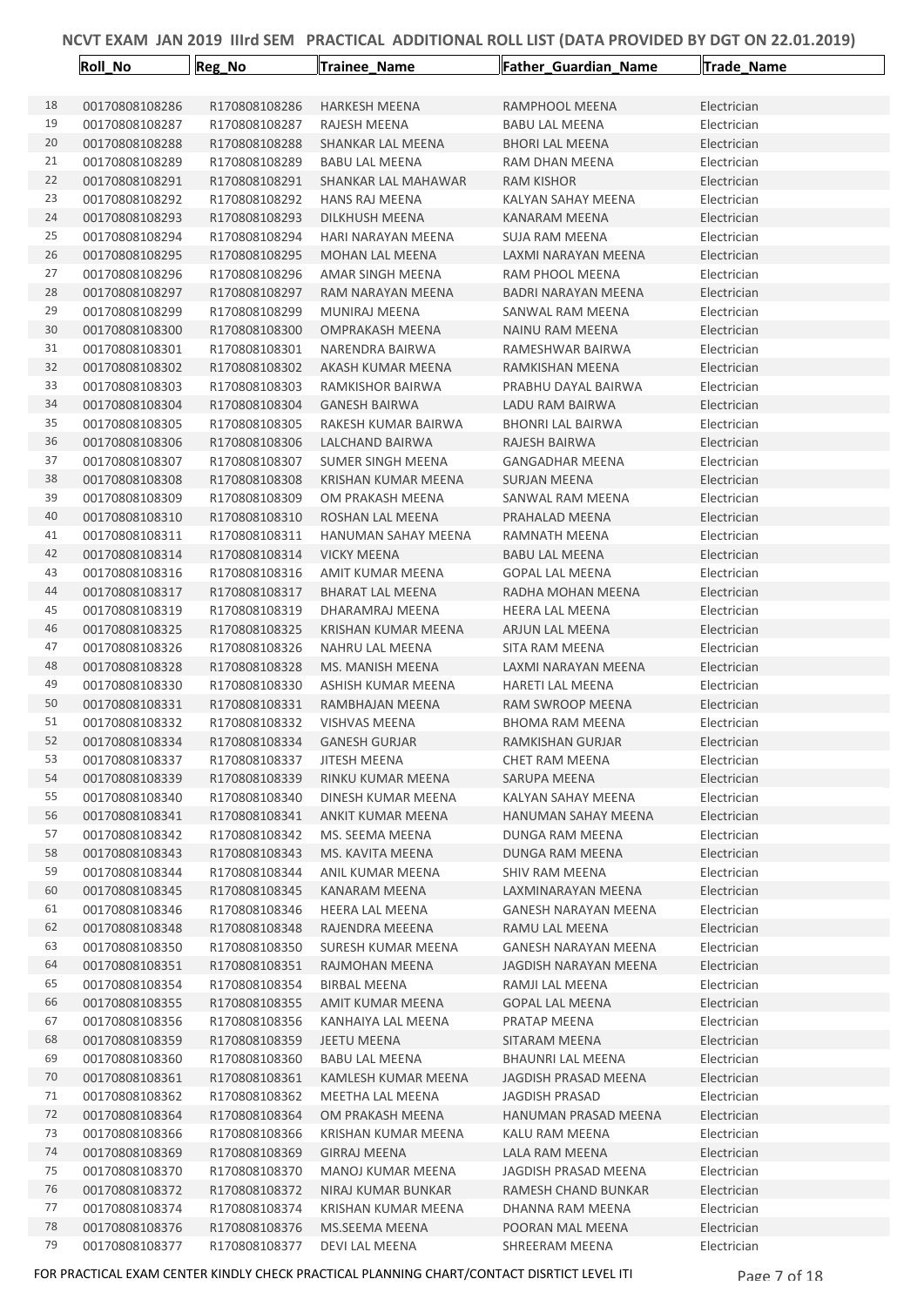|          | Roll_No                          | Reg_No                         | Trainee_Name                              | Father_Guardian_Name                    | Trade_Name                 |
|----------|----------------------------------|--------------------------------|-------------------------------------------|-----------------------------------------|----------------------------|
|          |                                  |                                |                                           |                                         |                            |
| 18       | 00170808108286                   | R170808108286                  | <b>HARKESH MEENA</b>                      | RAMPHOOL MEENA                          | Electrician                |
| 19       | 00170808108287                   | R170808108287                  | RAJESH MEENA                              | <b>BABU LAL MEENA</b>                   | Electrician                |
| 20       | 00170808108288                   | R170808108288                  | SHANKAR LAL MEENA                         | <b>BHORI LAL MEENA</b>                  | Electrician                |
| 21       | 00170808108289                   | R170808108289                  | <b>BABU LAL MEENA</b>                     | RAM DHAN MEENA                          | Electrician                |
| 22       | 00170808108291                   | R170808108291                  | SHANKAR LAL MAHAWAR                       | RAM KISHOR                              | Electrician                |
| 23       | 00170808108292                   | R170808108292                  | <b>HANS RAJ MEENA</b>                     | KALYAN SAHAY MEENA                      | Electrician                |
| 24       | 00170808108293                   | R170808108293                  | DILKHUSH MEENA                            | KANARAM MEENA                           | Electrician                |
| 25       | 00170808108294                   | R170808108294                  | HARI NARAYAN MEENA                        | SUJA RAM MEENA                          | Electrician                |
| 26       | 00170808108295                   | R170808108295                  | <b>MOHAN LAL MEENA</b>                    | LAXMI NARAYAN MEENA                     | Electrician                |
| 27       | 00170808108296                   | R170808108296                  | AMAR SINGH MEENA                          | RAM PHOOL MEENA                         | Electrician                |
| 28       | 00170808108297                   | R170808108297                  | RAM NARAYAN MEENA                         | <b>BADRI NARAYAN MEENA</b>              | Electrician                |
| 29       | 00170808108299                   | R170808108299                  | MUNIRAJ MEENA                             | SANWAL RAM MEENA                        | Electrician                |
| 30       | 00170808108300                   | R170808108300                  | <b>OMPRAKASH MEENA</b>                    | NAINU RAM MEENA                         | Electrician                |
| 31       | 00170808108301                   | R170808108301                  | NARENDRA BAIRWA                           | RAMESHWAR BAIRWA                        | Electrician                |
| 32       | 00170808108302                   | R170808108302                  | AKASH KUMAR MEENA                         | RAMKISHAN MEENA                         | Electrician                |
| 33       | 00170808108303                   | R170808108303                  | RAMKISHOR BAIRWA                          | PRABHU DAYAL BAIRWA                     | Electrician                |
| 34       | 00170808108304                   | R170808108304                  | <b>GANESH BAIRWA</b>                      | LADU RAM BAIRWA                         | Electrician                |
| 35       | 00170808108305                   | R170808108305                  | RAKESH KUMAR BAIRWA                       | <b>BHONRI LAL BAIRWA</b>                | Electrician                |
| 36<br>37 | 00170808108306<br>00170808108307 | R170808108306<br>R170808108307 | LALCHAND BAIRWA<br>SUMER SINGH MEENA      | RAJESH BAIRWA<br><b>GANGADHAR MEENA</b> | Electrician<br>Electrician |
| 38       | 00170808108308                   | R170808108308                  | <b>KRISHAN KUMAR MEENA</b>                | <b>SURJAN MEENA</b>                     | Electrician                |
| 39       | 00170808108309                   | R170808108309                  | OM PRAKASH MEENA                          | SANWAL RAM MEENA                        | Electrician                |
| 40       | 00170808108310                   | R170808108310                  | ROSHAN LAL MEENA                          | PRAHALAD MEENA                          | Electrician                |
| 41       | 00170808108311                   | R170808108311                  | HANUMAN SAHAY MEENA                       | RAMNATH MEENA                           | Electrician                |
| 42       | 00170808108314                   | R170808108314                  | <b>VICKY MEENA</b>                        | <b>BABU LAL MEENA</b>                   | Electrician                |
| 43       | 00170808108316                   | R170808108316                  | AMIT KUMAR MEENA                          | <b>GOPAL LAL MEENA</b>                  | Electrician                |
| 44       | 00170808108317                   | R170808108317                  | <b>BHARAT LAL MEENA</b>                   | RADHA MOHAN MEENA                       | Electrician                |
| 45       | 00170808108319                   | R170808108319                  | DHARAMRAJ MEENA                           | <b>HEERA LAL MEENA</b>                  | Electrician                |
| 46       | 00170808108325                   | R170808108325                  | <b>KRISHAN KUMAR MEENA</b>                | ARJUN LAL MEENA                         | Electrician                |
| 47       | 00170808108326                   | R170808108326                  | NAHRU LAL MEENA                           | SITA RAM MEENA                          | Electrician                |
| 48       | 00170808108328                   | R170808108328                  | MS. MANISH MEENA                          | LAXMI NARAYAN MEENA                     | Electrician                |
| 49       | 00170808108330                   | R170808108330                  | ASHISH KUMAR MEENA                        | <b>HARETI LAL MEENA</b>                 | Electrician                |
| 50       | 00170808108331                   | R170808108331                  | RAMBHAJAN MEENA                           | RAM SWROOP MEENA                        | Electrician                |
| 51       | 00170808108332                   | R170808108332                  | <b>VISHVAS MEENA</b>                      | <b>BHOMA RAM MEENA</b>                  | Electrician                |
| 52       | 00170808108334                   | R170808108334                  | <b>GANESH GURJAR</b>                      | RAMKISHAN GURJAR                        | Electrician                |
| 53       | 00170808108337                   | R170808108337                  | JITESH MEENA                              | <b>CHET RAM MEENA</b>                   | Electrician                |
| 54       | 00170808108339                   | R170808108339                  | RINKU KUMAR MEENA                         | SARUPA MEENA                            | Electrician                |
| 55       | 00170808108340                   | R170808108340                  | DINESH KUMAR MEENA                        | KALYAN SAHAY MEENA                      | Electrician                |
| 56       | 00170808108341                   | R170808108341                  | ANKIT KUMAR MEENA                         | <b>HANUMAN SAHAY MEENA</b>              | Electrician                |
| 57       | 00170808108342                   | R170808108342                  | MS. SEEMA MEENA                           | DUNGA RAM MEENA                         | Electrician                |
| 58       | 00170808108343                   | R170808108343                  | MS. KAVITA MEENA                          | DUNGA RAM MEENA                         | Electrician                |
| 59       | 00170808108344                   | R170808108344                  | ANIL KUMAR MEENA                          | SHIV RAM MEENA                          | Electrician                |
| 60       | 00170808108345                   | R170808108345                  | KANARAM MEENA                             | LAXMINARAYAN MEENA                      | Electrician                |
| 61       | 00170808108346                   | R170808108346                  | HEERA LAL MEENA                           | <b>GANESH NARAYAN MEENA</b>             | Electrician                |
| 62       | 00170808108348                   | R170808108348                  | RAJENDRA MEEENA                           | RAMU LAL MEENA                          | Electrician                |
| 63       | 00170808108350                   | R170808108350                  | SURESH KUMAR MEENA                        | <b>GANESH NARAYAN MEENA</b>             | Electrician                |
| 64       | 00170808108351                   | R170808108351                  | RAJMOHAN MEENA                            | JAGDISH NARAYAN MEENA                   | Electrician                |
| 65       | 00170808108354                   | R170808108354                  | <b>BIRBAL MEENA</b>                       | RAMJI LAL MEENA                         | Electrician                |
| 66       | 00170808108355                   | R170808108355                  | AMIT KUMAR MEENA                          | <b>GOPAL LAL MEENA</b>                  | Electrician                |
| 67       | 00170808108356                   | R170808108356                  | KANHAIYA LAL MEENA                        | PRATAP MEENA                            | Electrician                |
| 68       | 00170808108359                   | R170808108359                  | JEETU MEENA                               | SITARAM MEENA                           | Electrician                |
| 69       | 00170808108360                   | R170808108360                  | <b>BABU LAL MEENA</b>                     | <b>BHAUNRI LAL MEENA</b>                | Electrician                |
| 70       | 00170808108361                   | R170808108361                  | KAMLESH KUMAR MEENA                       | JAGDISH PRASAD MEENA                    | Electrician                |
| 71       | 00170808108362                   | R170808108362                  | MEETHA LAL MEENA                          | JAGDISH PRASAD                          | Electrician                |
| 72       | 00170808108364                   | R170808108364                  | OM PRAKASH MEENA                          | HANUMAN PRASAD MEENA                    | Electrician                |
| 73       | 00170808108366                   | R170808108366                  | KRISHAN KUMAR MEENA                       | KALU RAM MEENA                          | Electrician                |
| 74       | 00170808108369                   | R170808108369                  | <b>GIRRAJ MEENA</b>                       | LALA RAM MEENA                          | Electrician                |
| 75       | 00170808108370                   | R170808108370                  | MANOJ KUMAR MEENA                         | JAGDISH PRASAD MEENA                    | Electrician                |
| 76<br>77 | 00170808108372<br>00170808108374 | R170808108372<br>R170808108374 | NIRAJ KUMAR BUNKAR<br>KRISHAN KUMAR MEENA | RAMESH CHAND BUNKAR<br>DHANNA RAM MEENA | Electrician                |
| 78       | 00170808108376                   | R170808108376                  | MS.SEEMA MEENA                            | POORAN MAL MEENA                        | Electrician<br>Electrician |
| 79       | 00170808108377                   | R170808108377                  | DEVI LAL MEENA                            | SHREERAM MEENA                          | Electrician                |
|          |                                  |                                |                                           |                                         |                            |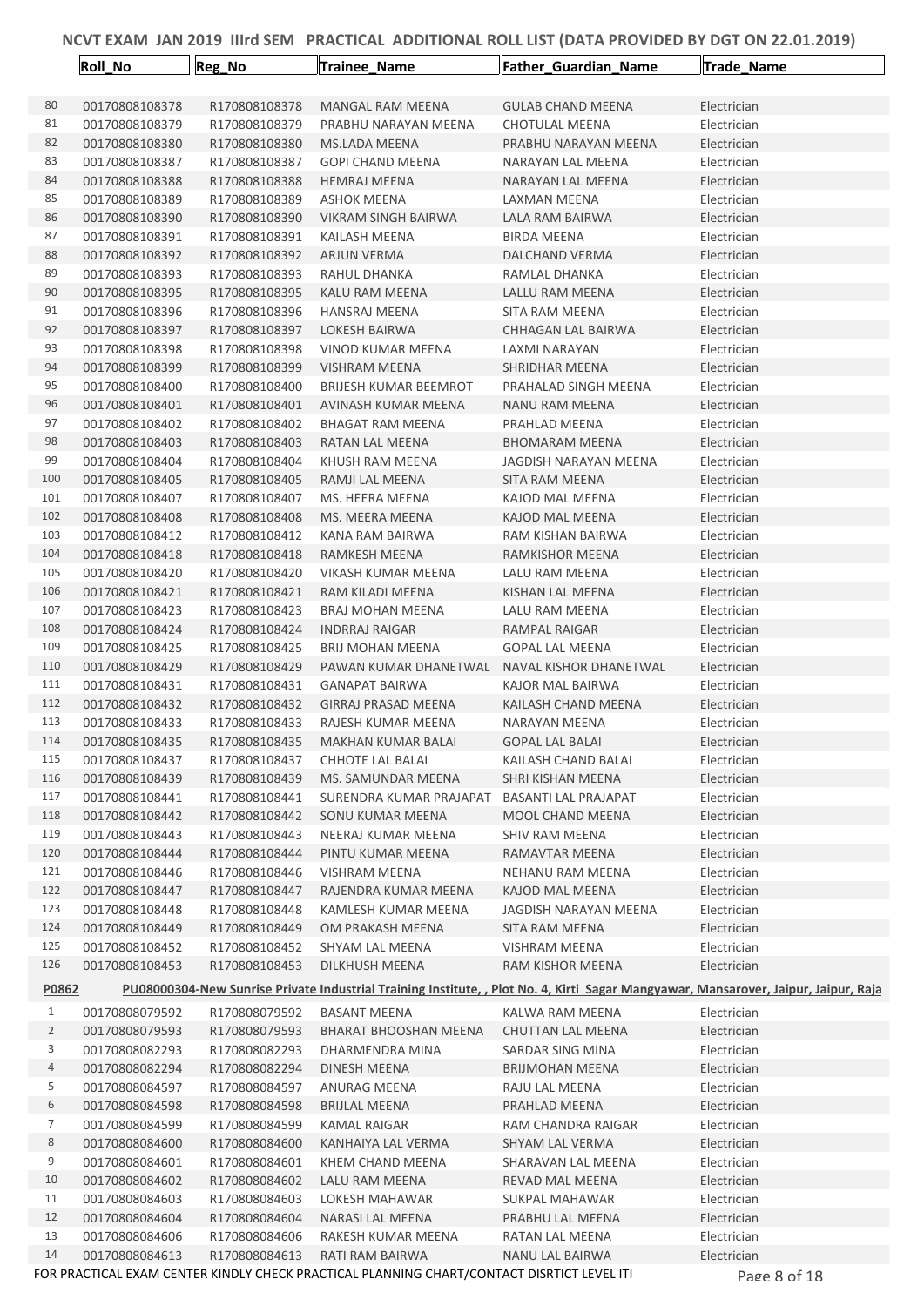|                | <b>Roll_No</b>                   | Reg_No                         | Trainee Name                                                                               | Father_Guardian_Name                                                                                                                | Trade_Name                 |
|----------------|----------------------------------|--------------------------------|--------------------------------------------------------------------------------------------|-------------------------------------------------------------------------------------------------------------------------------------|----------------------------|
|                |                                  |                                |                                                                                            |                                                                                                                                     |                            |
| 80             | 00170808108378                   | R170808108378                  | <b>MANGAL RAM MEENA</b>                                                                    | <b>GULAB CHAND MEENA</b>                                                                                                            | Electrician                |
| 81             | 00170808108379                   | R170808108379                  | PRABHU NARAYAN MEENA                                                                       | <b>CHOTULAL MEENA</b>                                                                                                               | Electrician                |
| 82             | 00170808108380                   | R170808108380                  | <b>MS.LADA MEENA</b>                                                                       | PRABHU NARAYAN MEENA                                                                                                                | Electrician                |
| 83             | 00170808108387                   | R170808108387                  | <b>GOPI CHAND MEENA</b>                                                                    | NARAYAN LAL MEENA                                                                                                                   | Electrician                |
| 84             | 00170808108388                   | R170808108388                  | <b>HEMRAJ MEENA</b>                                                                        | NARAYAN LAL MEENA                                                                                                                   | Electrician                |
| 85             | 00170808108389                   | R170808108389                  | <b>ASHOK MEENA</b>                                                                         | LAXMAN MEENA                                                                                                                        | Electrician                |
| 86             | 00170808108390                   | R170808108390                  | VIKRAM SINGH BAIRWA                                                                        | LALA RAM BAIRWA                                                                                                                     | Electrician                |
| 87             | 00170808108391                   | R170808108391                  | KAILASH MEENA                                                                              | <b>BIRDA MEENA</b>                                                                                                                  | Electrician                |
| 88             | 00170808108392                   | R170808108392                  | ARJUN VERMA                                                                                | DALCHAND VERMA                                                                                                                      | Electrician                |
| 89             | 00170808108393                   | R170808108393                  | RAHUL DHANKA                                                                               | RAMLAL DHANKA                                                                                                                       | Electrician                |
| 90             | 00170808108395                   | R170808108395                  | KALU RAM MEENA                                                                             | LALLU RAM MEENA                                                                                                                     | Electrician                |
| 91             | 00170808108396                   | R170808108396                  | HANSRAJ MEENA                                                                              | SITA RAM MEENA                                                                                                                      | Electrician                |
| 92             | 00170808108397                   | R170808108397                  | LOKESH BAIRWA                                                                              | CHHAGAN LAL BAIRWA                                                                                                                  | Electrician                |
| 93             | 00170808108398                   | R170808108398                  | VINOD KUMAR MEENA                                                                          | LAXMI NARAYAN                                                                                                                       | Electrician                |
| 94             | 00170808108399                   | R170808108399                  | <b>VISHRAM MEENA</b>                                                                       | SHRIDHAR MEENA                                                                                                                      | Electrician                |
| 95             | 00170808108400                   | R170808108400                  | <b>BRIJESH KUMAR BEEMROT</b>                                                               | PRAHALAD SINGH MEENA                                                                                                                | Electrician                |
| 96             | 00170808108401                   | R170808108401                  | AVINASH KUMAR MEENA                                                                        | NANU RAM MEENA                                                                                                                      | Electrician                |
| 97             | 00170808108402                   | R170808108402                  | <b>BHAGAT RAM MEENA</b>                                                                    | PRAHLAD MEENA                                                                                                                       | Electrician                |
| 98<br>99       | 00170808108403                   | R170808108403                  | RATAN LAL MEENA                                                                            | <b>BHOMARAM MEENA</b>                                                                                                               | Electrician                |
| 100            | 00170808108404                   | R170808108404                  | KHUSH RAM MEENA<br>RAMJI LAL MEENA                                                         | JAGDISH NARAYAN MEENA<br><b>SITA RAM MEENA</b>                                                                                      | Electrician                |
| 101            | 00170808108405<br>00170808108407 | R170808108405<br>R170808108407 |                                                                                            |                                                                                                                                     | Electrician<br>Electrician |
| 102            | 00170808108408                   | R170808108408                  | MS. HEERA MEENA<br>MS. MEERA MEENA                                                         | KAJOD MAL MEENA<br>KAJOD MAL MEENA                                                                                                  | Electrician                |
| 103            | 00170808108412                   | R170808108412                  | KANA RAM BAIRWA                                                                            | RAM KISHAN BAIRWA                                                                                                                   | Electrician                |
| 104            | 00170808108418                   | R170808108418                  | RAMKESH MEENA                                                                              | RAMKISHOR MEENA                                                                                                                     | Electrician                |
| 105            | 00170808108420                   | R170808108420                  | VIKASH KUMAR MEENA                                                                         | LALU RAM MEENA                                                                                                                      | Electrician                |
| 106            | 00170808108421                   | R170808108421                  | RAM KILADI MEENA                                                                           | KISHAN LAL MEENA                                                                                                                    | Electrician                |
| 107            | 00170808108423                   | R170808108423                  | BRAJ MOHAN MEENA                                                                           | LALU RAM MEENA                                                                                                                      | Electrician                |
| 108            | 00170808108424                   | R170808108424                  | <b>INDRRAJ RAIGAR</b>                                                                      | RAMPAL RAIGAR                                                                                                                       | Electrician                |
| 109            | 00170808108425                   | R170808108425                  | BRIJ MOHAN MEENA                                                                           | <b>GOPAL LAL MEENA</b>                                                                                                              | Electrician                |
| 110            | 00170808108429                   | R170808108429                  | PAWAN KUMAR DHANETWAL                                                                      | NAVAL KISHOR DHANETWAL                                                                                                              | Electrician                |
| 111            | 00170808108431                   | R170808108431                  | <b>GANAPAT BAIRWA</b>                                                                      | KAJOR MAL BAIRWA                                                                                                                    | Electrician                |
| 112            | 00170808108432                   | R170808108432                  | GIRRAJ PRASAD MEENA                                                                        | KAILASH CHAND MEENA                                                                                                                 | Electrician                |
| 113            | 00170808108433                   | R170808108433                  | RAJESH KUMAR MEENA                                                                         | <b>NARAYAN MEENA</b>                                                                                                                | Electrician                |
| 114            | 00170808108435                   | R170808108435                  | <b>MAKHAN KUMAR BALAI</b>                                                                  | <b>GOPAL LAL BALAI</b>                                                                                                              | Electrician                |
| 115            | 00170808108437                   | R170808108437                  | CHHOTE LAL BALAI                                                                           | KAILASH CHAND BALAI                                                                                                                 | Electrician                |
| 116            | 00170808108439                   | R170808108439                  | MS. SAMUNDAR MEENA                                                                         | SHRI KISHAN MEENA                                                                                                                   | Electrician                |
| 117            | 00170808108441                   | R170808108441                  | SURENDRA KUMAR PRAJAPAT                                                                    | <b>BASANTI LAL PRAJAPAT</b>                                                                                                         | Electrician                |
| 118            | 00170808108442                   | R170808108442                  | SONU KUMAR MEENA                                                                           | <b>MOOL CHAND MEENA</b>                                                                                                             | Electrician                |
| 119            | 00170808108443                   | R170808108443                  | NEERAJ KUMAR MEENA                                                                         | SHIV RAM MEENA                                                                                                                      | Electrician                |
| 120            | 00170808108444                   | R170808108444                  | PINTU KUMAR MEENA                                                                          | RAMAVTAR MEENA                                                                                                                      | Electrician                |
| 121            | 00170808108446                   | R170808108446                  | <b>VISHRAM MEENA</b>                                                                       | NEHANU RAM MEENA                                                                                                                    | Electrician                |
| 122            | 00170808108447                   | R170808108447                  | RAJENDRA KUMAR MEENA                                                                       | KAJOD MAL MEENA                                                                                                                     | Electrician                |
| 123            | 00170808108448                   | R170808108448                  | KAMLESH KUMAR MEENA                                                                        | JAGDISH NARAYAN MEENA                                                                                                               | Electrician                |
| 124            | 00170808108449                   | R170808108449                  | OM PRAKASH MEENA                                                                           | <b>SITA RAM MEENA</b>                                                                                                               | Electrician                |
| 125            | 00170808108452                   | R170808108452                  | SHYAM LAL MEENA                                                                            | VISHRAM MEENA                                                                                                                       | Electrician                |
| 126            | 00170808108453                   | R170808108453                  | DILKHUSH MEENA                                                                             | RAM KISHOR MEENA                                                                                                                    | Electrician                |
| P0862          |                                  |                                |                                                                                            | PU08000304-New Sunrise Private Industrial Training Institute, , Plot No. 4, Kirti Sagar Mangyawar, Mansarover, Jaipur, Jaipur, Raja |                            |
| 1              | 00170808079592                   | R170808079592                  | <b>BASANT MEENA</b>                                                                        | KALWA RAM MEENA                                                                                                                     | Electrician                |
| $\overline{2}$ | 00170808079593                   | R170808079593                  | <b>BHARAT BHOOSHAN MEENA</b>                                                               | CHUTTAN LAL MEENA                                                                                                                   | Electrician                |
| 3              | 00170808082293                   | R170808082293                  | DHARMENDRA MINA                                                                            | SARDAR SING MINA                                                                                                                    | Electrician                |
| 4              | 00170808082294                   | R170808082294                  | DINESH MEENA                                                                               | <b>BRIJMOHAN MEENA</b>                                                                                                              | Electrician                |
| 5              | 00170808084597                   | R170808084597                  | ANURAG MEENA                                                                               | RAJU LAL MEENA                                                                                                                      | Electrician                |
| 6              | 00170808084598                   | R170808084598                  | <b>BRIJLAL MEENA</b>                                                                       | PRAHLAD MEENA                                                                                                                       | Electrician                |
| 7              | 00170808084599                   | R170808084599                  | KAMAL RAIGAR                                                                               | RAM CHANDRA RAIGAR                                                                                                                  | Electrician                |
| 8              | 00170808084600                   | R170808084600                  | KANHAIYA LAL VERMA                                                                         | SHYAM LAL VERMA                                                                                                                     | Electrician                |
| 9              | 00170808084601                   | R170808084601                  | KHEM CHAND MEENA                                                                           | SHARAVAN LAL MEENA                                                                                                                  | Electrician                |
| 10             | 00170808084602                   | R170808084602                  | LALU RAM MEENA                                                                             | REVAD MAL MEENA                                                                                                                     | Electrician                |
| 11             | 00170808084603                   | R170808084603                  | LOKESH MAHAWAR                                                                             | SUKPAL MAHAWAR                                                                                                                      | Electrician                |
| 12             | 00170808084604                   | R170808084604                  | NARASI LAL MEENA                                                                           | PRABHU LAL MEENA                                                                                                                    | Electrician                |
| 13             | 00170808084606                   | R170808084606                  | RAKESH KUMAR MEENA                                                                         | RATAN LAL MEENA                                                                                                                     | Electrician                |
| 14             | 00170808084613                   | R170808084613                  | RATI RAM BAIRWA                                                                            | NANU LAL BAIRWA                                                                                                                     | Electrician                |
|                |                                  |                                | FOR PRACTICAL EXAM CENTER KINDLY CHECK PRACTICAL PLANNING CHART/CONTACT DISRTICT LEVEL ITI |                                                                                                                                     | Page 8 of 18               |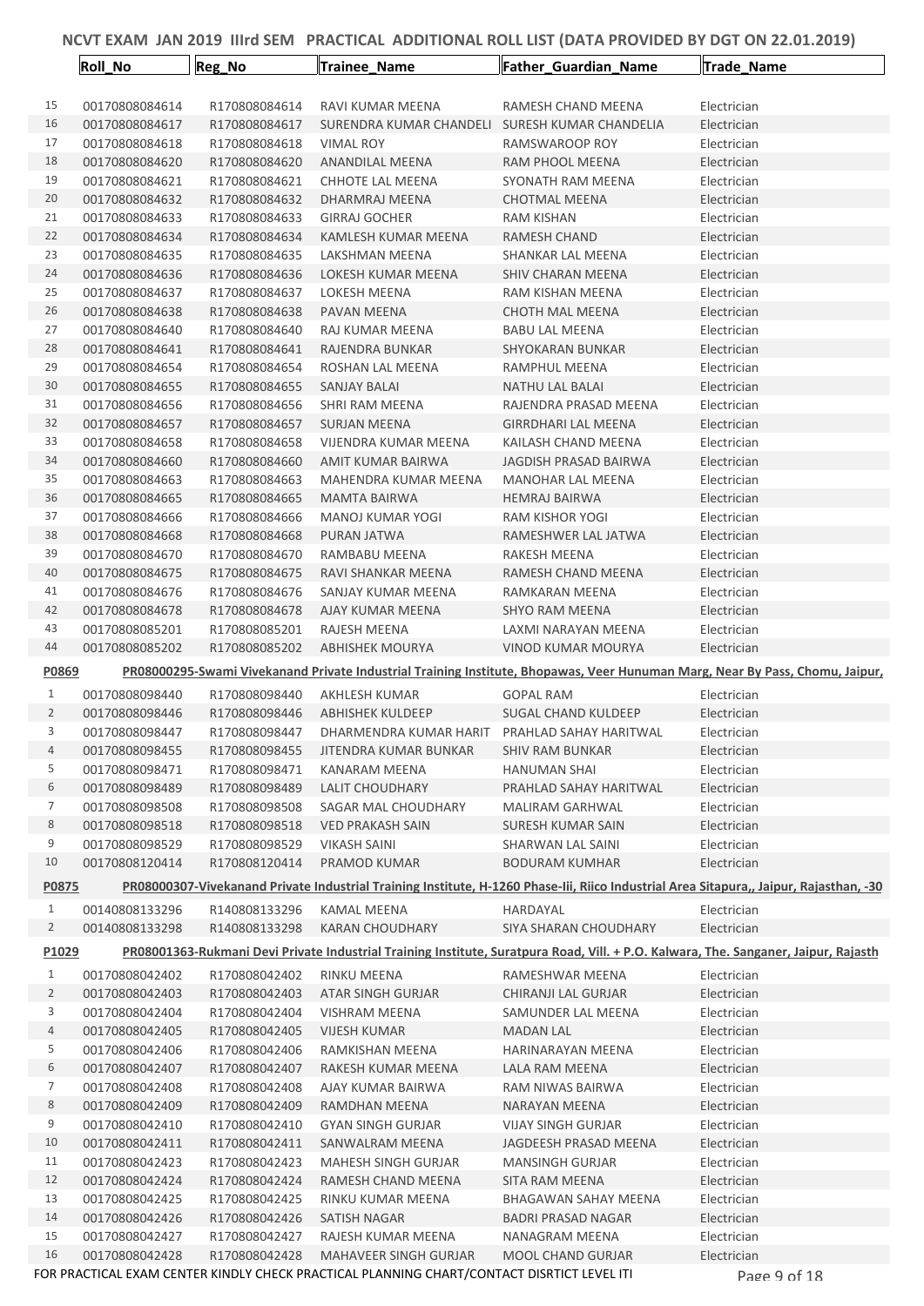|                | Roll_No                          | Reg_No                         | Trainee_Name                                                                               | Father_Guardian_Name                      | Trade_Name                                                                                                                             |
|----------------|----------------------------------|--------------------------------|--------------------------------------------------------------------------------------------|-------------------------------------------|----------------------------------------------------------------------------------------------------------------------------------------|
|                |                                  |                                |                                                                                            |                                           |                                                                                                                                        |
| 15             | 00170808084614                   | R170808084614                  | RAVI KUMAR MEENA                                                                           | RAMESH CHAND MEENA                        | Electrician                                                                                                                            |
| 16             | 00170808084617                   | R170808084617                  | SURENDRA KUMAR CHANDELI SURESH KUMAR CHANDELIA                                             |                                           | Electrician                                                                                                                            |
| 17             | 00170808084618                   | R170808084618                  | VIMAL ROY                                                                                  | RAMSWAROOP ROY                            | Electrician                                                                                                                            |
| 18             | 00170808084620                   | R170808084620                  | ANANDILAL MEENA                                                                            | RAM PHOOL MEENA                           | Electrician                                                                                                                            |
| 19             | 00170808084621                   | R170808084621                  | CHHOTE LAL MEENA                                                                           | SYONATH RAM MEENA                         | Electrician                                                                                                                            |
| 20             | 00170808084632                   | R170808084632                  | DHARMRAJ MEENA                                                                             | <b>CHOTMAL MEENA</b>                      | Electrician                                                                                                                            |
| 21             | 00170808084633                   | R170808084633                  | <b>GIRRAJ GOCHER</b>                                                                       | RAM KISHAN                                | Electrician                                                                                                                            |
| 22             | 00170808084634                   | R170808084634                  | KAMLESH KUMAR MEENA                                                                        | RAMESH CHAND                              | Electrician                                                                                                                            |
| 23             | 00170808084635                   | R170808084635                  | LAKSHMAN MEENA                                                                             | SHANKAR LAL MEENA                         | Electrician                                                                                                                            |
| 24             | 00170808084636                   | R170808084636                  | LOKESH KUMAR MEENA                                                                         | <b>SHIV CHARAN MEENA</b>                  | Electrician                                                                                                                            |
| 25             | 00170808084637                   | R170808084637                  | <b>LOKESH MEENA</b>                                                                        | RAM KISHAN MEENA                          | Electrician                                                                                                                            |
| 26             | 00170808084638                   | R170808084638                  | PAVAN MEENA                                                                                | CHOTH MAL MEENA                           | Electrician                                                                                                                            |
| 27             | 00170808084640                   | R170808084640                  | RAJ KUMAR MEENA                                                                            | <b>BABU LAL MEENA</b>                     | Electrician                                                                                                                            |
| 28             | 00170808084641                   | R170808084641                  | RAJENDRA BUNKAR                                                                            | SHYOKARAN BUNKAR                          | Electrician                                                                                                                            |
| 29             | 00170808084654                   | R170808084654                  | ROSHAN LAL MEENA                                                                           | RAMPHUL MEENA                             | Electrician                                                                                                                            |
| 30             | 00170808084655                   | R170808084655                  | <b>SANJAY BALAI</b>                                                                        | <b>NATHU LAL BALAI</b>                    | Electrician                                                                                                                            |
| 31             | 00170808084656                   | R170808084656                  | SHRI RAM MEENA                                                                             | RAJENDRA PRASAD MEENA                     | Electrician                                                                                                                            |
| 32             | 00170808084657                   | R170808084657                  | <b>SURJAN MEENA</b>                                                                        | <b>GIRRDHARI LAL MEENA</b>                | Electrician                                                                                                                            |
| 33             | 00170808084658                   | R170808084658                  | <b>VIJENDRA KUMAR MEENA</b>                                                                | KAILASH CHAND MEENA                       | Electrician                                                                                                                            |
| 34             | 00170808084660                   | R170808084660                  | AMIT KUMAR BAIRWA                                                                          | <b>JAGDISH PRASAD BAIRWA</b>              | Electrician                                                                                                                            |
| 35             | 00170808084663                   | R170808084663                  | MAHENDRA KUMAR MEENA                                                                       | MANOHAR LAL MEENA                         | Electrician                                                                                                                            |
| 36             | 00170808084665                   | R170808084665                  | <b>MAMTA BAIRWA</b>                                                                        | <b>HEMRAJ BAIRWA</b>                      | Electrician                                                                                                                            |
| 37             | 00170808084666                   | R170808084666                  | MANOJ KUMAR YOGI                                                                           | RAM KISHOR YOGI                           | Electrician                                                                                                                            |
| 38             | 00170808084668                   | R170808084668                  | PURAN JATWA                                                                                | RAMESHWER LAL JATWA                       | Electrician                                                                                                                            |
| 39             | 00170808084670                   | R170808084670                  | RAMBABU MEENA                                                                              | RAKESH MEENA                              | Electrician                                                                                                                            |
| 40<br>41       | 00170808084675                   | R170808084675                  | RAVI SHANKAR MEENA                                                                         | RAMESH CHAND MEENA                        | Electrician                                                                                                                            |
| 42             | 00170808084676                   | R170808084676                  | SANJAY KUMAR MEENA                                                                         | RAMKARAN MEENA                            | Electrician                                                                                                                            |
| 43             | 00170808084678<br>00170808085201 | R170808084678                  | AJAY KUMAR MEENA                                                                           | <b>SHYO RAM MEENA</b>                     | Electrician                                                                                                                            |
| 44             | 00170808085202                   | R170808085201<br>R170808085202 | RAJESH MEENA<br><b>ABHISHEK MOURYA</b>                                                     | LAXMI NARAYAN MEENA<br>VINOD KUMAR MOURYA | Electrician<br>Electrician                                                                                                             |
|                |                                  |                                |                                                                                            |                                           |                                                                                                                                        |
| P0869          |                                  |                                |                                                                                            |                                           | PR08000295-Swami Vivekanand Private Industrial Training Institute, Bhopawas, Veer Hunuman Marg, Near By Pass, Chomu, Jaipur,           |
| 1              | 00170808098440                   | R170808098440                  | AKHLESH KUMAR                                                                              | <b>GOPAL RAM</b>                          | Electrician                                                                                                                            |
| $\overline{2}$ | 00170808098446                   | R170808098446                  | ABHISHEK KULDEEP                                                                           | SUGAL CHAND KULDEEP                       | Electrician                                                                                                                            |
| 3              | 00170808098447                   | R170808098447                  | DHARMENDRA KUMAR HARIT PRAHLAD SAHAY HARITWAL                                              |                                           | Electrician                                                                                                                            |
| 4              | 00170808098455                   | R170808098455                  | JITENDRA KUMAR BUNKAR                                                                      | SHIV RAM BUNKAR                           | Electrician                                                                                                                            |
| 5              | 00170808098471                   | R170808098471                  | <b>KANARAM MEENA</b>                                                                       | <b>HANUMAN SHAI</b>                       | Electrician                                                                                                                            |
| 6              | 00170808098489                   | R170808098489                  | LALIT CHOUDHARY                                                                            | PRAHLAD SAHAY HARITWAL                    | Electrician                                                                                                                            |
| 7              | 00170808098508                   | R170808098508                  | SAGAR MAL CHOUDHARY                                                                        | MALIRAM GARHWAL                           | Electrician                                                                                                                            |
| 8              | 00170808098518                   | R170808098518                  | <b>VED PRAKASH SAIN</b>                                                                    | <b>SURESH KUMAR SAIN</b>                  | Electrician                                                                                                                            |
| 9              | 00170808098529                   | R170808098529                  | VIKASH SAINI                                                                               | SHARWAN LAL SAINI                         | Electrician                                                                                                                            |
| 10             | 00170808120414                   | R170808120414                  | PRAMOD KUMAR                                                                               | <b>BODURAM KUMHAR</b>                     | Electrician                                                                                                                            |
| P0875          |                                  |                                |                                                                                            |                                           | PR08000307-Vivekanand Private Industrial Training Institute, H-1260 Phase-lii, Riico Industrial Area Sitapura,, Jaipur, Rajasthan, -30 |
| 1              | 00140808133296                   | R140808133296                  | KAMAL MEENA                                                                                | HARDAYAL                                  | Electrician                                                                                                                            |
| $\overline{2}$ | 00140808133298                   | R140808133298                  | <b>KARAN CHOUDHARY</b>                                                                     | <b>SIYA SHARAN CHOUDHARY</b>              | Electrician                                                                                                                            |
| P1029          |                                  |                                |                                                                                            |                                           | PR08001363-Rukmani Devi Private Industrial Training Institute, Suratpura Road, Vill. + P.O. Kalwara, The. Sanganer, Jaipur, Rajasth    |
| $\mathbf{1}$   | 00170808042402                   | R170808042402                  | RINKU MEENA                                                                                | RAMESHWAR MEENA                           | Electrician                                                                                                                            |
| $\overline{2}$ | 00170808042403                   | R170808042403                  | ATAR SINGH GURJAR                                                                          | CHIRANJI LAL GURJAR                       | Electrician                                                                                                                            |
| 3              | 00170808042404                   | R170808042404                  | VISHRAM MEENA                                                                              | SAMUNDER LAL MEENA                        | Electrician                                                                                                                            |
| 4              | 00170808042405                   | R170808042405                  | <b>VIJESH KUMAR</b>                                                                        | MADAN LAL                                 | Electrician                                                                                                                            |
| 5              | 00170808042406                   | R170808042406                  | RAMKISHAN MEENA                                                                            | HARINARAYAN MEENA                         | Electrician                                                                                                                            |
| 6              | 00170808042407                   | R170808042407                  | RAKESH KUMAR MEENA                                                                         | LALA RAM MEENA                            | Electrician                                                                                                                            |
| 7              | 00170808042408                   | R170808042408                  | AJAY KUMAR BAIRWA                                                                          | RAM NIWAS BAIRWA                          | Electrician                                                                                                                            |
| 8              | 00170808042409                   | R170808042409                  | RAMDHAN MEENA                                                                              | NARAYAN MEENA                             | Electrician                                                                                                                            |
| 9              | 00170808042410                   | R170808042410                  | <b>GYAN SINGH GURJAR</b>                                                                   | <b>VIJAY SINGH GURJAR</b>                 | Electrician                                                                                                                            |
| 10             | 00170808042411                   | R170808042411                  | SANWALRAM MEENA                                                                            | JAGDEESH PRASAD MEENA                     | Electrician                                                                                                                            |
| 11             | 00170808042423                   | R170808042423                  | MAHESH SINGH GURJAR                                                                        | <b>MANSINGH GURJAR</b>                    | Electrician                                                                                                                            |
| 12             | 00170808042424                   | R170808042424                  | RAMESH CHAND MEENA                                                                         | SITA RAM MEENA                            | Electrician                                                                                                                            |
| 13             | 00170808042425                   | R170808042425                  | RINKU KUMAR MEENA                                                                          | <b>BHAGAWAN SAHAY MEENA</b>               | Electrician                                                                                                                            |
| 14             | 00170808042426                   | R170808042426                  | SATISH NAGAR                                                                               | <b>BADRI PRASAD NAGAR</b>                 | Electrician                                                                                                                            |
| 15             | 00170808042427                   | R170808042427                  | RAJESH KUMAR MEENA                                                                         | NANAGRAM MEENA                            | Electrician                                                                                                                            |
| 16             | 00170808042428                   | R170808042428                  | <b>MAHAVEER SINGH GURJAR</b>                                                               | MOOL CHAND GURJAR                         | Electrician                                                                                                                            |
|                |                                  |                                | FOR PRACTICAL EXAM CENTER KINDLY CHECK PRACTICAL PLANNING CHART/CONTACT DISRTICT LEVEL ITI |                                           | Page 9 of 18                                                                                                                           |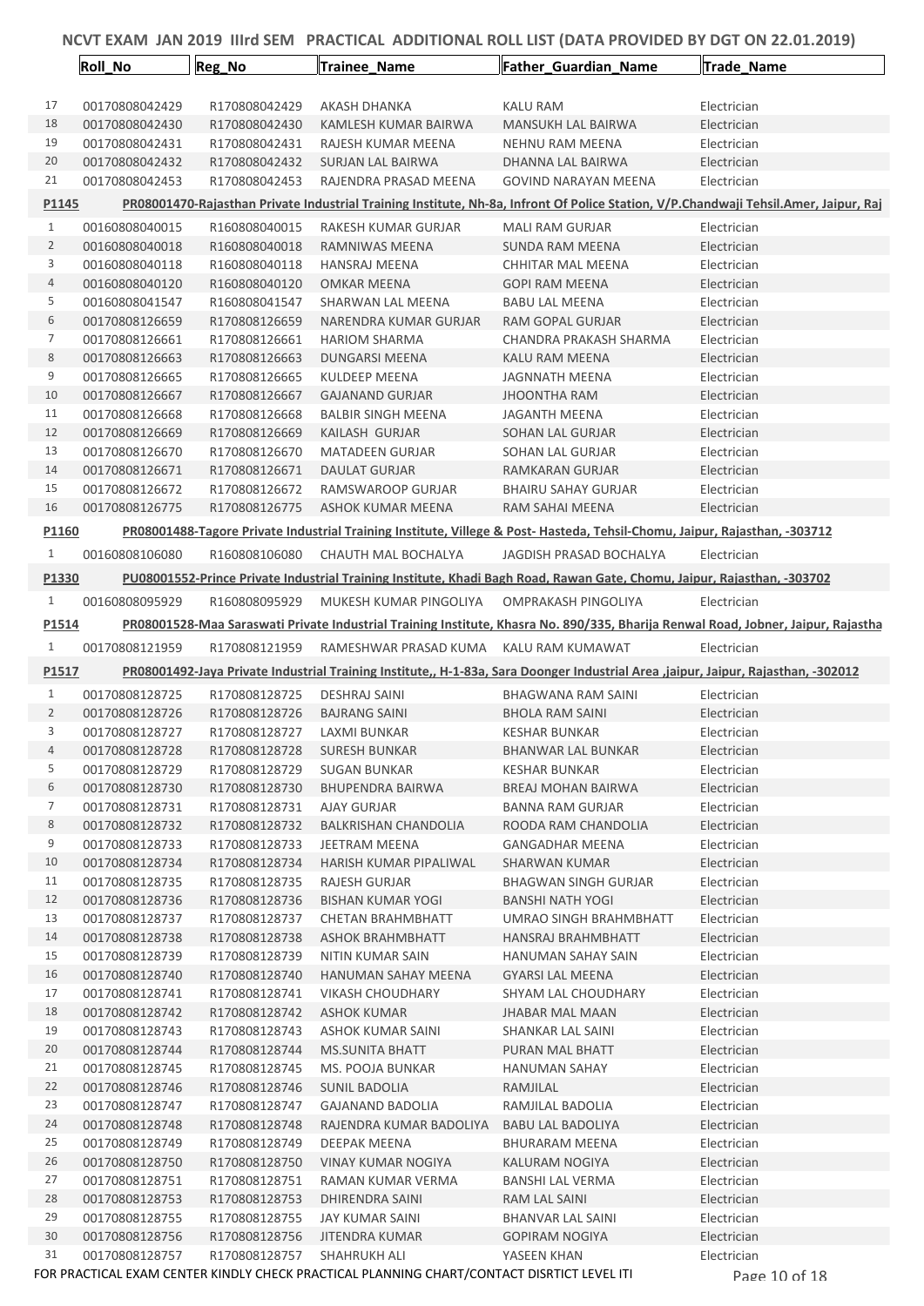|                | <b>Roll No</b>                   | Reg_No                         | Trainee Name                                                                               | Father Guardian Name                                                                                                              | Trade_Name                                                                                                                           |
|----------------|----------------------------------|--------------------------------|--------------------------------------------------------------------------------------------|-----------------------------------------------------------------------------------------------------------------------------------|--------------------------------------------------------------------------------------------------------------------------------------|
|                |                                  |                                |                                                                                            |                                                                                                                                   |                                                                                                                                      |
| 17             | 00170808042429                   | R170808042429                  | <b>AKASH DHANKA</b>                                                                        | KALU RAM                                                                                                                          | Electrician                                                                                                                          |
| 18             | 00170808042430                   | R170808042430                  | KAMLESH KUMAR BAIRWA                                                                       | MANSUKH LAL BAIRWA                                                                                                                | Electrician                                                                                                                          |
| 19             | 00170808042431                   | R170808042431                  | RAJESH KUMAR MEENA                                                                         | <b>NEHNU RAM MEENA</b>                                                                                                            | Electrician                                                                                                                          |
| 20             | 00170808042432                   | R170808042432                  | <b>SURJAN LAL BAIRWA</b>                                                                   | DHANNA LAL BAIRWA                                                                                                                 | Electrician                                                                                                                          |
| 21             | 00170808042453                   | R170808042453                  | RAJENDRA PRASAD MEENA                                                                      | <b>GOVIND NARAYAN MEENA</b>                                                                                                       | Electrician                                                                                                                          |
| P1145          |                                  |                                |                                                                                            |                                                                                                                                   | PR08001470-Rajasthan Private Industrial Training Institute, Nh-8a, Infront Of Police Station, V/P.Chandwaji Tehsil.Amer, Jaipur, Raj |
| 1              | 00160808040015                   | R160808040015                  | RAKESH KUMAR GURJAR                                                                        | <b>MALI RAM GURJAR</b>                                                                                                            | Electrician                                                                                                                          |
| $\overline{2}$ | 00160808040018                   | R160808040018                  | RAMNIWAS MEENA                                                                             | <b>SUNDA RAM MEENA</b>                                                                                                            | Electrician                                                                                                                          |
| 3              | 00160808040118                   | R160808040118                  | <b>HANSRAJ MEENA</b>                                                                       | CHHITAR MAL MEENA                                                                                                                 | Electrician                                                                                                                          |
| 4              | 00160808040120                   | R160808040120                  | <b>OMKAR MEENA</b>                                                                         | <b>GOPI RAM MEENA</b>                                                                                                             | Electrician                                                                                                                          |
| 5              | 00160808041547                   | R160808041547                  | SHARWAN LAL MEENA                                                                          | <b>BABU LAL MEENA</b>                                                                                                             | Electrician                                                                                                                          |
| 6              | 00170808126659                   | R170808126659                  | NARENDRA KUMAR GURJAR                                                                      | RAM GOPAL GURJAR                                                                                                                  | Electrician                                                                                                                          |
| 7              | 00170808126661                   | R170808126661                  | <b>HARIOM SHARMA</b>                                                                       | CHANDRA PRAKASH SHARMA                                                                                                            | Electrician                                                                                                                          |
| 8<br>9         | 00170808126663<br>00170808126665 | R170808126663<br>R170808126665 | <b>DUNGARSI MEENA</b><br><b>KULDEEP MEENA</b>                                              | KALU RAM MEENA<br>JAGNNATH MEENA                                                                                                  | Electrician<br>Electrician                                                                                                           |
| 10             | 00170808126667                   | R170808126667                  | <b>GAJANAND GURJAR</b>                                                                     | <b>JHOONTHA RAM</b>                                                                                                               | Electrician                                                                                                                          |
| 11             | 00170808126668                   | R170808126668                  | <b>BALBIR SINGH MEENA</b>                                                                  | JAGANTH MEENA                                                                                                                     | Electrician                                                                                                                          |
| 12             | 00170808126669                   | R170808126669                  | KAILASH GURJAR                                                                             | <b>SOHAN LAL GURJAR</b>                                                                                                           | Electrician                                                                                                                          |
| 13             | 00170808126670                   | R170808126670                  | <b>MATADEEN GURJAR</b>                                                                     | <b>SOHAN LAL GURJAR</b>                                                                                                           | Electrician                                                                                                                          |
| 14             | 00170808126671                   | R170808126671                  | <b>DAULAT GURJAR</b>                                                                       | RAMKARAN GURJAR                                                                                                                   | Electrician                                                                                                                          |
| 15             | 00170808126672                   | R170808126672                  | RAMSWAROOP GURJAR                                                                          | <b>BHAIRU SAHAY GURJAR</b>                                                                                                        | Electrician                                                                                                                          |
| 16             | 00170808126775                   | R170808126775                  | ASHOK KUMAR MEENA                                                                          | RAM SAHAI MEENA                                                                                                                   | Electrician                                                                                                                          |
| P1160          |                                  |                                |                                                                                            | PR08001488-Tagore Private Industrial Training Institute, Villege & Post- Hasteda, Tehsil-Chomu, Jaipur, Rajasthan, -303712        |                                                                                                                                      |
| $\mathbf{1}$   | 00160808106080                   | R160808106080                  | CHAUTH MAL BOCHALYA                                                                        | JAGDISH PRASAD BOCHALYA                                                                                                           | Electrician                                                                                                                          |
|                |                                  |                                |                                                                                            |                                                                                                                                   |                                                                                                                                      |
| P1330          |                                  |                                |                                                                                            | PU08001552-Prince Private Industrial Training Institute, Khadi Bagh Road, Rawan Gate, Chomu, Jaipur, Rajasthan, -303702           |                                                                                                                                      |
| 1              | 00160808095929                   | R160808095929                  | MUKESH KUMAR PINGOLIYA                                                                     | OMPRAKASH PINGOLIYA                                                                                                               | Electrician                                                                                                                          |
| P1514          |                                  |                                |                                                                                            |                                                                                                                                   | PR08001528-Maa Saraswati Private Industrial Training Institute, Khasra No. 890/335, Bharija Renwal Road, Jobner, Jaipur, Rajastha    |
| $\mathbf{1}$   | 00170808121959                   | R170808121959                  | RAMESHWAR PRASAD KUMA KALU RAM KUMAWAT                                                     |                                                                                                                                   | Electrician                                                                                                                          |
| P1517          |                                  |                                |                                                                                            | PR08001492-Jaya Private Industrial Training Institute,, H-1-83a, Sara Doonger Industrial Area, jaipur, Jaipur, Rajasthan, -302012 |                                                                                                                                      |
| 1              | 00170808128725                   | R170808128725                  | <b>DESHRAJ SAINI</b>                                                                       | BHAGWANA RAM SAINI                                                                                                                | Electrician                                                                                                                          |
| $\overline{2}$ | 00170808128726                   | R170808128726                  | <b>BAJRANG SAINI</b>                                                                       | <b>BHOLA RAM SAINI</b>                                                                                                            | Electrician                                                                                                                          |
| 3              | 00170808128727                   | R170808128727                  | LAXMI BUNKAR                                                                               | <b>KESHAR BUNKAR</b>                                                                                                              | Electrician                                                                                                                          |
| 4              | 00170808128728                   | R170808128728                  | SURESH BUNKAR                                                                              | BHANWAR LAL BUNKAR                                                                                                                | Electrician                                                                                                                          |
| 5              | 00170808128729                   | R170808128729                  | <b>SUGAN BUNKAR</b>                                                                        | <b>KESHAR BUNKAR</b>                                                                                                              | Electrician                                                                                                                          |
| 6              | 00170808128730                   | R170808128730                  | <b>BHUPENDRA BAIRWA</b>                                                                    | BREAJ MOHAN BAIRWA                                                                                                                | Electrician                                                                                                                          |
| 7              | 00170808128731                   | R170808128731                  | AJAY GURJAR                                                                                | <b>BANNA RAM GURJAR</b>                                                                                                           | Electrician                                                                                                                          |
| 8              | 00170808128732                   | R170808128732                  | <b>BALKRISHAN CHANDOLIA</b>                                                                | ROODA RAM CHANDOLIA                                                                                                               | Electrician                                                                                                                          |
| 9              | 00170808128733                   | R170808128733                  | JEETRAM MEENA                                                                              | <b>GANGADHAR MEENA</b>                                                                                                            | Electrician                                                                                                                          |
| 10             | 00170808128734                   | R170808128734                  | HARISH KUMAR PIPALIWAL                                                                     | <b>SHARWAN KUMAR</b>                                                                                                              | Electrician                                                                                                                          |
| 11<br>12       | 00170808128735<br>00170808128736 | R170808128735<br>R170808128736 | RAJESH GURJAR                                                                              | <b>BHAGWAN SINGH GURJAR</b>                                                                                                       | Electrician<br>Electrician                                                                                                           |
| 13             | 00170808128737                   | R170808128737                  | <b>BISHAN KUMAR YOGI</b><br>CHETAN BRAHMBHATT                                              | BANSHI NATH YOGI<br>UMRAO SINGH BRAHMBHATT                                                                                        | Electrician                                                                                                                          |
| 14             | 00170808128738                   | R170808128738                  | <b>ASHOK BRAHMBHATT</b>                                                                    | HANSRAJ BRAHMBHATT                                                                                                                | Electrician                                                                                                                          |
| 15             | 00170808128739                   | R170808128739                  | NITIN KUMAR SAIN                                                                           | HANUMAN SAHAY SAIN                                                                                                                | Electrician                                                                                                                          |
| 16             | 00170808128740                   | R170808128740                  | HANUMAN SAHAY MEENA                                                                        | <b>GYARSI LAL MEENA</b>                                                                                                           | Electrician                                                                                                                          |
| 17             | 00170808128741                   | R170808128741                  | <b>VIKASH CHOUDHARY</b>                                                                    | SHYAM LAL CHOUDHARY                                                                                                               | Electrician                                                                                                                          |
| 18             | 00170808128742                   | R170808128742                  | <b>ASHOK KUMAR</b>                                                                         | <b>JHABAR MAL MAAN</b>                                                                                                            | Electrician                                                                                                                          |
| 19             | 00170808128743                   | R170808128743                  | ASHOK KUMAR SAINI                                                                          | SHANKAR LAL SAINI                                                                                                                 | Electrician                                                                                                                          |
| 20             | 00170808128744                   | R170808128744                  | <b>MS.SUNITA BHATT</b>                                                                     | PURAN MAL BHATT                                                                                                                   | Electrician                                                                                                                          |
| 21             | 00170808128745                   | R170808128745                  | MS. POOJA BUNKAR                                                                           | <b>HANUMAN SAHAY</b>                                                                                                              | Electrician                                                                                                                          |
| 22             | 00170808128746                   | R170808128746                  | SUNIL BADOLIA                                                                              | RAMJILAL                                                                                                                          | Electrician                                                                                                                          |
| 23             | 00170808128747                   | R170808128747                  | <b>GAJANAND BADOLIA</b>                                                                    | RAMJILAL BADOLIA                                                                                                                  | Electrician                                                                                                                          |
| 24             | 00170808128748                   | R170808128748                  | RAJENDRA KUMAR BADOLIYA                                                                    | <b>BABU LAL BADOLIYA</b>                                                                                                          | Electrician                                                                                                                          |
| 25             | 00170808128749                   | R170808128749                  | DEEPAK MEENA                                                                               | <b>BHURARAM MEENA</b>                                                                                                             | Electrician                                                                                                                          |
| 26             | 00170808128750                   | R170808128750                  | VINAY KUMAR NOGIYA                                                                         | KALURAM NOGIYA                                                                                                                    | Electrician                                                                                                                          |
| 27<br>28       | 00170808128751<br>00170808128753 | R170808128751<br>R170808128753 | RAMAN KUMAR VERMA                                                                          | <b>BANSHI LAL VERMA</b>                                                                                                           | Electrician                                                                                                                          |
| 29             | 00170808128755                   | R170808128755                  | DHIRENDRA SAINI<br>JAY KUMAR SAINI                                                         | RAM LAL SAINI<br>BHANVAR LAL SAINI                                                                                                | Electrician<br>Electrician                                                                                                           |
| 30             | 00170808128756                   | R170808128756                  | JITENDRA KUMAR                                                                             | <b>GOPIRAM NOGIYA</b>                                                                                                             | Electrician                                                                                                                          |
| 31             | 00170808128757                   | R170808128757                  | SHAHRUKH ALI                                                                               | YASEEN KHAN                                                                                                                       | Electrician                                                                                                                          |
|                |                                  |                                | FOR PRACTICAL EXAM CENTER KINDLY CHECK PRACTICAL PLANNING CHART/CONTACT DISRTICT LEVEL ITI |                                                                                                                                   | Page 10 of 18                                                                                                                        |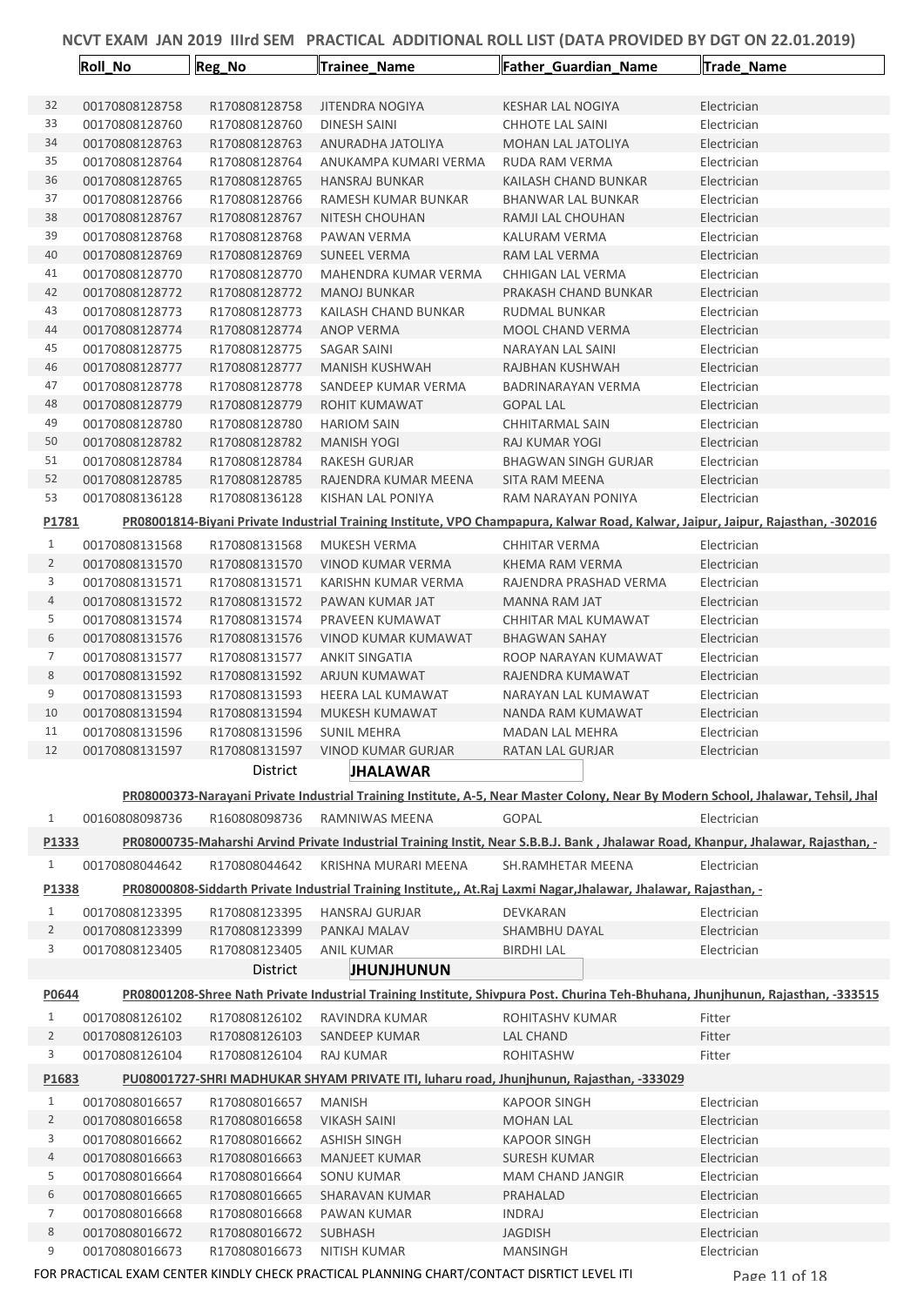|                     | Roll_No                          | Reg_No                         | <b>Trainee Name</b>                  | <b>Father_Guardian_Name</b>                                                                                                       | Trade_Name                 |
|---------------------|----------------------------------|--------------------------------|--------------------------------------|-----------------------------------------------------------------------------------------------------------------------------------|----------------------------|
| 32                  | 00170808128758                   | R170808128758                  | <b>JITENDRA NOGIYA</b>               | <b>KESHAR LAL NOGIYA</b>                                                                                                          | Electrician                |
| 33                  | 00170808128760                   | R170808128760                  | DINESH SAINI                         | <b>CHHOTE LAL SAINI</b>                                                                                                           | Electrician                |
| 34                  | 00170808128763                   | R170808128763                  | ANURADHA JATOLIYA                    | MOHAN LAL JATOLIYA                                                                                                                | Electrician                |
| 35                  | 00170808128764                   | R170808128764                  | ANUKAMPA KUMARI VERMA                | RUDA RAM VERMA                                                                                                                    | Electrician                |
| 36                  | 00170808128765                   | R170808128765                  | <b>HANSRAJ BUNKAR</b>                | KAILASH CHAND BUNKAR                                                                                                              | Electrician                |
| 37                  | 00170808128766                   | R170808128766                  | RAMESH KUMAR BUNKAR                  | BHANWAR LAL BUNKAR                                                                                                                | Electrician                |
| 38                  | 00170808128767                   | R170808128767                  | NITESH CHOUHAN                       | RAMJI LAL CHOUHAN                                                                                                                 | Electrician                |
| 39                  | 00170808128768                   | R170808128768                  | PAWAN VERMA                          | KALURAM VERMA                                                                                                                     | Electrician                |
| 40                  | 00170808128769                   | R170808128769                  | <b>SUNEEL VERMA</b>                  | RAM LAL VERMA                                                                                                                     | Electrician                |
| 41                  | 00170808128770                   | R170808128770                  | MAHENDRA KUMAR VERMA                 | CHHIGAN LAL VERMA                                                                                                                 | Electrician                |
| 42                  | 00170808128772                   | R170808128772                  | <b>MANOJ BUNKAR</b>                  | PRAKASH CHAND BUNKAR                                                                                                              | Electrician                |
| 43                  | 00170808128773                   | R170808128773                  | KAILASH CHAND BUNKAR                 | RUDMAL BUNKAR                                                                                                                     | Electrician                |
| 44<br>45            | 00170808128774                   | R170808128774                  | ANOP VERMA                           | <b>MOOL CHAND VERMA</b>                                                                                                           | Electrician                |
| 46                  | 00170808128775<br>00170808128777 | R170808128775<br>R170808128777 | SAGAR SAINI<br><b>MANISH KUSHWAH</b> | NARAYAN LAL SAINI<br>RAJBHAN KUSHWAH                                                                                              | Electrician<br>Electrician |
| 47                  | 00170808128778                   | R170808128778                  | SANDEEP KUMAR VERMA                  | BADRINARAYAN VERMA                                                                                                                | Electrician                |
| 48                  | 00170808128779                   | R170808128779                  | ROHIT KUMAWAT                        | <b>GOPAL LAL</b>                                                                                                                  | Electrician                |
| 49                  | 00170808128780                   | R170808128780                  | <b>HARIOM SAIN</b>                   | CHHITARMAL SAIN                                                                                                                   | Electrician                |
| 50                  | 00170808128782                   | R170808128782                  | <b>MANISH YOGI</b>                   | RAJ KUMAR YOGI                                                                                                                    | Electrician                |
| 51                  | 00170808128784                   | R170808128784                  | RAKESH GURJAR                        | <b>BHAGWAN SINGH GURJAR</b>                                                                                                       | Electrician                |
| 52                  | 00170808128785                   | R170808128785                  | RAJENDRA KUMAR MEENA                 | SITA RAM MEENA                                                                                                                    | Electrician                |
| 53                  | 00170808136128                   | R170808136128                  | KISHAN LAL PONIYA                    | RAM NARAYAN PONIYA                                                                                                                | Electrician                |
| P1781               |                                  |                                |                                      | PR08001814-Biyani Private Industrial Training Institute, VPO Champapura, Kalwar Road, Kalwar, Jaipur, Jaipur, Rajasthan, -302016  |                            |
| $\mathbf{1}$        | 00170808131568                   | R170808131568                  | MUKESH VERMA                         | <b>CHHITAR VERMA</b>                                                                                                              | Electrician                |
| 2                   | 00170808131570                   | R170808131570                  | VINOD KUMAR VERMA                    | KHEMA RAM VERMA                                                                                                                   | Electrician                |
| 3                   | 00170808131571                   | R170808131571                  | KARISHN KUMAR VERMA                  | RAJENDRA PRASHAD VERMA                                                                                                            | Electrician                |
| 4                   | 00170808131572                   | R170808131572                  | PAWAN KUMAR JAT                      | MANNA RAM JAT                                                                                                                     | Electrician                |
| 5                   | 00170808131574                   | R170808131574                  | PRAVEEN KUMAWAT                      | CHHITAR MAL KUMAWAT                                                                                                               | Electrician                |
| 6                   | 00170808131576                   | R170808131576                  | VINOD KUMAR KUMAWAT                  | <b>BHAGWAN SAHAY</b>                                                                                                              | Electrician                |
| 7                   | 00170808131577                   | R170808131577                  | <b>ANKIT SINGATIA</b>                | ROOP NARAYAN KUMAWAT                                                                                                              | Electrician                |
| 8<br>9              | 00170808131592<br>00170808131593 | R170808131592<br>R170808131593 | ARJUN KUMAWAT<br>HEERA LAL KUMAWAT   | RAJENDRA KUMAWAT<br>NARAYAN LAL KUMAWAT                                                                                           | Electrician<br>Electrician |
| 10                  | 00170808131594                   | R170808131594                  | MUKESH KUMAWAT                       | NANDA RAM KUMAWAT                                                                                                                 | Electrician                |
| 11                  | 00170808131596                   | R170808131596                  | <b>SUNIL MEHRA</b>                   | <b>MADAN LAL MEHRA</b>                                                                                                            | Electrician                |
| 12                  | 00170808131597                   |                                | R170808131597 VINOD KUMAR GURJAR     | RATAN LAL GURJAR                                                                                                                  | Electrician                |
|                     |                                  | District                       | <b>JHALAWAR</b>                      |                                                                                                                                   |                            |
|                     |                                  |                                |                                      | PR08000373-Narayani Private Industrial Training Institute, A-5, Near Master Colony, Near By Modern School, Jhalawar, Tehsil, Jhal |                            |
| $\mathbf{1}$        | 00160808098736                   | R160808098736                  | RAMNIWAS MEENA                       | GOPAL                                                                                                                             | Electrician                |
| P1333               |                                  |                                |                                      | PR08000735-Maharshi Arvind Private Industrial Training Instit, Near S.B.B.J. Bank, Jhalawar Road, Khanpur, Jhalawar, Rajasthan, - |                            |
| $\mathbf{1}$        | 00170808044642                   | R170808044642                  | KRISHNA MURARI MEENA                 | SH.RAMHETAR MEENA                                                                                                                 | Electrician                |
| P1338               |                                  |                                |                                      | PR08000808-Siddarth Private Industrial Training Institute,, At.Raj Laxmi Nagar, Jhalawar, Jhalawar, Rajasthan,                    |                            |
| $\mathbf{1}$        | 00170808123395                   | R170808123395                  | <b>HANSRAJ GURJAR</b>                | DEVKARAN                                                                                                                          | Electrician                |
| $\overline{2}$      | 00170808123399                   | R170808123399                  | PANKAJ MALAV                         | SHAMBHU DAYAL                                                                                                                     | Electrician                |
| 3                   | 00170808123405                   | R170808123405                  | ANIL KUMAR                           | <b>BIRDHI LAL</b>                                                                                                                 | Electrician                |
|                     |                                  | District                       | <b>JHUNJHUNUN</b>                    |                                                                                                                                   |                            |
| P0644               |                                  |                                |                                      | PR08001208-Shree Nath Private Industrial Training Institute, Shivpura Post. Churina Teh-Bhuhana, Jhunjhunun, Rajasthan, -333515   |                            |
| 1<br>$\overline{2}$ | 00170808126102<br>00170808126103 | R170808126102<br>R170808126103 | RAVINDRA KUMAR<br>SANDEEP KUMAR      | ROHITASHV KUMAR<br><b>LAL CHAND</b>                                                                                               | Fitter<br>Fitter           |
| 3                   | 00170808126104                   | R170808126104                  | RAJ KUMAR                            | <b>ROHITASHW</b>                                                                                                                  | Fitter                     |
| P1683               |                                  |                                |                                      | PU08001727-SHRI MADHUKAR SHYAM PRIVATE ITI, luharu road, Jhunjhunun, Rajasthan, -333029                                           |                            |
| $\mathbf{1}$        | 00170808016657                   | R170808016657                  | <b>MANISH</b>                        | <b>KAPOOR SINGH</b>                                                                                                               | Electrician                |
| $\overline{2}$      | 00170808016658                   | R170808016658                  | <b>VIKASH SAINI</b>                  | <b>MOHAN LAL</b>                                                                                                                  | Electrician                |
| 3                   | 00170808016662                   | R170808016662                  | <b>ASHISH SINGH</b>                  | <b>KAPOOR SINGH</b>                                                                                                               | Electrician                |
| 4                   | 00170808016663                   | R170808016663                  | <b>MANJEET KUMAR</b>                 | <b>SURESH KUMAR</b>                                                                                                               | Electrician                |
| 5                   | 00170808016664                   | R170808016664                  | <b>SONU KUMAR</b>                    | MAM CHAND JANGIR                                                                                                                  | Electrician                |
| 6                   | 00170808016665                   | R170808016665                  | SHARAVAN KUMAR                       | PRAHALAD                                                                                                                          | Electrician                |
| 7                   | 00170808016668                   | R170808016668                  | PAWAN KUMAR                          | <b>INDRAJ</b>                                                                                                                     | Electrician                |
| 8                   | 00170808016672                   | R170808016672                  | <b>SUBHASH</b>                       | <b>JAGDISH</b>                                                                                                                    | Electrician                |
| 9                   | 00170808016673                   | R170808016673                  | <b>NITISH KUMAR</b>                  | <b>MANSINGH</b>                                                                                                                   | Electrician                |
|                     |                                  |                                |                                      |                                                                                                                                   |                            |

FOR PRACTICAL EXAM CENTER KINDLY CHECK PRACTICAL PLANNING CHART/CONTACT DISRTICT LEVEL ITI PAGE 11 of 18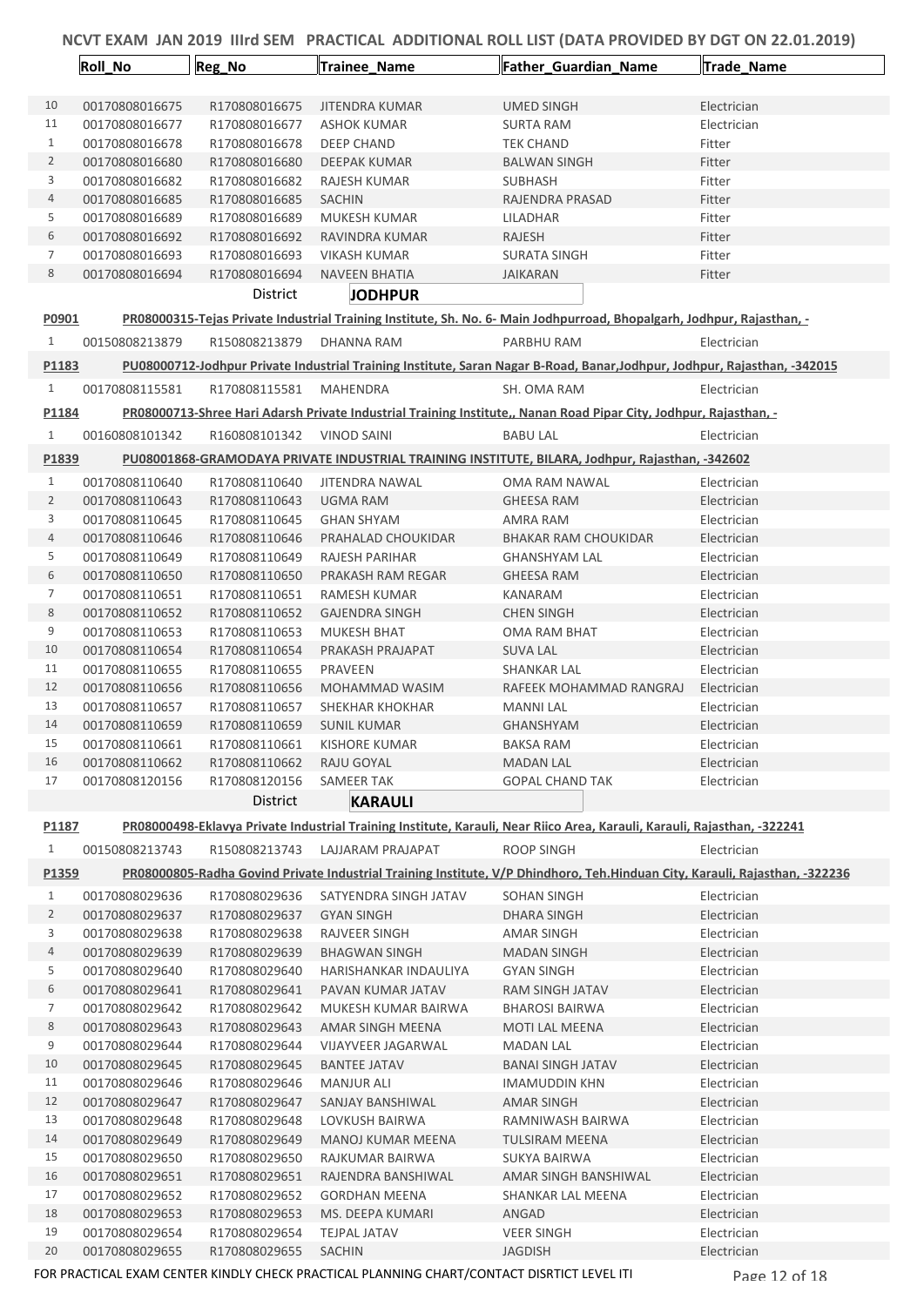|                   | Roll_No                          | Reg_No                         | <b>Trainee Name</b>         | Father_Guardian_Name                                                                                                        | Trade_Name                 |
|-------------------|----------------------------------|--------------------------------|-----------------------------|-----------------------------------------------------------------------------------------------------------------------------|----------------------------|
| 10                | 00170808016675                   | R170808016675                  | <b>JITENDRA KUMAR</b>       | <b>UMED SINGH</b>                                                                                                           | Electrician                |
| 11                | 00170808016677                   | R170808016677                  | ASHOK KUMAR                 | SURTA RAM                                                                                                                   | Electrician                |
| 1                 | 00170808016678                   | R170808016678                  | DEEP CHAND                  | TEK CHAND                                                                                                                   | Fitter                     |
| 2                 | 00170808016680                   | R170808016680                  | <b>DEEPAK KUMAR</b>         | <b>BALWAN SINGH</b>                                                                                                         | Fitter                     |
| 3                 | 00170808016682                   | R170808016682                  | RAJESH KUMAR                | <b>SUBHASH</b>                                                                                                              | Fitter                     |
| 4                 | 00170808016685                   | R170808016685                  | <b>SACHIN</b>               | RAJENDRA PRASAD                                                                                                             | Fitter                     |
| 5                 | 00170808016689                   | R170808016689                  | MUKESH KUMAR                | LILADHAR                                                                                                                    | Fitter                     |
| 6                 | 00170808016692                   | R170808016692                  | RAVINDRA KUMAR              | <b>RAJESH</b>                                                                                                               | Fitter                     |
| 7                 | 00170808016693                   | R170808016693                  | <b>VIKASH KUMAR</b>         | <b>SURATA SINGH</b>                                                                                                         | Fitter                     |
| 8                 | 00170808016694                   | R170808016694                  | <b>NAVEEN BHATIA</b>        | <b>JAIKARAN</b>                                                                                                             | Fitter                     |
|                   |                                  | District                       | <b>JODHPUR</b>              |                                                                                                                             |                            |
| P0901             |                                  |                                |                             | PR08000315-Tejas Private Industrial Training Institute, Sh. No. 6- Main Jodhpurroad, Bhopalgarh, Jodhpur, Rajasthan, -      |                            |
| $\mathbf{1}$      | 00150808213879                   | R150808213879                  | DHANNA RAM                  | PARBHU RAM                                                                                                                  | Electrician                |
| P1183             |                                  |                                |                             | PU08000712-Jodhpur Private Industrial Training Institute, Saran Nagar B-Road, Banar, Jodhpur, Jodhpur, Rajasthan, -342015   |                            |
| $\mathbf{1}$      | 00170808115581                   | R170808115581                  | MAHENDRA                    | SH. OMA RAM                                                                                                                 | Electrician                |
| P1184             |                                  |                                |                             | PR08000713-Shree Hari Adarsh Private Industrial Training Institute,, Nanan Road Pipar City, Jodhpur, Rajasthan, -           |                            |
| $\mathbf{1}$      | 00160808101342                   | R160808101342                  | <b>VINOD SAINI</b>          | <b>BABU LAL</b>                                                                                                             | Electrician                |
| P1839             |                                  |                                |                             | PU08001868-GRAMODAYA PRIVATE INDUSTRIAL TRAINING INSTITUTE, BILARA, Jodhpur, Rajasthan, -342602                             |                            |
| $\mathbf{1}$      | 00170808110640                   | R170808110640                  | JITENDRA NAWAL              | OMA RAM NAWAL                                                                                                               | Electrician                |
| $\overline{2}$    | 00170808110643                   | R170808110643                  | UGMA RAM                    | <b>GHEESA RAM</b>                                                                                                           | Electrician                |
| 3                 | 00170808110645                   | R170808110645                  | <b>GHAN SHYAM</b>           | AMRA RAM                                                                                                                    | Electrician                |
| 4                 | 00170808110646                   | R170808110646                  | PRAHALAD CHOUKIDAR          | <b>BHAKAR RAM CHOUKIDAR</b>                                                                                                 | Electrician                |
| 5                 | 00170808110649                   | R170808110649                  | RAJESH PARIHAR              | <b>GHANSHYAM LAL</b>                                                                                                        | Electrician                |
| 6                 | 00170808110650                   | R170808110650                  | PRAKASH RAM REGAR           | <b>GHEESA RAM</b>                                                                                                           | Electrician                |
| 7                 | 00170808110651                   | R170808110651                  | RAMESH KUMAR                | KANARAM                                                                                                                     | Electrician                |
| 8                 | 00170808110652                   | R170808110652                  | <b>GAJENDRA SINGH</b>       | <b>CHEN SINGH</b>                                                                                                           | Electrician                |
| 9                 | 00170808110653                   | R170808110653                  | MUKESH BHAT                 | OMA RAM BHAT                                                                                                                | Electrician                |
| 10                | 00170808110654                   | R170808110654                  | PRAKASH PRAJAPAT            | <b>SUVA LAL</b>                                                                                                             | Electrician                |
| 11                | 00170808110655                   | R170808110655                  | PRAVEEN                     | <b>SHANKAR LAL</b>                                                                                                          | Electrician                |
| 12                | 00170808110656                   | R170808110656                  | MOHAMMAD WASIM              | RAFEEK MOHAMMAD RANGRAJ                                                                                                     | Electrician                |
| 13<br>14          | 00170808110657                   | R170808110657                  | SHEKHAR KHOKHAR             | <b>MANNI LAL</b>                                                                                                            | Electrician                |
| 15                | 00170808110659                   | R170808110659                  | <b>SUNIL KUMAR</b>          | <b>GHANSHYAM</b>                                                                                                            | Electrician                |
| 16                | 00170808110661<br>00170808110662 | R170808110661<br>R170808110662 | KISHORE KUMAR<br>RAJU GOYAL | <b>BAKSA RAM</b><br><b>MADAN LAL</b>                                                                                        | Electrician<br>Electrician |
| 17                | 00170808120156                   | R170808120156                  | <b>SAMEER TAK</b>           | <b>GOPAL CHAND TAK</b>                                                                                                      | Electrician                |
|                   |                                  | District                       | <b>KARAULI</b>              |                                                                                                                             |                            |
| P1187             |                                  |                                |                             | PR08000498-Eklavya Private Industrial Training Institute, Karauli, Near Riico Area, Karauli, Karauli, Rajasthan, -322241    |                            |
| 1                 | 00150808213743                   | R150808213743                  | LAJJARAM PRAJAPAT           | <b>ROOP SINGH</b>                                                                                                           | Electrician                |
| P <sub>1359</sub> |                                  |                                |                             | PR08000805-Radha Govind Private Industrial Training Institute, V/P Dhindhoro, Teh.Hinduan City, Karauli, Rajasthan, -322236 |                            |
| 1                 | 00170808029636                   | R170808029636                  | SATYENDRA SINGH JATAV       | <b>SOHAN SINGH</b>                                                                                                          | Electrician                |
| $\overline{2}$    | 00170808029637                   | R170808029637                  | <b>GYAN SINGH</b>           | <b>DHARA SINGH</b>                                                                                                          | Electrician                |
| 3                 | 00170808029638                   | R170808029638                  | RAJVEER SINGH               | <b>AMAR SINGH</b>                                                                                                           | Electrician                |
| 4                 | 00170808029639                   | R170808029639                  | <b>BHAGWAN SINGH</b>        | <b>MADAN SINGH</b>                                                                                                          | Electrician                |
| 5                 | 00170808029640                   | R170808029640                  | HARISHANKAR INDAULIYA       | <b>GYAN SINGH</b>                                                                                                           | Electrician                |
| 6                 | 00170808029641                   | R170808029641                  | PAVAN KUMAR JATAV           | RAM SINGH JATAV                                                                                                             | Electrician                |
| 7                 | 00170808029642                   | R170808029642                  | MUKESH KUMAR BAIRWA         | <b>BHAROSI BAIRWA</b>                                                                                                       | Electrician                |
| 8                 | 00170808029643                   | R170808029643                  | AMAR SINGH MEENA            | MOTI LAL MEENA                                                                                                              | Electrician                |
| 9                 | 00170808029644                   | R170808029644                  | <b>VIJAYVEER JAGARWAL</b>   | <b>MADAN LAL</b>                                                                                                            | Electrician                |
| 10                | 00170808029645                   | R170808029645                  | <b>BANTEE JATAV</b>         | <b>BANAI SINGH JATAV</b>                                                                                                    | Electrician                |
| 11                | 00170808029646                   | R170808029646                  | <b>MANJUR ALI</b>           | <b>IMAMUDDIN KHN</b>                                                                                                        | Electrician                |
| 12                | 00170808029647                   | R170808029647                  | SANJAY BANSHIWAL            | AMAR SINGH                                                                                                                  | Electrician                |
| 13                | 00170808029648                   | R170808029648                  | LOVKUSH BAIRWA              | RAMNIWASH BAIRWA                                                                                                            | Electrician                |
| 14                | 00170808029649                   | R170808029649                  | MANOJ KUMAR MEENA           | TULSIRAM MEENA                                                                                                              | Electrician                |
| 15                | 00170808029650                   | R170808029650                  | RAJKUMAR BAIRWA             | SUKYA BAIRWA                                                                                                                | Electrician                |
| 16                | 00170808029651                   | R170808029651                  | RAJENDRA BANSHIWAL          | AMAR SINGH BANSHIWAL                                                                                                        | Electrician                |
| 17                | 00170808029652                   | R170808029652                  | <b>GORDHAN MEENA</b>        | SHANKAR LAL MEENA                                                                                                           | Electrician                |
| 18                | 00170808029653                   | R170808029653                  | MS. DEEPA KUMARI            | ANGAD                                                                                                                       | Electrician                |
| 19                | 00170808029654                   | R170808029654                  | <b>TEJPAL JATAV</b>         | <b>VEER SINGH</b>                                                                                                           | Electrician                |
| 20                | 00170808029655                   | R170808029655                  | SACHIN                      | <b>JAGDISH</b>                                                                                                              | Electrician                |

FOR PRACTICAL EXAM CENTER KINDLY CHECK PRACTICAL PLANNING CHART/CONTACT DISRTICT LEVEL ITI Page 12 of 18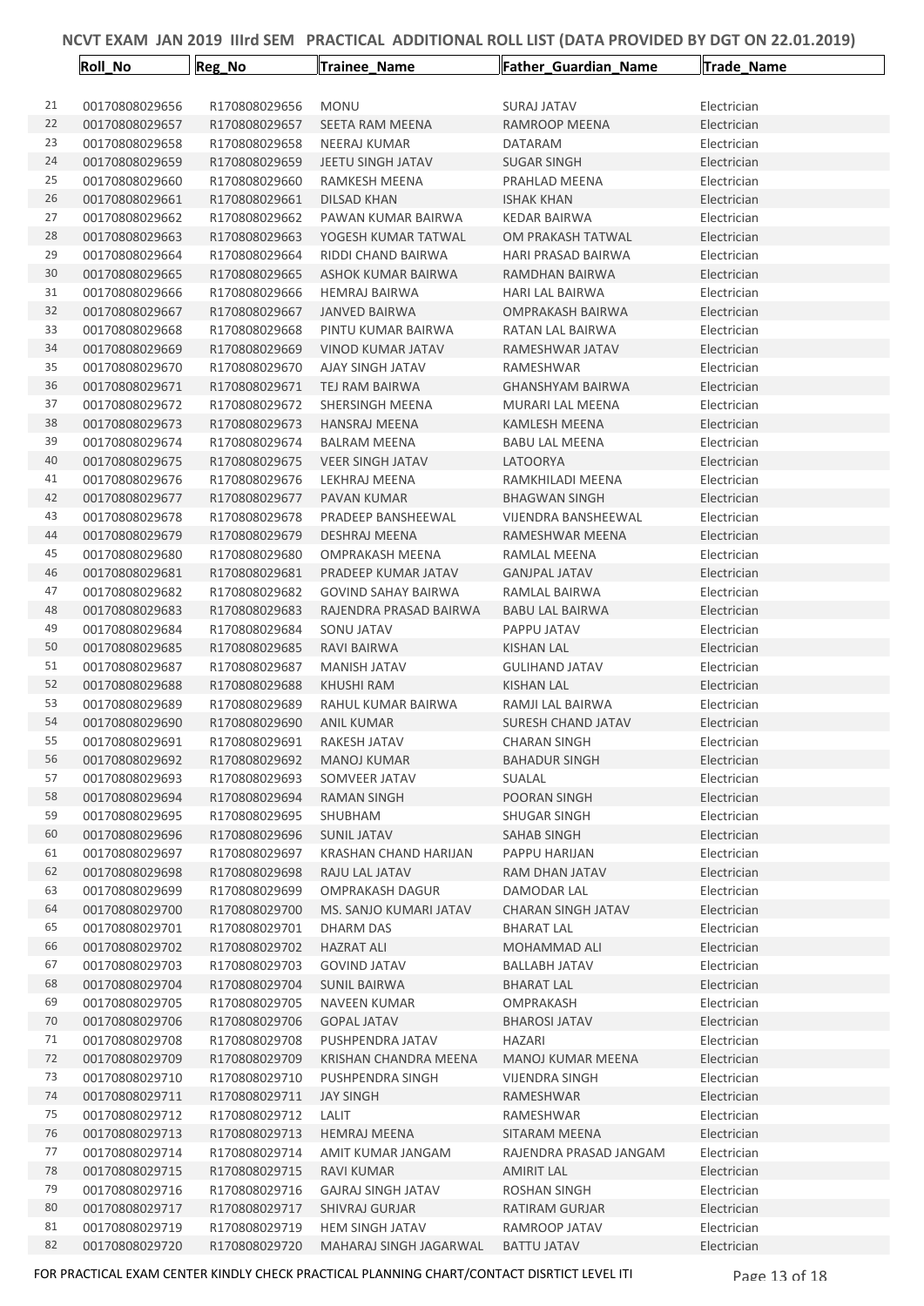|    | Roll_No        | Reg_No        | <b>Trainee_Name</b>        | Father_Guardian_Name      | Trade_Name  |
|----|----------------|---------------|----------------------------|---------------------------|-------------|
|    |                |               |                            |                           |             |
| 21 | 00170808029656 | R170808029656 | <b>MONU</b>                | <b>SURAJ JATAV</b>        | Electrician |
| 22 | 00170808029657 | R170808029657 | SEETA RAM MEENA            | RAMROOP MEENA             | Electrician |
| 23 | 00170808029658 | R170808029658 | <b>NEERAJ KUMAR</b>        | DATARAM                   | Electrician |
| 24 | 00170808029659 | R170808029659 | <b>JEETU SINGH JATAV</b>   | <b>SUGAR SINGH</b>        | Electrician |
| 25 | 00170808029660 | R170808029660 | RAMKESH MEENA              | PRAHLAD MEENA             | Electrician |
| 26 | 00170808029661 | R170808029661 | DILSAD KHAN                | <b>ISHAK KHAN</b>         | Electrician |
| 27 | 00170808029662 | R170808029662 | PAWAN KUMAR BAIRWA         | <b>KEDAR BAIRWA</b>       | Electrician |
| 28 | 00170808029663 | R170808029663 | YOGESH KUMAR TATWAL        | OM PRAKASH TATWAL         | Electrician |
| 29 | 00170808029664 | R170808029664 | RIDDI CHAND BAIRWA         | HARI PRASAD BAIRWA        | Electrician |
| 30 | 00170808029665 | R170808029665 | ASHOK KUMAR BAIRWA         | RAMDHAN BAIRWA            | Electrician |
| 31 | 00170808029666 | R170808029666 | <b>HEMRAJ BAIRWA</b>       | <b>HARI LAL BAIRWA</b>    | Electrician |
| 32 | 00170808029667 | R170808029667 | <b>JANVED BAIRWA</b>       | OMPRAKASH BAIRWA          | Electrician |
| 33 | 00170808029668 | R170808029668 | PINTU KUMAR BAIRWA         | RATAN LAL BAIRWA          | Electrician |
| 34 | 00170808029669 | R170808029669 | VINOD KUMAR JATAV          | RAMESHWAR JATAV           | Electrician |
| 35 | 00170808029670 | R170808029670 | AJAY SINGH JATAV           | RAMESHWAR                 | Electrician |
| 36 | 00170808029671 | R170808029671 | TEJ RAM BAIRWA             | <b>GHANSHYAM BAIRWA</b>   | Electrician |
| 37 | 00170808029672 | R170808029672 | SHERSINGH MEENA            | MURARI LAL MEENA          | Electrician |
| 38 | 00170808029673 | R170808029673 | <b>HANSRAJ MEENA</b>       | <b>KAMLESH MEENA</b>      | Electrician |
| 39 | 00170808029674 | R170808029674 | <b>BALRAM MEENA</b>        | <b>BABU LAL MEENA</b>     | Electrician |
| 40 | 00170808029675 | R170808029675 | <b>VEER SINGH JATAV</b>    | LATOORYA                  | Electrician |
| 41 | 00170808029676 | R170808029676 | LEKHRAJ MEENA              | RAMKHILADI MEENA          | Electrician |
| 42 | 00170808029677 | R170808029677 | PAVAN KUMAR                | <b>BHAGWAN SINGH</b>      | Electrician |
| 43 | 00170808029678 | R170808029678 | PRADEEP BANSHEEWAL         | VIJENDRA BANSHEEWAL       | Electrician |
| 44 | 00170808029679 | R170808029679 | <b>DESHRAJ MEENA</b>       | RAMESHWAR MEENA           | Electrician |
| 45 | 00170808029680 | R170808029680 | <b>OMPRAKASH MEENA</b>     | RAMLAL MEENA              | Electrician |
| 46 | 00170808029681 | R170808029681 | PRADEEP KUMAR JATAV        | <b>GANJPAL JATAV</b>      | Electrician |
| 47 | 00170808029682 | R170808029682 | <b>GOVIND SAHAY BAIRWA</b> | RAMLAL BAIRWA             | Electrician |
| 48 | 00170808029683 | R170808029683 | RAJENDRA PRASAD BAIRWA     | <b>BABU LAL BAIRWA</b>    | Electrician |
| 49 | 00170808029684 | R170808029684 | SONU JATAV                 | PAPPU JATAV               | Electrician |
| 50 | 00170808029685 | R170808029685 | RAVI BAIRWA                | KISHAN LAL                | Electrician |
| 51 | 00170808029687 | R170808029687 | <b>MANISH JATAV</b>        | <b>GULIHAND JATAV</b>     | Electrician |
| 52 | 00170808029688 | R170808029688 | KHUSHI RAM                 | KISHAN LAL                | Electrician |
| 53 | 00170808029689 | R170808029689 | RAHUL KUMAR BAIRWA         | RAMJI LAL BAIRWA          | Electrician |
| 54 | 00170808029690 | R170808029690 | ANIL KUMAR                 | <b>SURESH CHAND JATAV</b> | Electrician |
| 55 | 00170808029691 | R170808029691 | RAKESH JATAV               | <b>CHARAN SINGH</b>       | Electrician |
| 56 | 00170808029692 | R170808029692 | <b>MANOJ KUMAR</b>         | <b>BAHADUR SINGH</b>      | Electrician |
| 57 | 00170808029693 | R170808029693 | SOMVEER JATAV              | SUALAL                    | Electrician |
| 58 | 00170808029694 | R170808029694 | RAMAN SINGH                | POORAN SINGH              | Electrician |
| 59 | 00170808029695 | R170808029695 | SHUBHAM                    | SHUGAR SINGH              | Electrician |
| 60 | 00170808029696 | R170808029696 | <b>SUNIL JATAV</b>         | SAHAB SINGH               | Electrician |
| 61 | 00170808029697 | R170808029697 | KRASHAN CHAND HARIJAN      | PAPPU HARIJAN             | Electrician |
| 62 | 00170808029698 | R170808029698 | RAJU LAL JATAV             | <b>RAM DHAN JATAV</b>     | Electrician |
| 63 | 00170808029699 | R170808029699 | <b>OMPRAKASH DAGUR</b>     | DAMODAR LAL               | Electrician |
| 64 | 00170808029700 | R170808029700 | MS. SANJO KUMARI JATAV     | <b>CHARAN SINGH JATAV</b> | Electrician |
| 65 | 00170808029701 | R170808029701 | DHARM DAS                  | <b>BHARAT LAL</b>         | Electrician |
| 66 | 00170808029702 | R170808029702 | <b>HAZRAT ALI</b>          | MOHAMMAD ALI              | Electrician |
| 67 | 00170808029703 | R170808029703 | <b>GOVIND JATAV</b>        | <b>BALLABH JATAV</b>      | Electrician |
| 68 | 00170808029704 | R170808029704 | <b>SUNIL BAIRWA</b>        | <b>BHARAT LAL</b>         | Electrician |
| 69 | 00170808029705 | R170808029705 | NAVEEN KUMAR               | OMPRAKASH                 | Electrician |
| 70 | 00170808029706 | R170808029706 | <b>GOPAL JATAV</b>         | <b>BHAROSI JATAV</b>      | Electrician |
| 71 | 00170808029708 | R170808029708 | PUSHPENDRA JATAV           | HAZARI                    | Electrician |
| 72 | 00170808029709 | R170808029709 | KRISHAN CHANDRA MEENA      | <b>MANOJ KUMAR MEENA</b>  | Electrician |
| 73 | 00170808029710 | R170808029710 | PUSHPENDRA SINGH           | VIJENDRA SINGH            | Electrician |
| 74 | 00170808029711 | R170808029711 | <b>JAY SINGH</b>           | RAMESHWAR                 | Electrician |
| 75 | 00170808029712 | R170808029712 | LALIT                      | RAMESHWAR                 | Electrician |
| 76 | 00170808029713 | R170808029713 | <b>HEMRAJ MEENA</b>        | SITARAM MEENA             | Electrician |
| 77 | 00170808029714 | R170808029714 | AMIT KUMAR JANGAM          | RAJENDRA PRASAD JANGAM    | Electrician |
| 78 | 00170808029715 | R170808029715 | <b>RAVI KUMAR</b>          | <b>AMIRIT LAL</b>         | Electrician |
| 79 | 00170808029716 | R170808029716 | <b>GAJRAJ SINGH JATAV</b>  | <b>ROSHAN SINGH</b>       | Electrician |
| 80 | 00170808029717 | R170808029717 | SHIVRAJ GURJAR             | RATIRAM GURJAR            | Electrician |
| 81 | 00170808029719 | R170808029719 | <b>HEM SINGH JATAV</b>     | RAMROOP JATAV             | Electrician |
| 82 | 00170808029720 | R170808029720 | MAHARAJ SINGH JAGARWAL     | <b>BATTU JATAV</b>        | Electrician |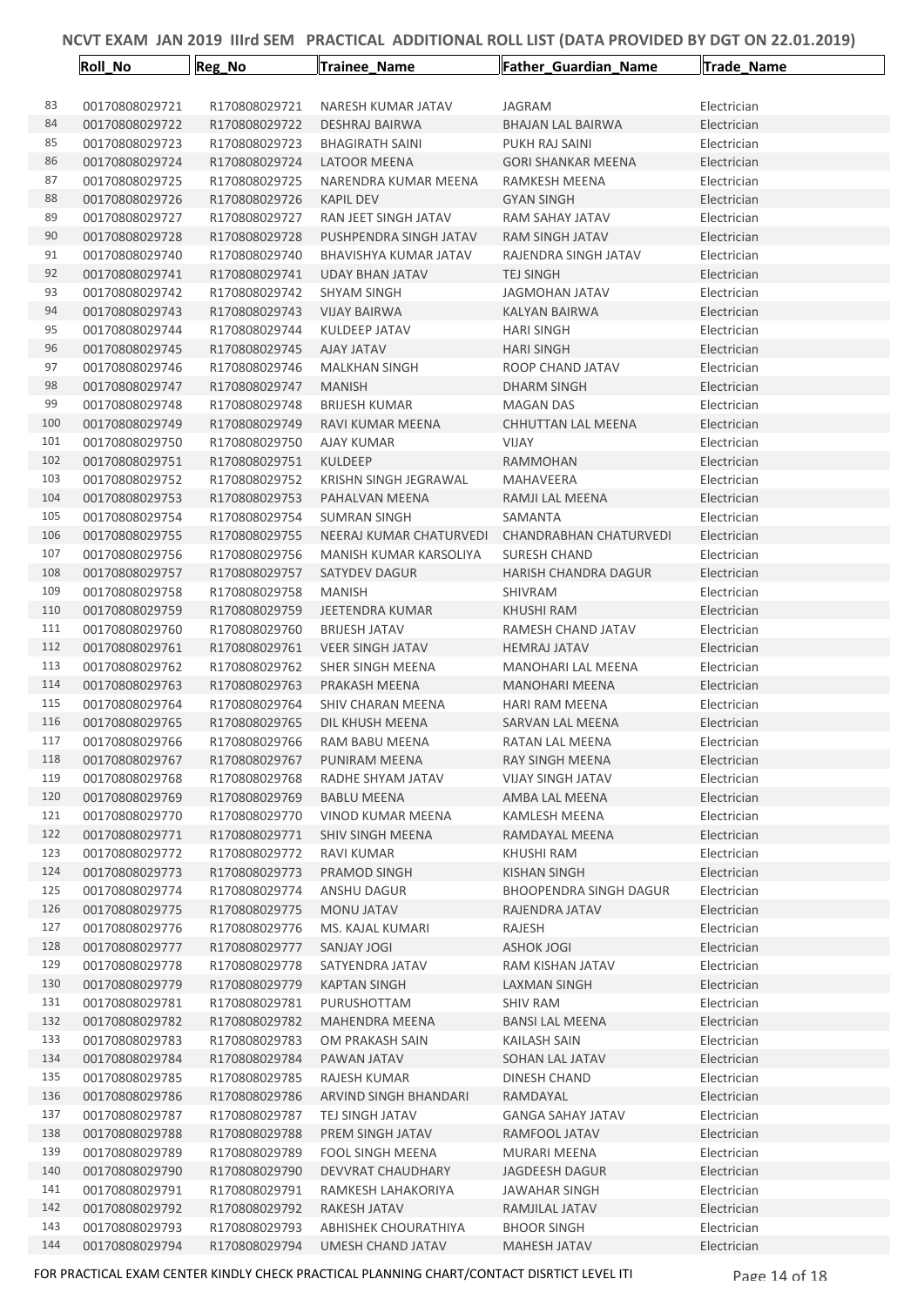|            | Roll_No                          | Reg_No                         | Trainee_Name                                   | Father_Guardian_Name                   | Trade_Name                 |
|------------|----------------------------------|--------------------------------|------------------------------------------------|----------------------------------------|----------------------------|
| 83         | 00170808029721                   | R170808029721                  | NARESH KUMAR JATAV                             | JAGRAM                                 | Electrician                |
| 84         | 00170808029722                   | R170808029722                  | <b>DESHRAJ BAIRWA</b>                          | <b>BHAJAN LAL BAIRWA</b>               | Electrician                |
| 85         | 00170808029723                   | R170808029723                  | <b>BHAGIRATH SAINI</b>                         | PUKH RAJ SAINI                         | Electrician                |
| 86         | 00170808029724                   | R170808029724                  | LATOOR MEENA                                   | <b>GORI SHANKAR MEENA</b>              | Electrician                |
| 87         | 00170808029725                   | R170808029725                  | NARENDRA KUMAR MEENA                           | RAMKESH MEENA                          | Electrician                |
| 88         | 00170808029726                   | R170808029726                  | <b>KAPIL DEV</b>                               | <b>GYAN SINGH</b>                      | Electrician                |
| 89         | 00170808029727                   | R170808029727                  | RAN JEET SINGH JATAV                           | RAM SAHAY JATAV                        | Electrician                |
| 90         | 00170808029728                   | R170808029728                  | PUSHPENDRA SINGH JATAV                         | RAM SINGH JATAV                        | Electrician                |
| 91         | 00170808029740                   | R170808029740                  | BHAVISHYA KUMAR JATAV                          | RAJENDRA SINGH JATAV                   | Electrician                |
| 92         | 00170808029741                   | R170808029741                  | <b>UDAY BHAN JATAV</b>                         | <b>TEJ SINGH</b>                       | Electrician                |
| 93         | 00170808029742                   | R170808029742                  | <b>SHYAM SINGH</b>                             | JAGMOHAN JATAV                         | Electrician                |
| 94         | 00170808029743                   | R170808029743                  | <b>VIJAY BAIRWA</b>                            | KALYAN BAIRWA                          | Electrician                |
| 95         | 00170808029744                   | R170808029744                  | KULDEEP JATAV                                  | <b>HARI SINGH</b>                      | Electrician                |
| 96         | 00170808029745                   | R170808029745                  | <b>AJAY JATAV</b>                              | <b>HARI SINGH</b>                      | Electrician                |
| 97         | 00170808029746                   | R170808029746                  | <b>MALKHAN SINGH</b>                           | ROOP CHAND JATAV                       | Electrician                |
| 98         | 00170808029747                   | R170808029747                  | <b>MANISH</b>                                  | <b>DHARM SINGH</b>                     | Electrician                |
| 99         | 00170808029748                   | R170808029748                  | <b>BRIJESH KUMAR</b>                           | <b>MAGAN DAS</b>                       | Electrician                |
| 100        | 00170808029749                   | R170808029749                  | RAVI KUMAR MEENA                               | <b>CHHUTTAN LAL MEENA</b>              | Electrician                |
| 101        | 00170808029750                   | R170808029750                  | <b>AJAY KUMAR</b>                              | <b>VIJAY</b>                           | Electrician                |
| 102        | 00170808029751                   | R170808029751                  | <b>KULDEEP</b>                                 | <b>RAMMOHAN</b>                        | Electrician                |
| 103        | 00170808029752                   | R170808029752                  | <b>KRISHN SINGH JEGRAWAL</b>                   | <b>MAHAVEERA</b>                       | Electrician                |
| 104        | 00170808029753                   | R170808029753                  | PAHALVAN MEENA                                 | RAMJI LAL MEENA                        | Electrician                |
| 105        | 00170808029754                   | R170808029754                  | <b>SUMRAN SINGH</b>                            | SAMANTA                                | Electrician                |
| 106        | 00170808029755                   | R170808029755                  | NEERAJ KUMAR CHATURVEDI                        | CHANDRABHAN CHATURVEDI                 | Electrician                |
| 107<br>108 | 00170808029756<br>00170808029757 | R170808029756<br>R170808029757 | MANISH KUMAR KARSOLIYA<br><b>SATYDEV DAGUR</b> | SURESH CHAND                           | Electrician                |
| 109        | 00170808029758                   | R170808029758                  | <b>MANISH</b>                                  | <b>HARISH CHANDRA DAGUR</b><br>SHIVRAM | Electrician<br>Electrician |
| 110        | 00170808029759                   | R170808029759                  | JEETENDRA KUMAR                                | KHUSHI RAM                             | Electrician                |
| 111        | 00170808029760                   | R170808029760                  | <b>BRIJESH JATAV</b>                           | RAMESH CHAND JATAV                     | Electrician                |
| 112        | 00170808029761                   | R170808029761                  | <b>VEER SINGH JATAV</b>                        | <b>HEMRAJ JATAV</b>                    | Electrician                |
| 113        | 00170808029762                   | R170808029762                  | SHER SINGH MEENA                               | <b>MANOHARI LAL MEENA</b>              | Electrician                |
| 114        | 00170808029763                   | R170808029763                  | PRAKASH MEENA                                  | <b>MANOHARI MEENA</b>                  | Electrician                |
| 115        | 00170808029764                   | R170808029764                  | SHIV CHARAN MEENA                              | <b>HARI RAM MEENA</b>                  | Electrician                |
| 116        | 00170808029765                   | R170808029765                  | DIL KHUSH MEENA                                | <b>SARVAN LAL MEENA</b>                | Electrician                |
| 117        | 00170808029766                   | R170808029766                  | RAM BABU MEENA                                 | RATAN LAL MEENA                        | Electrician                |
| 118        | 00170808029767                   | R170808029767                  | PUNIRAM MEENA                                  | RAY SINGH MEENA                        | Electrician                |
| 119        | 00170808029768                   | R170808029768                  | RADHE SHYAM JATAV                              | <b>VIJAY SINGH JATAV</b>               | Electrician                |
| 120        | 00170808029769                   | R170808029769                  | <b>BABLU MEENA</b>                             | AMBA LAL MEENA                         | Electrician                |
| 121        | 00170808029770                   | R170808029770                  | VINOD KUMAR MEENA                              | KAMLESH MEENA                          | Electrician                |
| 122        | 00170808029771                   | R170808029771                  | SHIV SINGH MEENA                               | RAMDAYAL MEENA                         | Electrician                |
| 123        | 00170808029772                   | R170808029772                  | RAVI KUMAR                                     | KHUSHI RAM                             | Electrician                |
| 124        | 00170808029773                   | R170808029773                  | PRAMOD SINGH                                   | KISHAN SINGH                           | Electrician                |
| 125        | 00170808029774                   | R170808029774                  | ANSHU DAGUR                                    | <b>BHOOPENDRA SINGH DAGUR</b>          | Electrician                |
| 126        | 00170808029775                   | R170808029775                  | MONU JATAV                                     | RAJENDRA JATAV                         | Electrician                |
| 127        | 00170808029776                   | R170808029776                  | MS. KAJAL KUMARI                               | RAJESH                                 | Electrician                |
| 128        | 00170808029777                   | R170808029777                  | SANJAY JOGI                                    | <b>ASHOK JOGI</b>                      | Electrician                |
| 129        | 00170808029778                   | R170808029778                  | SATYENDRA JATAV                                | RAM KISHAN JATAV                       | Electrician                |
| 130        | 00170808029779                   | R170808029779                  | <b>KAPTAN SINGH</b>                            | LAXMAN SINGH                           | Electrician                |
| 131        | 00170808029781                   | R170808029781                  | PURUSHOTTAM                                    | <b>SHIV RAM</b>                        | Electrician                |
| 132        | 00170808029782                   | R170808029782                  | <b>MAHENDRA MEENA</b>                          | <b>BANSI LAL MEENA</b>                 | Electrician                |
| 133        | 00170808029783                   | R170808029783                  | OM PRAKASH SAIN                                | <b>KAILASH SAIN</b>                    | Electrician                |
| 134        | 00170808029784                   | R170808029784                  | PAWAN JATAV                                    | SOHAN LAL JATAV                        | Electrician                |
| 135        | 00170808029785                   | R170808029785                  | RAJESH KUMAR                                   | DINESH CHAND                           | Electrician                |
| 136        | 00170808029786                   | R170808029786                  | ARVIND SINGH BHANDARI                          | RAMDAYAL                               | Electrician                |
| 137        | 00170808029787                   | R170808029787                  | TEJ SINGH JATAV                                | <b>GANGA SAHAY JATAV</b>               | Electrician                |
| 138<br>139 | 00170808029788                   | R170808029788                  | PREM SINGH JATAV                               | RAMFOOL JATAV                          | Electrician                |
| 140        | 00170808029789<br>00170808029790 | R170808029789<br>R170808029790 | <b>FOOL SINGH MEENA</b><br>DEVVRAT CHAUDHARY   | MURARI MEENA<br>JAGDEESH DAGUR         | Electrician                |
| 141        | 00170808029791                   | R170808029791                  | RAMKESH LAHAKORIYA                             | JAWAHAR SINGH                          | Electrician<br>Electrician |
| 142        | 00170808029792                   | R170808029792                  | RAKESH JATAV                                   | RAMJILAL JATAV                         | Electrician                |
| 143        | 00170808029793                   | R170808029793                  | ABHISHEK CHOURATHIYA                           | <b>BHOOR SINGH</b>                     | Electrician                |
| 144        | 00170808029794                   | R170808029794                  | UMESH CHAND JATAV                              | <b>MAHESH JATAV</b>                    | Electrician                |
|            |                                  |                                |                                                |                                        |                            |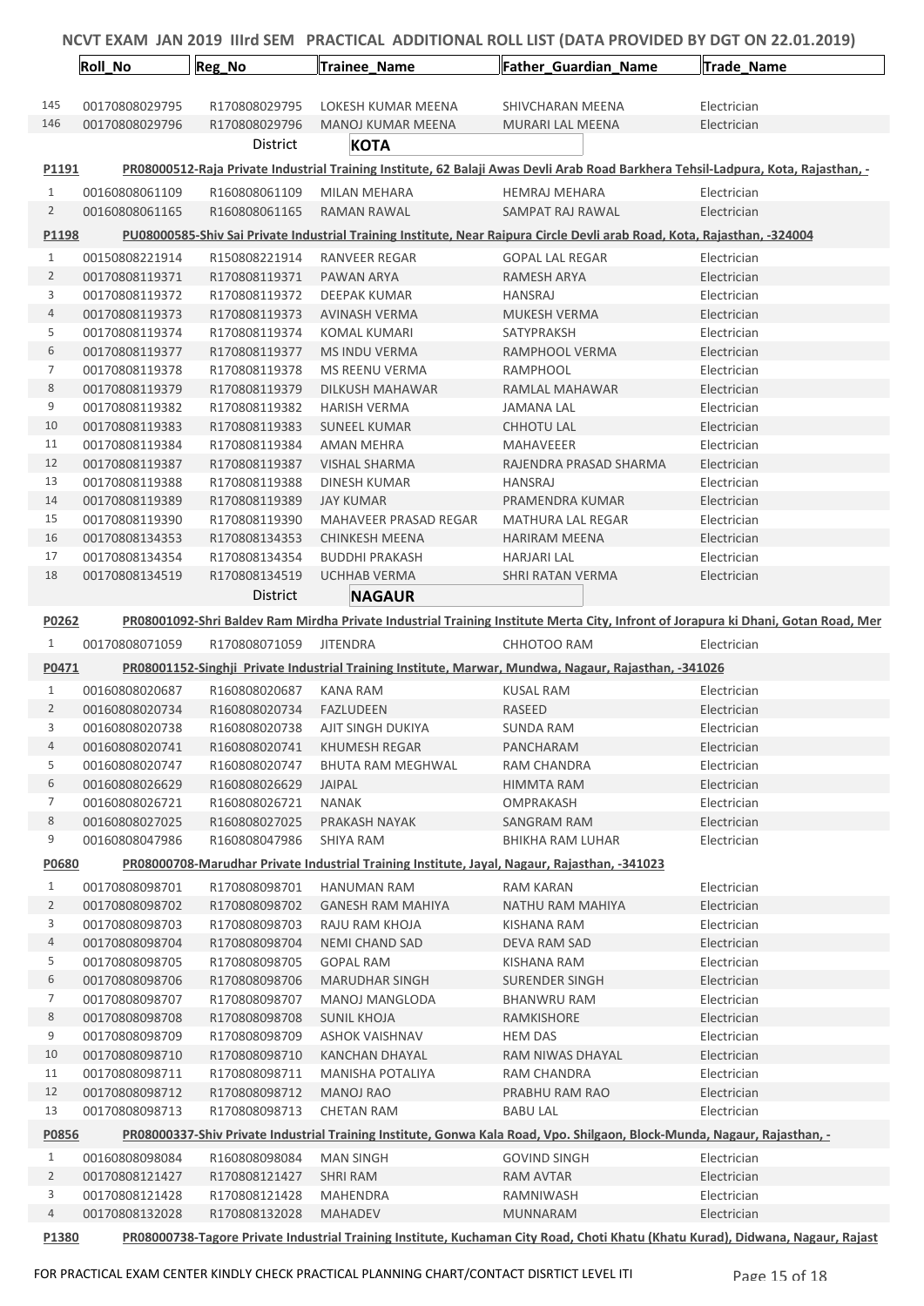|                | <b>Roll_No</b>                   | Reg_No                         | Trainee_Name                                                                                 | <b>Father_Guardian_Name</b>                                                                                                       | Trade_Name                 |  |
|----------------|----------------------------------|--------------------------------|----------------------------------------------------------------------------------------------|-----------------------------------------------------------------------------------------------------------------------------------|----------------------------|--|
| 145            | 00170808029795                   | R170808029795                  | LOKESH KUMAR MEENA                                                                           | SHIVCHARAN MEENA                                                                                                                  | Electrician                |  |
| 146            | 00170808029796                   | R170808029796                  | MANOJ KUMAR MEENA                                                                            | MURARI LAL MEENA                                                                                                                  | Electrician                |  |
|                |                                  | District                       | KOTA                                                                                         |                                                                                                                                   |                            |  |
| P1191          |                                  |                                |                                                                                              | PR08000512-Raja Private Industrial Training Institute, 62 Balaji Awas Devli Arab Road Barkhera Tehsil-Ladpura, Kota, Rajasthan, - |                            |  |
| $\mathbf{1}$   | 00160808061109                   | R160808061109                  | <b>MILAN MEHARA</b>                                                                          | <b>HEMRAJ MEHARA</b>                                                                                                              | Electrician                |  |
| $\overline{2}$ | 00160808061165                   | R160808061165                  | RAMAN RAWAL                                                                                  | SAMPAT RAJ RAWAL                                                                                                                  | Electrician                |  |
|                |                                  |                                |                                                                                              | PU08000585-Shiv Sai Private Industrial Training Institute, Near Raipura Circle Devli arab Road, Kota, Rajasthan, -324004          |                            |  |
| P1198          |                                  |                                |                                                                                              |                                                                                                                                   |                            |  |
| $\mathbf{1}$   | 00150808221914                   | R150808221914                  | <b>RANVEER REGAR</b>                                                                         | <b>GOPAL LAL REGAR</b>                                                                                                            | Electrician                |  |
| $\overline{2}$ | 00170808119371                   | R170808119371                  | PAWAN ARYA                                                                                   | <b>RAMESH ARYA</b>                                                                                                                | Electrician                |  |
| 3              | 00170808119372                   | R170808119372                  | DEEPAK KUMAR                                                                                 | HANSRAJ                                                                                                                           | Electrician                |  |
| 4<br>5         | 00170808119373<br>00170808119374 | R170808119373<br>R170808119374 | <b>AVINASH VERMA</b><br>KOMAL KUMARI                                                         | <b>MUKESH VERMA</b><br>SATYPRAKSH                                                                                                 | Electrician<br>Electrician |  |
| 6              | 00170808119377                   | R170808119377                  | MS INDU VERMA                                                                                | RAMPHOOL VERMA                                                                                                                    | Electrician                |  |
| 7              | 00170808119378                   | R170808119378                  | MS REENU VERMA                                                                               | RAMPHOOL                                                                                                                          | Electrician                |  |
| 8              | 00170808119379                   | R170808119379                  | DILKUSH MAHAWAR                                                                              | RAMLAL MAHAWAR                                                                                                                    | Electrician                |  |
| 9              | 00170808119382                   | R170808119382                  | <b>HARISH VERMA</b>                                                                          | JAMANA LAL                                                                                                                        | Electrician                |  |
| 10             | 00170808119383                   | R170808119383                  | <b>SUNEEL KUMAR</b>                                                                          | <b>CHHOTU LAL</b>                                                                                                                 | Electrician                |  |
| 11             | 00170808119384                   | R170808119384                  | AMAN MEHRA                                                                                   | MAHAVEEER                                                                                                                         | Electrician                |  |
| 12             | 00170808119387                   | R170808119387                  | <b>VISHAL SHARMA</b>                                                                         | RAJENDRA PRASAD SHARMA                                                                                                            | Electrician                |  |
| 13             | 00170808119388                   | R170808119388                  | <b>DINESH KUMAR</b>                                                                          | <b>HANSRAJ</b>                                                                                                                    | Electrician                |  |
| 14             | 00170808119389                   | R170808119389                  | <b>JAY KUMAR</b>                                                                             | PRAMENDRA KUMAR                                                                                                                   | Electrician                |  |
| 15             | 00170808119390                   | R170808119390                  | MAHAVEER PRASAD REGAR                                                                        | MATHURA LAL REGAR                                                                                                                 | Electrician                |  |
| 16             | 00170808134353                   | R170808134353                  | CHINKESH MEENA                                                                               | <b>HARIRAM MEENA</b>                                                                                                              | Electrician                |  |
| 17             | 00170808134354                   | R170808134354                  | <b>BUDDHI PRAKASH</b>                                                                        | HARJARI LAL                                                                                                                       | Electrician                |  |
| 18             | 00170808134519                   | R170808134519                  | UCHHAB VERMA                                                                                 | SHRI RATAN VERMA                                                                                                                  | Electrician                |  |
|                |                                  | District                       | <b>NAGAUR</b>                                                                                |                                                                                                                                   |                            |  |
| P0262          |                                  |                                |                                                                                              | PR08001092-Shri Baldev Ram Mirdha Private Industrial Training Institute Merta City, Infront of Jorapura ki Dhani, Gotan Road, Mer |                            |  |
| 1              | 00170808071059                   | R170808071059                  | <b>JITENDRA</b>                                                                              | CHHOTOO RAM                                                                                                                       | Electrician                |  |
| P0471          |                                  |                                |                                                                                              | PR08001152-Singhji Private Industrial Training Institute, Marwar, Mundwa, Nagaur, Rajasthan, -341026                              |                            |  |
| $\mathbf{1}$   | 00160808020687                   | R160808020687                  | KANA RAM                                                                                     | <b>KUSAL RAM</b>                                                                                                                  | Electrician                |  |
| 2              | 00160808020734                   | R160808020734                  | FAZLUDEEN                                                                                    | RASEED                                                                                                                            | Electrician                |  |
| 3              | 00160808020738                   | R160808020738                  | AJIT SINGH DUKIYA                                                                            | <b>SUNDA RAM</b>                                                                                                                  | Electrician                |  |
| 4              | 00160808020741                   | R160808020741                  | KHUMESH REGAR                                                                                | PANCHARAM                                                                                                                         | Electrician                |  |
| 5              | 00160808020747                   | R160808020747                  | BHUTA RAM MEGHWAL                                                                            | <b>RAM CHANDRA</b>                                                                                                                | Electrician                |  |
| 6              | 00160808026629                   | R160808026629                  | JAIPAL                                                                                       | HIMMTA RAM                                                                                                                        | Electrician                |  |
| 7              | 00160808026721                   | R160808026721                  | <b>NANAK</b>                                                                                 | OMPRAKASH                                                                                                                         | Electrician                |  |
| 8              | 00160808027025                   | R160808027025                  | PRAKASH NAYAK                                                                                | SANGRAM RAM                                                                                                                       | Electrician                |  |
| 9              | 00160808047986                   | R160808047986                  | SHIYA RAM                                                                                    | <b>BHIKHA RAM LUHAR</b>                                                                                                           | Electrician                |  |
| P0680          |                                  |                                | PR08000708-Marudhar Private Industrial Training Institute, Jayal, Nagaur, Rajasthan, -341023 |                                                                                                                                   |                            |  |
| $\mathbf{1}$   | 00170808098701                   | R170808098701                  | <b>HANUMAN RAM</b>                                                                           | <b>RAM KARAN</b>                                                                                                                  | Electrician                |  |
| $\overline{2}$ | 00170808098702                   | R170808098702                  | GANESH RAM MAHIYA                                                                            | NATHU RAM MAHIYA                                                                                                                  | Electrician                |  |
| 3              | 00170808098703                   | R170808098703                  | RAJU RAM KHOJA                                                                               | <b>KISHANA RAM</b>                                                                                                                | Electrician                |  |
| 4<br>5         | 00170808098704<br>00170808098705 | R170808098704<br>R170808098705 | <b>NEMI CHAND SAD</b><br><b>GOPAL RAM</b>                                                    | DEVA RAM SAD<br>KISHANA RAM                                                                                                       | Electrician<br>Electrician |  |
| 6              | 00170808098706                   | R170808098706                  | <b>MARUDHAR SINGH</b>                                                                        | <b>SURENDER SINGH</b>                                                                                                             | Electrician                |  |
| 7              | 00170808098707                   | R170808098707                  | MANOJ MANGLODA                                                                               | <b>BHANWRU RAM</b>                                                                                                                | Electrician                |  |
| 8              | 00170808098708                   | R170808098708                  | <b>SUNIL KHOJA</b>                                                                           | RAMKISHORE                                                                                                                        | Electrician                |  |
| 9              | 00170808098709                   | R170808098709                  | <b>ASHOK VAISHNAV</b>                                                                        | <b>HEM DAS</b>                                                                                                                    | Electrician                |  |
| 10             | 00170808098710                   | R170808098710                  | KANCHAN DHAYAL                                                                               | RAM NIWAS DHAYAL                                                                                                                  | Electrician                |  |
| 11             | 00170808098711                   | R170808098711                  | MANISHA POTALIYA                                                                             | RAM CHANDRA                                                                                                                       | Electrician                |  |
| 12             | 00170808098712                   | R170808098712                  | <b>MANOJ RAO</b>                                                                             | PRABHU RAM RAO                                                                                                                    | Electrician                |  |
| 13             | 00170808098713                   | R170808098713                  | <b>CHETAN RAM</b>                                                                            | <b>BABU LAL</b>                                                                                                                   | Electrician                |  |
| P0856          |                                  |                                |                                                                                              | PR08000337-Shiv Private Industrial Training Institute, Gonwa Kala Road, Vpo. Shilgaon, Block-Munda, Nagaur, Rajasthan, -          |                            |  |
| $\mathbf{1}$   | 00160808098084                   | R160808098084                  | <b>MAN SINGH</b>                                                                             | <b>GOVIND SINGH</b>                                                                                                               | Electrician                |  |
| $\overline{2}$ | 00170808121427                   | R170808121427                  | <b>SHRI RAM</b>                                                                              | RAM AVTAR                                                                                                                         | Electrician                |  |
| 3              | 00170808121428                   | R170808121428                  | <b>MAHENDRA</b>                                                                              | RAMNIWASH                                                                                                                         | Electrician                |  |
| 4              | 00170808132028                   | R170808132028                  | <b>MAHADEV</b>                                                                               | <b>MUNNARAM</b>                                                                                                                   | Electrician                |  |
| P1380          |                                  |                                |                                                                                              | PR08000738-Tagore Private Industrial Training Institute, Kuchaman City Road, Choti Khatu (Khatu Kurad), Didwana, Nagaur, Rajast   |                            |  |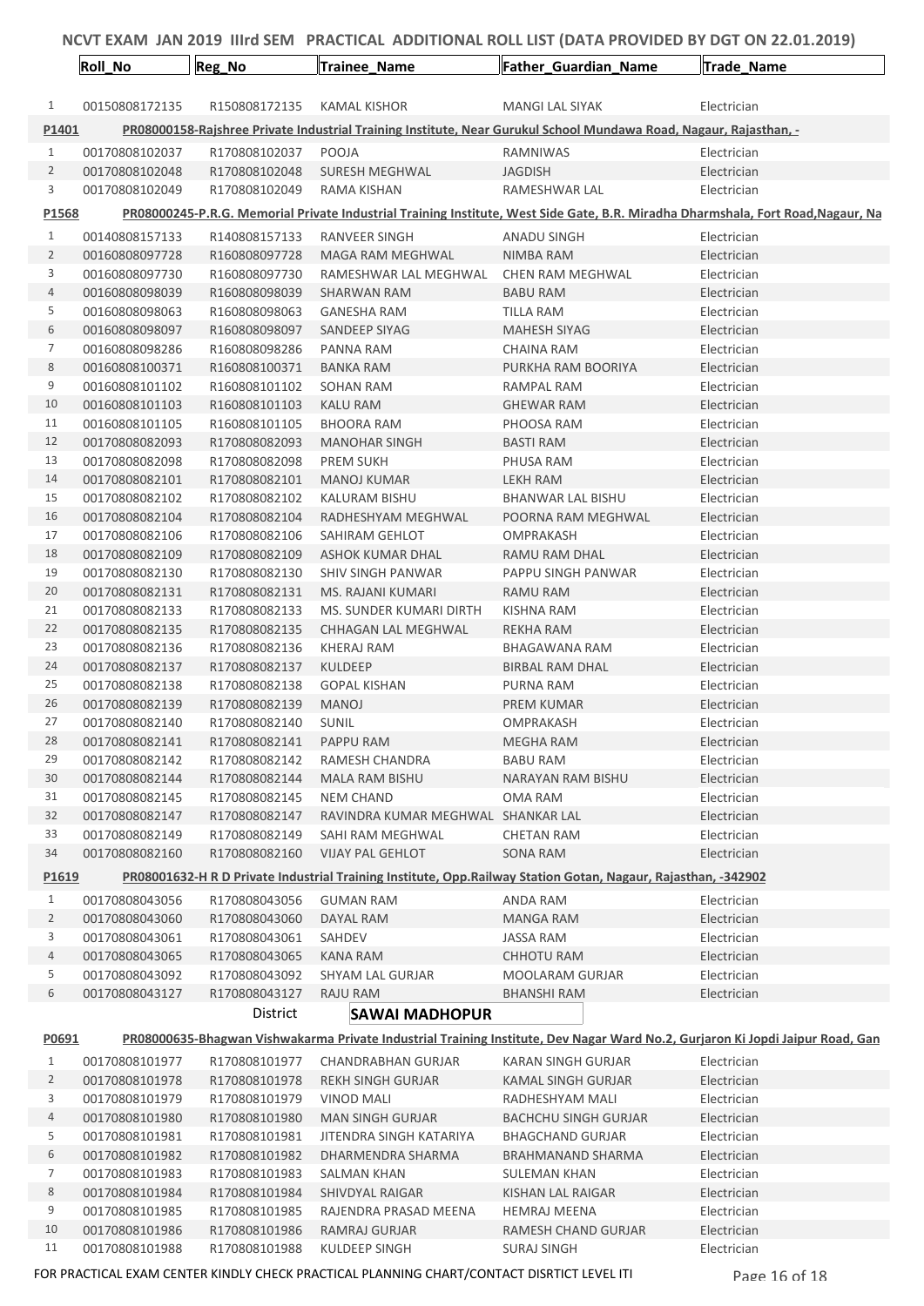|                                                                                                                                        | Roll_No                          | Reg_No                         | Trainee_Name                                           | Father_Guardian_Name                                                                                                             | Trade_Name                 |  |
|----------------------------------------------------------------------------------------------------------------------------------------|----------------------------------|--------------------------------|--------------------------------------------------------|----------------------------------------------------------------------------------------------------------------------------------|----------------------------|--|
|                                                                                                                                        |                                  |                                |                                                        |                                                                                                                                  |                            |  |
| 1                                                                                                                                      | 00150808172135                   | R150808172135                  | KAMAL KISHOR                                           | MANGI LAL SIYAK                                                                                                                  | Electrician                |  |
| P1401                                                                                                                                  |                                  |                                |                                                        | PR08000158-Rajshree Private Industrial Training Institute, Near Gurukul School Mundawa Road, Nagaur, Rajasthan, -                |                            |  |
| $\mathbf{1}$                                                                                                                           | 00170808102037                   | R170808102037                  | POOJA                                                  | <b>RAMNIWAS</b>                                                                                                                  | Electrician                |  |
| $\overline{2}$<br>3                                                                                                                    | 00170808102048                   | R170808102048                  | <b>SURESH MEGHWAL</b>                                  | <b>JAGDISH</b>                                                                                                                   | Electrician                |  |
|                                                                                                                                        | 00170808102049                   | R170808102049                  | RAMA KISHAN                                            | RAMESHWAR LAL                                                                                                                    | Electrician                |  |
| P1568                                                                                                                                  |                                  |                                |                                                        | PR08000245-P.R.G. Memorial Private Industrial Training Institute, West Side Gate, B.R. Miradha Dharmshala, Fort Road, Nagaur, Na |                            |  |
| $\mathbf{1}$                                                                                                                           | 00140808157133                   | R140808157133                  | RANVEER SINGH                                          | <b>ANADU SINGH</b>                                                                                                               | Electrician                |  |
| 2                                                                                                                                      | 00160808097728                   | R160808097728                  | <b>MAGA RAM MEGHWAL</b>                                | NIMBA RAM                                                                                                                        | Electrician                |  |
| 3<br>4                                                                                                                                 | 00160808097730<br>00160808098039 | R160808097730<br>R160808098039 | RAMESHWAR LAL MEGHWAL<br><b>SHARWAN RAM</b>            | CHEN RAM MEGHWAL<br><b>BABU RAM</b>                                                                                              | Electrician<br>Electrician |  |
| 5                                                                                                                                      | 00160808098063                   | R160808098063                  | <b>GANESHA RAM</b>                                     | TILLA RAM                                                                                                                        | Electrician                |  |
| 6                                                                                                                                      | 00160808098097                   | R160808098097                  | SANDEEP SIYAG                                          | <b>MAHESH SIYAG</b>                                                                                                              | Electrician                |  |
| 7                                                                                                                                      | 00160808098286                   | R160808098286                  | PANNA RAM                                              | <b>CHAINA RAM</b>                                                                                                                | Electrician                |  |
| 8                                                                                                                                      | 00160808100371                   | R160808100371                  | <b>BANKA RAM</b>                                       | PURKHA RAM BOORIYA                                                                                                               | Electrician                |  |
| 9                                                                                                                                      | 00160808101102                   | R160808101102                  | SOHAN RAM                                              | RAMPAL RAM                                                                                                                       | Electrician                |  |
| 10                                                                                                                                     | 00160808101103                   | R160808101103                  | KALU RAM                                               | <b>GHEWAR RAM</b>                                                                                                                | Electrician                |  |
| 11                                                                                                                                     | 00160808101105                   | R160808101105                  | <b>BHOORA RAM</b>                                      | PHOOSA RAM                                                                                                                       | Electrician                |  |
| 12                                                                                                                                     | 00170808082093                   | R170808082093                  | <b>MANOHAR SINGH</b>                                   | <b>BASTI RAM</b>                                                                                                                 | Electrician                |  |
| 13                                                                                                                                     | 00170808082098                   | R170808082098                  | <b>PREM SUKH</b>                                       | PHUSA RAM                                                                                                                        | Electrician                |  |
| 14                                                                                                                                     | 00170808082101                   | R170808082101                  | <b>MANOJ KUMAR</b>                                     | <b>LEKH RAM</b>                                                                                                                  | Electrician                |  |
| 15                                                                                                                                     | 00170808082102                   | R170808082102                  | <b>KALURAM BISHU</b>                                   | <b>BHANWAR LAL BISHU</b>                                                                                                         | Electrician                |  |
| 16<br>17                                                                                                                               | 00170808082104<br>00170808082106 | R170808082104                  | RADHESHYAM MEGHWAL<br>SAHIRAM GEHLOT                   | POORNA RAM MEGHWAL<br>OMPRAKASH                                                                                                  | Electrician                |  |
| 18                                                                                                                                     | 00170808082109                   | R170808082106<br>R170808082109 | ASHOK KUMAR DHAL                                       | RAMU RAM DHAL                                                                                                                    | Electrician<br>Electrician |  |
| 19                                                                                                                                     | 00170808082130                   | R170808082130                  | <b>SHIV SINGH PANWAR</b>                               | PAPPU SINGH PANWAR                                                                                                               | Electrician                |  |
| 20                                                                                                                                     | 00170808082131                   | R170808082131                  | MS. RAJANI KUMARI                                      | <b>RAMU RAM</b>                                                                                                                  | Electrician                |  |
| 21                                                                                                                                     | 00170808082133                   | R170808082133                  | MS. SUNDER KUMARI DIRTH                                | KISHNA RAM                                                                                                                       | Electrician                |  |
| 22                                                                                                                                     | 00170808082135                   | R170808082135                  | CHHAGAN LAL MEGHWAL                                    | REKHA RAM                                                                                                                        | Electrician                |  |
| 23                                                                                                                                     | 00170808082136                   | R170808082136                  | KHERAJ RAM                                             | <b>BHAGAWANA RAM</b>                                                                                                             | Electrician                |  |
| 24                                                                                                                                     | 00170808082137                   | R170808082137                  | <b>KULDEEP</b>                                         | <b>BIRBAL RAM DHAL</b>                                                                                                           | Electrician                |  |
| 25                                                                                                                                     | 00170808082138                   | R170808082138                  | <b>GOPAL KISHAN</b>                                    | PURNA RAM                                                                                                                        | Electrician                |  |
| 26                                                                                                                                     | 00170808082139                   | R170808082139                  | <b>MANOJ</b>                                           | <b>PREM KUMAR</b>                                                                                                                | Electrician                |  |
| 27                                                                                                                                     | 00170808082140                   | R170808082140                  | SUNIL                                                  | OMPRAKASH                                                                                                                        | Electrician                |  |
| 28                                                                                                                                     | 00170808082141                   | R170808082141                  | PAPPU RAM                                              | MEGHA RAM                                                                                                                        | Electrician                |  |
| 29                                                                                                                                     | 00170808082142                   | R170808082142                  | <b>RAMESH CHANDRA</b>                                  | <b>BABU RAM</b>                                                                                                                  | Electrician                |  |
| 30<br>31                                                                                                                               | 00170808082144                   | R170808082144                  | MALA RAM BISHU                                         | NARAYAN RAM BISHU                                                                                                                | Electrician                |  |
| 32                                                                                                                                     | 00170808082145<br>00170808082147 | R170808082145<br>R170808082147 | <b>NEM CHAND</b><br>RAVINDRA KUMAR MEGHWAL SHANKAR LAL | OMA RAM                                                                                                                          | Electrician<br>Electrician |  |
| 33                                                                                                                                     | 00170808082149                   | R170808082149                  | SAHI RAM MEGHWAL                                       | <b>CHETAN RAM</b>                                                                                                                | Electrician                |  |
| 34                                                                                                                                     | 00170808082160                   | R170808082160                  | <b>VIJAY PAL GEHLOT</b>                                | SONA RAM                                                                                                                         | Electrician                |  |
| P1619                                                                                                                                  |                                  |                                |                                                        | PR08001632-H R D Private Industrial Training Institute, Opp.Railway Station Gotan, Nagaur, Rajasthan, -342902                    |                            |  |
| $\mathbf{1}$                                                                                                                           | 00170808043056                   | R170808043056                  | <b>GUMAN RAM</b>                                       | ANDA RAM                                                                                                                         | Electrician                |  |
| $\overline{2}$                                                                                                                         | 00170808043060                   | R170808043060                  | DAYAL RAM                                              | MANGA RAM                                                                                                                        | Electrician                |  |
| 3                                                                                                                                      | 00170808043061                   | R170808043061                  | SAHDEV                                                 | <b>JASSA RAM</b>                                                                                                                 | Electrician                |  |
| 4                                                                                                                                      | 00170808043065                   | R170808043065                  | KANA RAM                                               | CHHOTU RAM                                                                                                                       | Electrician                |  |
| 5                                                                                                                                      | 00170808043092                   | R170808043092                  | SHYAM LAL GURJAR                                       | MOOLARAM GURJAR                                                                                                                  | Electrician                |  |
| 6                                                                                                                                      | 00170808043127                   | R170808043127                  | RAJU RAM                                               | <b>BHANSHI RAM</b>                                                                                                               | Electrician                |  |
|                                                                                                                                        |                                  | District                       | <b>SAWAI MADHOPUR</b>                                  |                                                                                                                                  |                            |  |
| PR08000635-Bhagwan Vishwakarma Private Industrial Training Institute, Dev Nagar Ward No.2, Gurjaron Ki Jopdi Jaipur Road, Gan<br>P0691 |                                  |                                |                                                        |                                                                                                                                  |                            |  |
| 1                                                                                                                                      | 00170808101977                   | R170808101977                  | <b>CHANDRABHAN GURJAR</b>                              | KARAN SINGH GURJAR                                                                                                               | Electrician                |  |
| $\overline{2}$                                                                                                                         | 00170808101978                   | R170808101978                  | <b>REKH SINGH GURJAR</b>                               | KAMAL SINGH GURJAR                                                                                                               | Electrician                |  |
| 3                                                                                                                                      | 00170808101979                   | R170808101979                  | <b>VINOD MALI</b>                                      | RADHESHYAM MALI                                                                                                                  | Electrician                |  |
| 4                                                                                                                                      | 00170808101980                   | R170808101980                  | <b>MAN SINGH GURJAR</b>                                | <b>BACHCHU SINGH GURJAR</b>                                                                                                      | Electrician                |  |
| 5                                                                                                                                      | 00170808101981                   | R170808101981                  | JITENDRA SINGH KATARIYA                                | <b>BHAGCHAND GURJAR</b>                                                                                                          | Electrician                |  |
| 6                                                                                                                                      | 00170808101982                   | R170808101982                  | DHARMENDRA SHARMA                                      | <b>BRAHMANAND SHARMA</b>                                                                                                         | Electrician                |  |
| 7                                                                                                                                      | 00170808101983                   | R170808101983                  | <b>SALMAN KHAN</b>                                     | <b>SULEMAN KHAN</b>                                                                                                              | Electrician                |  |
| 8                                                                                                                                      | 00170808101984                   | R170808101984                  | SHIVDYAL RAIGAR                                        | KISHAN LAL RAIGAR                                                                                                                | Electrician                |  |
| 9                                                                                                                                      | 00170808101985                   | R170808101985                  | RAJENDRA PRASAD MEENA                                  | <b>HEMRAJ MEENA</b>                                                                                                              | Electrician                |  |
| 10                                                                                                                                     | 00170808101986                   | R170808101986                  | RAMRAJ GURJAR                                          | RAMESH CHAND GURJAR                                                                                                              | Electrician                |  |
| 11                                                                                                                                     | 00170808101988                   | R170808101988                  | <b>KULDEEP SINGH</b>                                   | <b>SURAJ SINGH</b>                                                                                                               | Electrician                |  |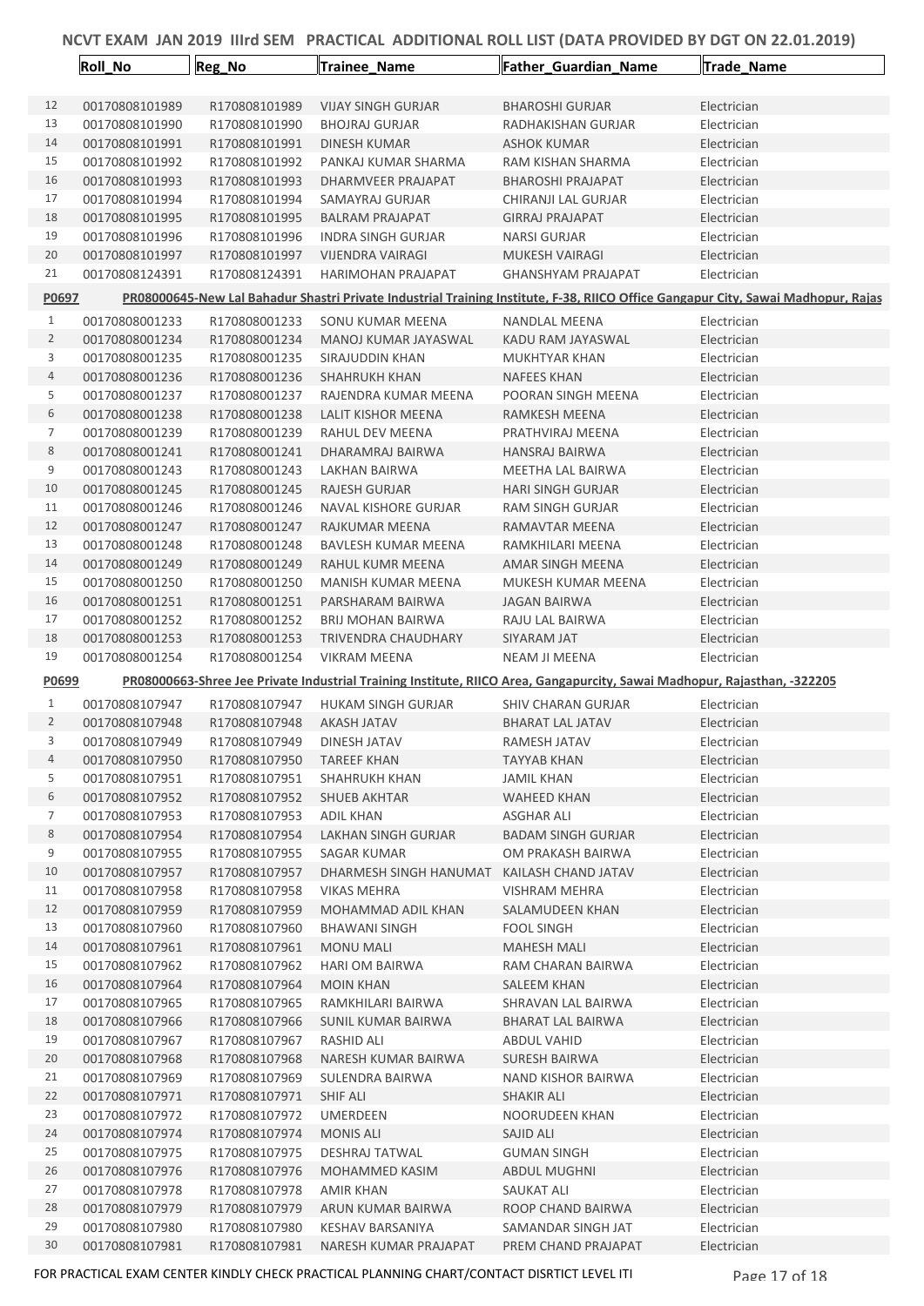|                | <b>Roll_No</b> | Reg_No                         | Trainee_Name                                                                                                             | Father_Guardian_Name                       | Trade_Name                                                                                                                        |
|----------------|----------------|--------------------------------|--------------------------------------------------------------------------------------------------------------------------|--------------------------------------------|-----------------------------------------------------------------------------------------------------------------------------------|
|                |                |                                |                                                                                                                          |                                            |                                                                                                                                   |
| 12             | 00170808101989 | R170808101989                  | <b>VIJAY SINGH GURJAR</b>                                                                                                | <b>BHAROSHI GURJAR</b>                     | Electrician                                                                                                                       |
| 13             | 00170808101990 | R170808101990                  | <b>BHOJRAJ GURJAR</b>                                                                                                    | RADHAKISHAN GURJAR                         | Electrician                                                                                                                       |
| 14             | 00170808101991 | R170808101991                  | DINESH KUMAR                                                                                                             | <b>ASHOK KUMAR</b>                         | Electrician                                                                                                                       |
| 15             | 00170808101992 | R170808101992                  | PANKAJ KUMAR SHARMA                                                                                                      | RAM KISHAN SHARMA                          | Electrician                                                                                                                       |
| 16             | 00170808101993 | R170808101993                  | DHARMVEER PRAJAPAT                                                                                                       | <b>BHAROSHI PRAJAPAT</b>                   | Electrician                                                                                                                       |
| 17             | 00170808101994 | R170808101994                  | SAMAYRAJ GURJAR                                                                                                          | CHIRANJI LAL GURJAR                        | Electrician                                                                                                                       |
| 18             | 00170808101995 | R170808101995                  | <b>BALRAM PRAJAPAT</b>                                                                                                   | <b>GIRRAJ PRAJAPAT</b>                     | Electrician                                                                                                                       |
| 19             | 00170808101996 | R170808101996                  | <b>INDRA SINGH GURJAR</b>                                                                                                | NARSI GURJAR                               | Electrician                                                                                                                       |
| 20             | 00170808101997 | R170808101997                  | <b>VIJENDRA VAIRAGI</b>                                                                                                  | <b>MUKESH VAIRAGI</b>                      | Electrician                                                                                                                       |
| 21             | 00170808124391 | R170808124391                  | <b>HARIMOHAN PRAJAPAT</b>                                                                                                | <b>GHANSHYAM PRAJAPAT</b>                  | Electrician                                                                                                                       |
| P0697          |                |                                |                                                                                                                          |                                            | PR08000645-New Lal Bahadur Shastri Private Industrial Training Institute, F-38, RIICO Office Gangapur City, Sawai Madhopur, Rajas |
| $\mathbf{1}$   | 00170808001233 | R170808001233                  | SONU KUMAR MEENA                                                                                                         | NANDLAL MEENA                              | Electrician                                                                                                                       |
| $\overline{2}$ | 00170808001234 | R170808001234                  | MANOJ KUMAR JAYASWAL                                                                                                     | KADU RAM JAYASWAL                          | Electrician                                                                                                                       |
| 3              | 00170808001235 | R170808001235                  | SIRAJUDDIN KHAN                                                                                                          | <b>MUKHTYAR KHAN</b>                       | Electrician                                                                                                                       |
| 4              | 00170808001236 | R170808001236                  | <b>SHAHRUKH KHAN</b>                                                                                                     | <b>NAFEES KHAN</b>                         | Electrician                                                                                                                       |
| 5              | 00170808001237 | R170808001237                  | RAJENDRA KUMAR MEENA                                                                                                     | POORAN SINGH MEENA                         | Electrician                                                                                                                       |
| 6              | 00170808001238 | R170808001238                  | <b>LALIT KISHOR MEENA</b>                                                                                                | RAMKESH MEENA                              | Electrician                                                                                                                       |
| 7              | 00170808001239 | R170808001239                  | RAHUL DEV MEENA                                                                                                          | PRATHVIRAJ MEENA                           | Electrician                                                                                                                       |
| 8              | 00170808001241 | R170808001241                  |                                                                                                                          |                                            | Electrician                                                                                                                       |
| 9              | 00170808001243 | R170808001243                  | DHARAMRAJ BAIRWA                                                                                                         | <b>HANSRAJ BAIRWA</b><br>MEETHA LAL BAIRWA |                                                                                                                                   |
| 10             |                | R170808001245                  | LAKHAN BAIRWA                                                                                                            |                                            | Electrician                                                                                                                       |
|                | 00170808001245 |                                | <b>RAJESH GURJAR</b>                                                                                                     | <b>HARI SINGH GURJAR</b>                   | Electrician                                                                                                                       |
| 11             | 00170808001246 | R170808001246                  | NAVAL KISHORE GURJAR                                                                                                     | <b>RAM SINGH GURJAR</b>                    | Electrician                                                                                                                       |
| 12             | 00170808001247 | R170808001247                  | RAJKUMAR MEENA                                                                                                           | RAMAVTAR MEENA                             | Electrician                                                                                                                       |
| 13             | 00170808001248 | R170808001248                  | BAVLESH KUMAR MEENA                                                                                                      | RAMKHILARI MEENA                           | Electrician                                                                                                                       |
| 14             | 00170808001249 | R170808001249                  | RAHUL KUMR MEENA                                                                                                         | AMAR SINGH MEENA                           | Electrician                                                                                                                       |
| 15             | 00170808001250 | R170808001250                  | MANISH KUMAR MEENA                                                                                                       | MUKESH KUMAR MEENA                         | Electrician                                                                                                                       |
| 16             | 00170808001251 | R170808001251                  | PARSHARAM BAIRWA                                                                                                         | <b>JAGAN BAIRWA</b>                        | Electrician                                                                                                                       |
| 17             | 00170808001252 | R170808001252                  | BRIJ MOHAN BAIRWA                                                                                                        | RAJU LAL BAIRWA                            | Electrician                                                                                                                       |
| 18             | 00170808001253 | R170808001253<br>R170808001254 | TRIVENDRA CHAUDHARY                                                                                                      | SIYARAM JAT                                | Electrician                                                                                                                       |
| 19             | 00170808001254 |                                | <b>VIKRAM MEENA</b>                                                                                                      |                                            | Electrician                                                                                                                       |
|                |                |                                |                                                                                                                          | NEAM JI MEENA                              |                                                                                                                                   |
| P0699          |                |                                | PR08000663-Shree Jee Private Industrial Training Institute, RIICO Area, Gangapurcity, Sawai Madhopur, Rajasthan, -322205 |                                            |                                                                                                                                   |
| 1              | 00170808107947 | R170808107947                  | <b>HUKAM SINGH GURJAR</b>                                                                                                | <b>SHIV CHARAN GURJAR</b>                  | Electrician                                                                                                                       |
| 2              | 00170808107948 | R170808107948                  | <b>AKASH JATAV</b>                                                                                                       | <b>BHARAT LAL JATAV</b>                    | Electrician                                                                                                                       |
| 3              | 00170808107949 | R170808107949                  | DINESH JATAV                                                                                                             | RAMESH JATAV                               | Electrician                                                                                                                       |
| 4              | 00170808107950 | R170808107950                  | TAREEF KHAN                                                                                                              | TAYYAB KHAN                                | Electrician                                                                                                                       |
| 5              | 00170808107951 | R170808107951                  | SHAHRUKH KHAN                                                                                                            | <b>JAMIL KHAN</b>                          | Electrician                                                                                                                       |
| 6              | 00170808107952 | R170808107952                  | <b>SHUEB AKHTAR</b>                                                                                                      | <b>WAHEED KHAN</b>                         | Electrician                                                                                                                       |
| 7              | 00170808107953 | R170808107953                  | ADIL KHAN                                                                                                                | ASGHAR ALI                                 | Electrician                                                                                                                       |
| 8              | 00170808107954 | R170808107954                  | LAKHAN SINGH GURJAR                                                                                                      | <b>BADAM SINGH GURJAR</b>                  | Electrician                                                                                                                       |
| 9              | 00170808107955 | R170808107955                  | SAGAR KUMAR                                                                                                              | OM PRAKASH BAIRWA                          | Electrician                                                                                                                       |
| 10             | 00170808107957 | R170808107957                  | DHARMESH SINGH HANUMAT                                                                                                   | KAILASH CHAND JATAV                        | Electrician                                                                                                                       |
| 11             | 00170808107958 | R170808107958                  | <b>VIKAS MEHRA</b>                                                                                                       | <b>VISHRAM MEHRA</b>                       | Electrician                                                                                                                       |
| 12             | 00170808107959 | R170808107959                  | MOHAMMAD ADIL KHAN                                                                                                       | SALAMUDEEN KHAN                            | Electrician                                                                                                                       |
| 13             | 00170808107960 | R170808107960                  | <b>BHAWANI SINGH</b>                                                                                                     | <b>FOOL SINGH</b>                          | Electrician                                                                                                                       |
| 14             | 00170808107961 | R170808107961                  | <b>MONU MALI</b>                                                                                                         | <b>MAHESH MALI</b>                         | Electrician                                                                                                                       |
| 15             | 00170808107962 | R170808107962                  | <b>HARI OM BAIRWA</b>                                                                                                    | RAM CHARAN BAIRWA                          | Electrician                                                                                                                       |
| 16             | 00170808107964 | R170808107964                  | <b>MOIN KHAN</b>                                                                                                         | SALEEM KHAN                                | Electrician                                                                                                                       |
| 17             | 00170808107965 | R170808107965                  | RAMKHILARI BAIRWA                                                                                                        | SHRAVAN LAL BAIRWA                         | Electrician                                                                                                                       |
| 18             | 00170808107966 | R170808107966                  | SUNIL KUMAR BAIRWA                                                                                                       | <b>BHARAT LAL BAIRWA</b>                   | Electrician                                                                                                                       |
| 19             | 00170808107967 | R170808107967                  | RASHID ALI                                                                                                               | ABDUL VAHID                                | Electrician                                                                                                                       |
| 20             | 00170808107968 | R170808107968                  | NARESH KUMAR BAIRWA                                                                                                      | <b>SURESH BAIRWA</b>                       | Electrician                                                                                                                       |
| 21             | 00170808107969 | R170808107969                  | SULENDRA BAIRWA                                                                                                          | NAND KISHOR BAIRWA                         | Electrician                                                                                                                       |
| 22             | 00170808107971 | R170808107971                  | <b>SHIF ALI</b>                                                                                                          | <b>SHAKIR ALI</b>                          | Electrician                                                                                                                       |
| 23             | 00170808107972 | R170808107972                  | UMERDEEN                                                                                                                 | NOORUDEEN KHAN                             | Electrician                                                                                                                       |
| 24             | 00170808107974 | R170808107974                  | <b>MONIS ALI</b>                                                                                                         | SAJID ALI                                  | Electrician                                                                                                                       |
| 25             | 00170808107975 | R170808107975                  | DESHRAJ TATWAL                                                                                                           | <b>GUMAN SINGH</b>                         | Electrician                                                                                                                       |
| 26             | 00170808107976 | R170808107976                  | MOHAMMED KASIM                                                                                                           | <b>ABDUL MUGHNI</b>                        | Electrician                                                                                                                       |
| 27             | 00170808107978 | R170808107978                  | AMIR KHAN                                                                                                                | SAUKAT ALI                                 | Electrician                                                                                                                       |
| 28             | 00170808107979 | R170808107979                  | ARUN KUMAR BAIRWA                                                                                                        | ROOP CHAND BAIRWA                          | Electrician                                                                                                                       |
| 29             | 00170808107980 | R170808107980                  | KESHAV BARSANIYA                                                                                                         | SAMANDAR SINGH JAT                         | Electrician                                                                                                                       |